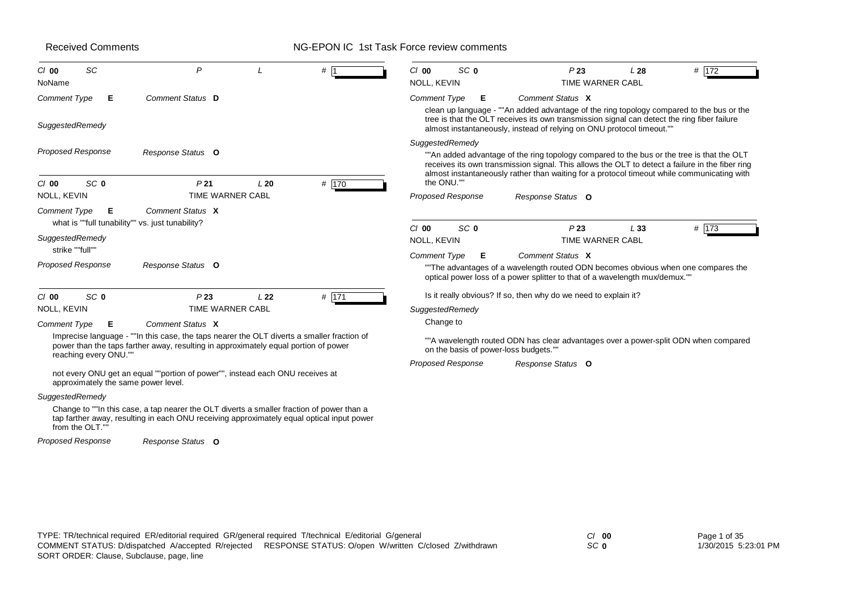# NG-EPON IC 1st Task Force review comments

| SC<br>$Cl$ 00<br>NoName                                                                                            | P                                                                                                                                                                                                                                                                  |                 | #1      | SC <sub>0</sub><br>$Cl$ 00<br>NOLL, KEVIN                         | P23                                                                                                                                                                                                                                                                                        | L28<br>TIME WARNER CABL | # 172   |
|--------------------------------------------------------------------------------------------------------------------|--------------------------------------------------------------------------------------------------------------------------------------------------------------------------------------------------------------------------------------------------------------------|-----------------|---------|-------------------------------------------------------------------|--------------------------------------------------------------------------------------------------------------------------------------------------------------------------------------------------------------------------------------------------------------------------------------------|-------------------------|---------|
| <b>Comment Type</b><br>Е<br>SuggestedRemedy                                                                        | Comment Status D                                                                                                                                                                                                                                                   |                 |         | <b>Comment Type</b><br>Е                                          | Comment Status X<br>clean up language - ""An added advantage of the ring topology compared to the bus or the<br>tree is that the OLT receives its own transmission signal can detect the ring fiber failure<br>almost instantaneously, instead of relying on ONU protocol timeout.""       |                         |         |
| <b>Proposed Response</b>                                                                                           | Response Status O                                                                                                                                                                                                                                                  |                 |         | SuggestedRemedy                                                   | ""An added advantage of the ring topology compared to the bus or the tree is that the OLT<br>receives its own transmission signal. This allows the OLT to detect a failure in the fiber ring<br>almost instantaneously rather than waiting for a protocol timeout while communicating with |                         |         |
| SC <sub>0</sub><br>$Cl$ 00<br>NOLL, KEVIN                                                                          | P <sub>21</sub><br>TIME WARNER CABL                                                                                                                                                                                                                                | L20             | # 170   | the ONU.""<br><b>Proposed Response</b>                            | Response Status O                                                                                                                                                                                                                                                                          |                         |         |
| <b>Comment Type</b><br>Е<br>what is ""full tunability"" vs. just tunability?<br>SuggestedRemedy<br>strike ""full"" | Comment Status X                                                                                                                                                                                                                                                   |                 |         | SC <sub>0</sub><br>C/00<br>NOLL, KEVIN                            | P <sub>23</sub>                                                                                                                                                                                                                                                                            | L33<br>TIME WARNER CABL | # $173$ |
| <b>Proposed Response</b>                                                                                           | Response Status O                                                                                                                                                                                                                                                  |                 |         | <b>Comment Type</b><br>Е                                          | Comment Status X<br>"The advantages of a wavelength routed ODN becomes obvious when one compares the<br>optical power loss of a power splitter to that of a wavelength mux/demux.""                                                                                                        |                         |         |
| SC <sub>0</sub><br>$Cl$ 00<br>NOLL, KEVIN<br><b>Comment Type</b><br>Е                                              | P23<br>TIME WARNER CABL<br>Comment Status X                                                                                                                                                                                                                        | L <sub>22</sub> | $#$ 171 | SuggestedRemedy<br>Change to                                      | Is it really obvious? If so, then why do we need to explain it?                                                                                                                                                                                                                            |                         |         |
| reaching every ONU.""<br>approximately the same power level.                                                       | Imprecise language - ""In this case, the taps nearer the OLT diverts a smaller fraction of<br>power than the taps farther away, resulting in approximately equal portion of power<br>not every ONU get an equal ""portion of power"", instead each ONU receives at |                 |         | on the basis of power-loss budgets.""<br><b>Proposed Response</b> | ""A wavelength routed ODN has clear advantages over a power-split ODN when compared<br>Response Status O                                                                                                                                                                                   |                         |         |
| SuggestedRemedy<br>from the OLT.""                                                                                 | Change to ""In this case, a tap nearer the OLT diverts a smaller fraction of power than a<br>tap farther away, resulting in each ONU receiving approximately equal optical input power                                                                             |                 |         |                                                                   |                                                                                                                                                                                                                                                                                            |                         |         |
| <b>Proposed Response</b>                                                                                           | Response Status O                                                                                                                                                                                                                                                  |                 |         |                                                                   |                                                                                                                                                                                                                                                                                            |                         |         |

*SC* **0**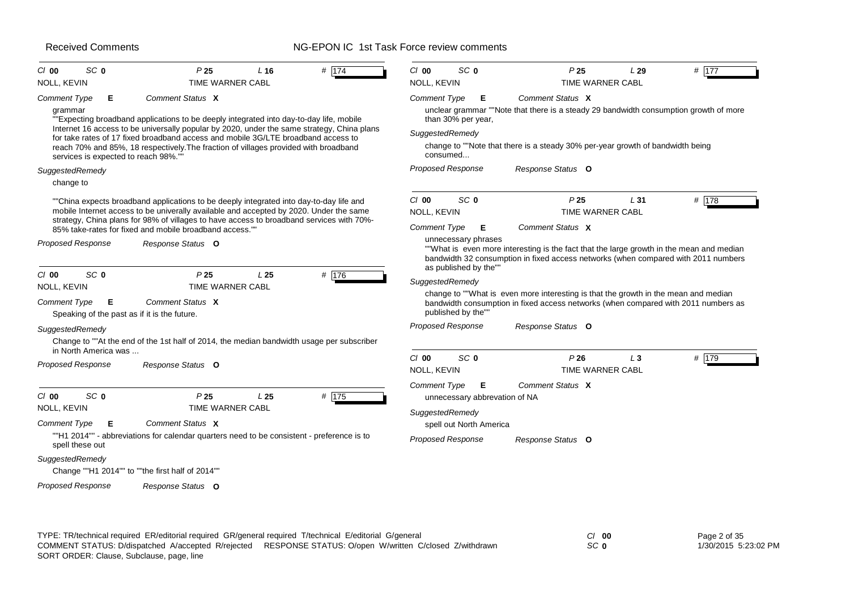#### NG-EPON IC 1st Task Force review comments

| $Cl$ 00<br><b>NOLL, KEVIN</b>                                                       | SC <sub>0</sub>                           | P <sub>25</sub><br><b>TIME WARNER CABL</b>                                                                                                                                                                                                                                                                                                                                             | L16             | $#$ 174 | $Cl$ 00<br><b>NOLL, KEVIN</b>                      | SC <sub>0</sub>                                                                           | P <sub>25</sub><br><b>TIME WARNER CABL</b>                                                                                                                                                     | L29   | $#$ 177 |
|-------------------------------------------------------------------------------------|-------------------------------------------|----------------------------------------------------------------------------------------------------------------------------------------------------------------------------------------------------------------------------------------------------------------------------------------------------------------------------------------------------------------------------------------|-----------------|---------|----------------------------------------------------|-------------------------------------------------------------------------------------------|------------------------------------------------------------------------------------------------------------------------------------------------------------------------------------------------|-------|---------|
| <b>Comment Type</b><br>grammar                                                      | Е<br>services is expected to reach 98%."" | Comment Status X<br>""Expecting broadband applications to be deeply integrated into day-to-day life, mobile<br>Internet 16 access to be universally popular by 2020, under the same strategy, China plans<br>for take rates of 17 fixed broadband access and mobile 3G/LTE broadband access to<br>reach 70% and 85%, 18 respectively. The fraction of villages provided with broadband |                 |         | <b>Comment Type</b><br>SuggestedRemedy<br>consumed | Е<br>than 30% per year,                                                                   | Comment Status X<br>unclear grammar ""Note that there is a steady 29 bandwidth consumption growth of more<br>change to ""Note that there is a steady 30% per-year growth of bandwidth being    |       |         |
| SuggestedRemedy<br>change to                                                        |                                           |                                                                                                                                                                                                                                                                                                                                                                                        |                 |         | <b>Proposed Response</b>                           |                                                                                           | Response Status O                                                                                                                                                                              |       |         |
|                                                                                     |                                           | ""China expects broadband applications to be deeply integrated into day-to-day life and<br>mobile Internet access to be univerally available and accepted by 2020. Under the same<br>strategy, China plans for 98% of villages to have access to broadband services with 70%-<br>85% take-rates for fixed and mobile broadband access."                                                |                 |         | $Cl$ 00<br>NOLL, KEVIN<br><b>Comment Type</b>      | SC <sub>0</sub><br>Е                                                                      | P <sub>25</sub><br><b>TIME WARNER CABL</b><br>Comment Status X                                                                                                                                 | L31   | # $178$ |
| <b>Proposed Response</b>                                                            |                                           | Response Status O                                                                                                                                                                                                                                                                                                                                                                      |                 |         |                                                    | unnecessary phrases<br>as published by the""                                              | ""What is even more interesting is the fact that the large growth in the mean and median<br>bandwidth 32 consumption in fixed access networks (when compared with 2011 numbers                 |       |         |
| $Cl$ 00<br>NOLL, KEVIN<br><b>Comment Type</b><br>SuggestedRemedy                    | SC <sub>0</sub><br>Е                      | P <sub>25</sub><br>TIME WARNER CABL<br>Comment Status X<br>Speaking of the past as if it is the future.<br>Change to ""At the end of the 1st half of 2014, the median bandwidth usage per subscriber                                                                                                                                                                                   | L <sub>25</sub> | $#$ 176 | SuggestedRemedy                                    | published by the""<br><b>Proposed Response</b>                                            | change to ""What is even more interesting is that the growth in the mean and median<br>bandwidth consumption in fixed access networks (when compared with 2011 numbers as<br>Response Status O |       |         |
| <b>Proposed Response</b>                                                            | in North America was                      | Response Status O                                                                                                                                                                                                                                                                                                                                                                      |                 |         | C/00<br>NOLL, KEVIN                                | SC <sub>0</sub>                                                                           | P26<br>TIME WARNER CABL                                                                                                                                                                        | $L_3$ | # 179   |
| $Cl$ 00<br>NOLL, KEVIN<br><b>Comment Type</b><br>spell these out<br>SuggestedRemedy | SC <sub>0</sub><br>Е                      | P <sub>25</sub><br>TIME WARNER CABL<br>Comment Status X<br>"H1 2014"" - abbreviations for calendar quarters need to be consistent - preference is to<br>Change ""H1 2014"" to ""the first half of 2014""                                                                                                                                                                               | L <sub>25</sub> | # 175   | <b>Comment Type</b><br>SuggestedRemedy             | Е<br>unnecessary abbrevation of NA<br>spell out North America<br><b>Proposed Response</b> | Comment Status X<br>Response Status O                                                                                                                                                          |       |         |
| <b>Proposed Response</b>                                                            |                                           | Response Status O                                                                                                                                                                                                                                                                                                                                                                      |                 |         |                                                    |                                                                                           |                                                                                                                                                                                                |       |         |

TYPE: TR/technical required ER/editorial required GR/general required T/technical E/editorial G/general *Cl* **00** SORT ORDER: Clause, Subclause, page, line COMMENT STATUS: D/dispatched A/accepted R/rejected RESPONSE STATUS: O/open W/written C/closed Z/withdrawn

*SC* **0**

Page 2 of 35 1/30/2015 5:23:02 PM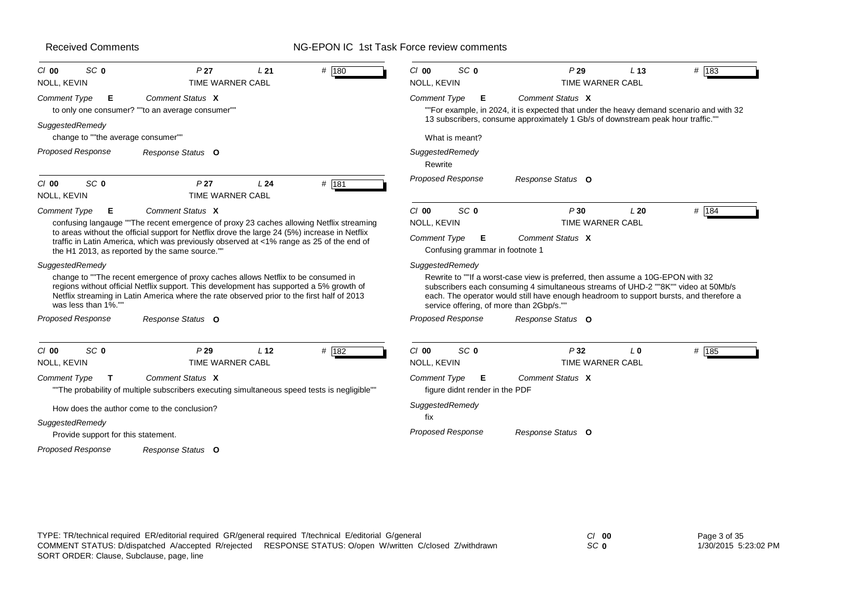| SC <sub>0</sub><br>$CI$ 00<br>NOLL, KEVIN             | P <sub>27</sub><br>TIME WARNER CABL                                                                                                                                                                                                                                                                                                                       | L21             | # 180 | $Cl$ 00<br>SC <sub>0</sub><br>NOLL, KEVIN |                                     | P29<br>TIME WARNER CABL                                                                                                                                                                                                                                                                                   | L <sub>13</sub> | $#$ 183 |
|-------------------------------------------------------|-----------------------------------------------------------------------------------------------------------------------------------------------------------------------------------------------------------------------------------------------------------------------------------------------------------------------------------------------------------|-----------------|-------|-------------------------------------------|-------------------------------------|-----------------------------------------------------------------------------------------------------------------------------------------------------------------------------------------------------------------------------------------------------------------------------------------------------------|-----------------|---------|
| <b>Comment Type</b><br>Е                              | Comment Status X<br>to only one consumer? ""to an average consumer""                                                                                                                                                                                                                                                                                      |                 |       | <b>Comment Type</b>                       | E                                   | Comment Status X<br>""For example, in 2024, it is expected that under the heavy demand scenario and with 32<br>13 subscribers, consume approximately 1 Gb/s of downstream peak hour traffic.""                                                                                                            |                 |         |
| SuggestedRemedy<br>change to ""the average consumer"" |                                                                                                                                                                                                                                                                                                                                                           |                 |       |                                           | What is meant?                      |                                                                                                                                                                                                                                                                                                           |                 |         |
| <b>Proposed Response</b>                              | Response Status O                                                                                                                                                                                                                                                                                                                                         |                 |       | SuggestedRemedy<br>Rewrite                |                                     |                                                                                                                                                                                                                                                                                                           |                 |         |
| SC <sub>0</sub><br>$Cl$ 00<br><b>NOLL, KEVIN</b>      | P <sub>27</sub><br>TIME WARNER CABL                                                                                                                                                                                                                                                                                                                       | L <sub>24</sub> | # 181 |                                           | <b>Proposed Response</b>            | Response Status O                                                                                                                                                                                                                                                                                         |                 |         |
| <b>Comment Type</b><br>Е                              | Comment Status X<br>confusing langauge "The recent emergence of proxy 23 caches allowing Netflix streaming<br>to areas without the official support for Netflix drove the large 24 (5%) increase in Netflix<br>traffic in Latin America, which was previously observed at <1% range as 25 of the end of<br>the H1 2013, as reported by the same source."" |                 |       | $Cl$ 00<br>NOLL, KEVIN<br>Comment Type    | SC <sub>0</sub><br>E                | P30<br>TIME WARNER CABL<br>Comment Status X<br>Confusing grammar in footnote 1                                                                                                                                                                                                                            | L20             | # 184   |
| SuggestedRemedy<br>was less than 1%."                 | change to ""The recent emergence of proxy caches allows Netflix to be consumed in<br>regions without official Netflix support. This development has supported a 5% growth of<br>Netflix streaming in Latin America where the rate observed prior to the first half of 2013                                                                                |                 |       | SuggestedRemedy                           |                                     | Rewrite to ""If a worst-case view is preferred, then assume a 10G-EPON with 32<br>subscribers each consuming 4 simultaneous streams of UHD-2 ""8K"" video at 50Mb/s<br>each. The operator would still have enough headroom to support bursts, and therefore a<br>service offering, of more than 2Gbp/s."" |                 |         |
| <b>Proposed Response</b>                              | Response Status O                                                                                                                                                                                                                                                                                                                                         |                 |       |                                           | <b>Proposed Response</b>            | Response Status O                                                                                                                                                                                                                                                                                         |                 |         |
| SC <sub>0</sub><br>$CI$ 00<br>NOLL, KEVIN             | P29<br>TIME WARNER CABL                                                                                                                                                                                                                                                                                                                                   | L <sub>12</sub> | # 182 | $Cl$ 00<br>NOLL, KEVIN                    | SC <sub>0</sub>                     | P32<br>TIME WARNER CABL                                                                                                                                                                                                                                                                                   | L <sub>0</sub>  | # 185   |
| Comment Type<br>т                                     | Comment Status X<br>"The probability of multiple subscribers executing simultaneous speed tests is negligible""                                                                                                                                                                                                                                           |                 |       | <b>Comment Type</b>                       | Е<br>figure didnt render in the PDF | Comment Status X                                                                                                                                                                                                                                                                                          |                 |         |
| SuggestedRemedy                                       | How does the author come to the conclusion?                                                                                                                                                                                                                                                                                                               |                 |       | SuggestedRemedy<br>fix                    |                                     |                                                                                                                                                                                                                                                                                                           |                 |         |
| Provide support for this statement.                   |                                                                                                                                                                                                                                                                                                                                                           |                 |       |                                           | <b>Proposed Response</b>            | Response Status O                                                                                                                                                                                                                                                                                         |                 |         |
| <b>Proposed Response</b>                              | Response Status O                                                                                                                                                                                                                                                                                                                                         |                 |       |                                           |                                     |                                                                                                                                                                                                                                                                                                           |                 |         |
|                                                       |                                                                                                                                                                                                                                                                                                                                                           |                 |       |                                           |                                     |                                                                                                                                                                                                                                                                                                           |                 |         |

| TYPE: TR/technical required ER/editorial required GR/general required T/technical E/editorial G/general | $\gamma$ 00                                            | Page 3 of 35 |                      |
|---------------------------------------------------------------------------------------------------------|--------------------------------------------------------|--------------|----------------------|
| COMMENT STATUS: D/dispatched A/accepted R/rejected                                                      | RESPONSE STATUS: O/open W/written C/closed Z/withdrawn | SC 0         | 1/30/2015 5:23:02 PM |
| SORT ORDER: Clause, Subclause, page, line                                                               |                                                        |              |                      |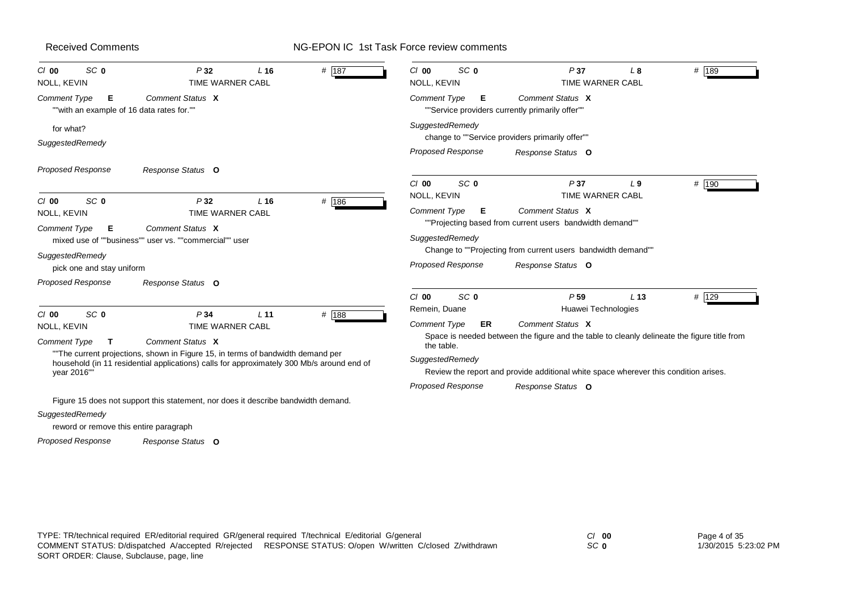#### NG-EPON IC 1st Task Force review comments

| SC <sub>0</sub><br>$Cl$ 00<br>NOLL, KEVIN                      | P32<br>TIME WARNER CABL                                                                                                                                                     | L <sub>16</sub> | # 187 | SC <sub>0</sub><br>$CI$ 00<br><b>NOLL, KEVIN</b> | P37<br>TIME WARNER CABL                                                                                                  | L8              | # 189 |
|----------------------------------------------------------------|-----------------------------------------------------------------------------------------------------------------------------------------------------------------------------|-----------------|-------|--------------------------------------------------|--------------------------------------------------------------------------------------------------------------------------|-----------------|-------|
| Comment Type<br>Е<br>""with an example of 16 data rates for."" | Comment Status X                                                                                                                                                            |                 |       | <b>Comment Type</b><br>Е                         | Comment Status X<br>""Service providers currently primarily offer""                                                      |                 |       |
| for what?<br>SuggestedRemedy                                   |                                                                                                                                                                             |                 |       | SuggestedRemedy                                  | change to ""Service providers primarily offer""                                                                          |                 |       |
|                                                                |                                                                                                                                                                             |                 |       | <b>Proposed Response</b>                         | Response Status O                                                                                                        |                 |       |
| <b>Proposed Response</b>                                       | Response Status O                                                                                                                                                           |                 |       | $Cl$ 00<br>SC <sub>0</sub>                       | P37                                                                                                                      | L <sub>9</sub>  | # 190 |
| SC <sub>0</sub><br>$CI$ 00<br>NOLL, KEVIN                      | P32<br><b>TIME WARNER CABL</b>                                                                                                                                              | $L$ 16          | # 186 | NOLL, KEVIN<br><b>Comment Type</b><br>Е          | <b>TIME WARNER CABL</b><br>Comment Status X                                                                              |                 |       |
| Comment Type<br>Е<br>SuggestedRemedy                           | Comment Status X<br>mixed use of ""business"" user vs. ""commercial"" user                                                                                                  |                 |       | SuggestedRemedy                                  | ""Projecting based from current users bandwidth demand""<br>Change to ""Projecting from current users bandwidth demand"" |                 |       |
| pick one and stay uniform                                      |                                                                                                                                                                             |                 |       | <b>Proposed Response</b>                         | Response Status O                                                                                                        |                 |       |
| <b>Proposed Response</b>                                       | Response Status O                                                                                                                                                           |                 |       |                                                  |                                                                                                                          |                 |       |
| SC <sub>0</sub><br>$Cl$ 00                                     | P34                                                                                                                                                                         | L <sub>11</sub> | # 188 | SC <sub>0</sub><br>$Cl$ 00<br>Remein, Duane      | P <sub>59</sub><br>Huawei Technologies                                                                                   | L <sub>13</sub> | # 129 |
| NOLL, KEVIN                                                    | TIME WARNER CABL                                                                                                                                                            |                 |       | <b>Comment Type</b><br>ER                        | Comment Status X<br>Space is needed between the figure and the table to cleanly delineate the figure title from          |                 |       |
| <b>Comment Type</b><br>т                                       | Comment Status X                                                                                                                                                            |                 |       | the table.                                       |                                                                                                                          |                 |       |
| year 2016"                                                     | "The current projections, shown in Figure 15, in terms of bandwidth demand per<br>household (in 11 residential applications) calls for approximately 300 Mb/s around end of |                 |       | SuggestedRemedy                                  | Review the report and provide additional white space wherever this condition arises.                                     |                 |       |
|                                                                |                                                                                                                                                                             |                 |       | Proposed Response                                | Response Status O                                                                                                        |                 |       |
|                                                                | Figure 15 does not support this statement, nor does it describe bandwidth demand.                                                                                           |                 |       |                                                  |                                                                                                                          |                 |       |
| SuggestedRemedy                                                |                                                                                                                                                                             |                 |       |                                                  |                                                                                                                          |                 |       |
| reword or remove this entire paragraph                         |                                                                                                                                                                             |                 |       |                                                  |                                                                                                                          |                 |       |

*Response Status* **O** *Proposed Response*

*SC* **0**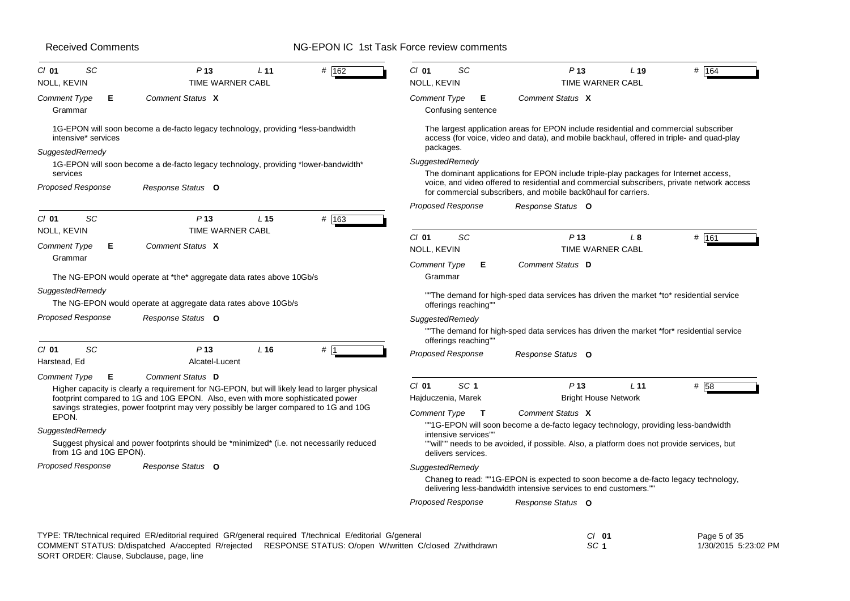| <b>Received Comments</b>                                                                                                                                                                                                         | NG-EPON IC 1st Task Force review comments                                                                                                                                                      |
|----------------------------------------------------------------------------------------------------------------------------------------------------------------------------------------------------------------------------------|------------------------------------------------------------------------------------------------------------------------------------------------------------------------------------------------|
| # 162<br>$CI$ 01<br>SC<br>P <sub>13</sub><br>L 11<br>NOLL, KEVIN<br><b>TIME WARNER CABL</b>                                                                                                                                      | # 164<br>$CI$ 01<br>SC<br>P <sub>13</sub><br>L <sub>19</sub><br>NOLL, KEVIN<br>TIME WARNER CABL                                                                                                |
| <b>Comment Type</b><br>Comment Status X<br>Е<br>Grammar                                                                                                                                                                          | <b>Comment Type</b><br>Е<br>Comment Status X<br>Confusing sentence                                                                                                                             |
| 1G-EPON will soon become a de-facto legacy technology, providing *less-bandwidth<br>intensive* services                                                                                                                          | The largest application areas for EPON include residential and commercial subscriber<br>access (for voice, video and data), and mobile backhaul, offered in triple- and quad-play<br>packages. |
| SuggestedRemedy<br>1G-EPON will soon become a de-facto legacy technology, providing *lower-bandwidth*<br>services                                                                                                                | SuggestedRemedy<br>The dominant applications for EPON include triple-play packages for Internet access,                                                                                        |
| Proposed Response<br>Response Status O                                                                                                                                                                                           | voice, and video offered to residential and commercial subscribers, private network access<br>for commercial subscribers, and mobile back0haul for carriers.                                   |
|                                                                                                                                                                                                                                  | <b>Proposed Response</b><br>Response Status O                                                                                                                                                  |
| # 163<br>SC<br>$Cl$ 01<br>P <sub>13</sub><br>L <sub>15</sub>                                                                                                                                                                     |                                                                                                                                                                                                |
| NOLL, KEVIN<br>TIME WARNER CABL<br><b>Comment Type</b><br>Comment Status X<br>Е                                                                                                                                                  | <b>SC</b><br>P <sub>13</sub><br># 161<br>$Cl$ 01<br>L 8<br>NOLL, KEVIN<br><b>TIME WARNER CABL</b>                                                                                              |
| Grammar<br>The NG-EPON would operate at *the* aggregate data rates above 10Gb/s                                                                                                                                                  | Comment Status D<br><b>Comment Type</b><br>Е<br>Grammar                                                                                                                                        |
| SuggestedRemedy<br>The NG-EPON would operate at aggregate data rates above 10Gb/s                                                                                                                                                | "The demand for high-sped data services has driven the market *to* residential service<br>offerings reaching""                                                                                 |
| Proposed Response<br>Response Status O                                                                                                                                                                                           | SuggestedRemedy<br>"The demand for high-sped data services has driven the market *for* residential service<br>offerings reaching""                                                             |
| SC<br>P <sub>13</sub><br>L <sub>16</sub><br>$#$ 1<br>$CI$ 01<br>Harstead, Ed<br>Alcatel-Lucent                                                                                                                                   | <b>Proposed Response</b><br>Response Status O                                                                                                                                                  |
| <b>Comment Type</b><br>Е<br>Comment Status D<br>Higher capacity is clearly a requirement for NG-EPON, but will likely lead to larger physical<br>footprint compared to 1G and 10G EPON. Also, even with more sophisticated power | $Cl$ 01<br>SC <sub>1</sub><br>P <sub>13</sub><br>L <sub>11</sub><br># 58<br><b>Bright House Network</b><br>Hajduczenia, Marek                                                                  |
| savings strategies, power footprint may very possibly be larger compared to 1G and 10G<br>EPON.                                                                                                                                  | Comment Status X<br><b>Comment Type</b><br>$\mathsf{T}$                                                                                                                                        |
| SuggestedRemedy                                                                                                                                                                                                                  | ""1G-EPON will soon become a de-facto legacy technology, providing less-bandwidth<br>intensive services"                                                                                       |
| Suggest physical and power footprints should be *minimized* (i.e. not necessarily reduced<br>from 1G and 10G EPON).                                                                                                              | ""will"" needs to be avoided, if possible. Also, a platform does not provide services, but<br>delivers services.                                                                               |
| Proposed Response<br>Response Status O                                                                                                                                                                                           | SuggestedRemedy<br>Chaneg to read: ""1G-EPON is expected to soon become a de-facto legacy technology,<br>delivering less-bandwidth intensive services to end customers.""                      |
|                                                                                                                                                                                                                                  | <b>Proposed Response</b><br>Response Status O                                                                                                                                                  |
|                                                                                                                                                                                                                                  |                                                                                                                                                                                                |

| TYPE: TR/technical required ER/editorial required GR/general required T/technical E/editorial G/general | $CI$ 01                                                                                                   | Page 5 of 35 |                      |
|---------------------------------------------------------------------------------------------------------|-----------------------------------------------------------------------------------------------------------|--------------|----------------------|
|                                                                                                         | COMMENT STATUS: D/dispatched A/accepted R/reiected RESPONSE STATUS: O/open W/written C/closed Z/withdrawn | -SC *        | 1/30/2015 5:23:02 PM |
| SORT ORDER: Clause, Subclause, page, line                                                               |                                                                                                           |              |                      |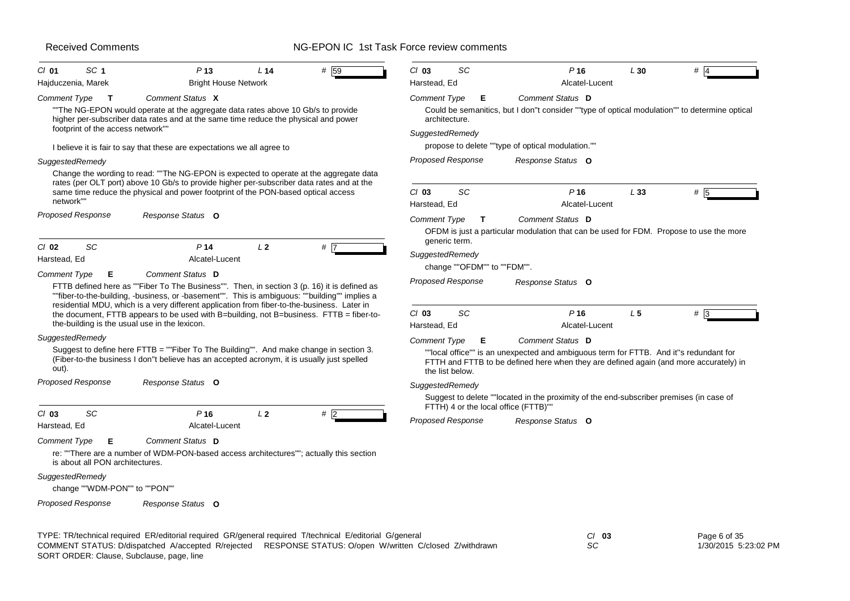# NG-EPON IC 1st Task Force review comments

| SC <sub>1</sub><br>$CI$ 01                            | P <sub>13</sub>                                                                                                                                                                                                                                                                             | L <sub>14</sub> | # 59  | $Cl$ 03                  | SC                 | P <sub>16</sub>                                                                                                                                                                | L30            | #   |
|-------------------------------------------------------|---------------------------------------------------------------------------------------------------------------------------------------------------------------------------------------------------------------------------------------------------------------------------------------------|-----------------|-------|--------------------------|--------------------|--------------------------------------------------------------------------------------------------------------------------------------------------------------------------------|----------------|-----|
| Hajduczenia, Marek                                    | <b>Bright House Network</b>                                                                                                                                                                                                                                                                 |                 |       | Harstead, Ed             |                    | Alcatel-Lucent                                                                                                                                                                 |                |     |
| Comment Type<br>$\mathbf{T}$                          | Comment Status X                                                                                                                                                                                                                                                                            |                 |       | Comment Type             | Е                  | Comment Status D                                                                                                                                                               |                |     |
|                                                       | "The NG-EPON would operate at the aggregate data rates above 10 Gb/s to provide<br>higher per-subscriber data rates and at the same time reduce the physical and power                                                                                                                      |                 |       | architecture.            |                    | Could be semanitics, but I don"t consider ""type of optical modulation"" to determine optical                                                                                  |                |     |
| footprint of the access network""                     |                                                                                                                                                                                                                                                                                             |                 |       | SuggestedRemedy          |                    |                                                                                                                                                                                |                |     |
|                                                       | I believe it is fair to say that these are expectations we all agree to                                                                                                                                                                                                                     |                 |       |                          |                    | propose to delete ""type of optical modulation.""                                                                                                                              |                |     |
| SuggestedRemedy                                       |                                                                                                                                                                                                                                                                                             |                 |       | <b>Proposed Response</b> |                    | Response Status O                                                                                                                                                              |                |     |
|                                                       | Change the wording to read: ""The NG-EPON is expected to operate at the aggregate data<br>rates (per OLT port) above 10 Gb/s to provide higher per-subscriber data rates and at the<br>same time reduce the physical and power footprint of the PON-based optical access                    |                 |       | $Cl$ 03                  | SC                 | P <sub>16</sub>                                                                                                                                                                | L33            | # 5 |
| network"                                              |                                                                                                                                                                                                                                                                                             |                 |       | Harstead, Ed             |                    | Alcatel-Lucent                                                                                                                                                                 |                |     |
| <b>Proposed Response</b>                              | Response Status O                                                                                                                                                                                                                                                                           |                 |       | Comment Type             | T<br>generic term. | Comment Status D<br>OFDM is just a particular modulation that can be used for FDM. Propose to use the more                                                                     |                |     |
| SC<br>$CI$ 02                                         | P <sub>14</sub>                                                                                                                                                                                                                                                                             | L <sub>2</sub>  | $#$ 7 |                          |                    |                                                                                                                                                                                |                |     |
| Harstead, Ed                                          | Alcatel-Lucent                                                                                                                                                                                                                                                                              |                 |       | SuggestedRemedy          |                    | change ""OFDM"" to ""FDM"".                                                                                                                                                    |                |     |
| Comment Type<br>Е                                     | Comment Status D                                                                                                                                                                                                                                                                            |                 |       |                          |                    |                                                                                                                                                                                |                |     |
|                                                       | FTTB defined here as ""Fiber To The Business"". Then, in section 3 (p. 16) it is defined as<br>""fiber-to-the-building, -business, or -basement"". This is ambiguous: ""building"" implies a<br>residential MDU, which is a very different application from fiber-to-the-business. Later in |                 |       | <b>Proposed Response</b> |                    | Response Status O                                                                                                                                                              |                |     |
| the-building is the usual use in the lexicon.         | the document, FTTB appears to be used with B=building, not B=business. FTTB = fiber-to-                                                                                                                                                                                                     |                 |       | $Cl$ 03<br>Harstead, Ed  | SC                 | P16<br>Alcatel-Lucent                                                                                                                                                          | L <sub>5</sub> | #3  |
| SuggestedRemedy                                       |                                                                                                                                                                                                                                                                                             |                 |       | <b>Comment Type</b>      | Е                  | Comment Status D                                                                                                                                                               |                |     |
| out).                                                 | Suggest to define here FTTB = ""Fiber To The Building"". And make change in section 3.<br>(Fiber-to-the business I don"t believe has an accepted acronym, it is usually just spelled                                                                                                        |                 |       |                          | the list below.    | ""local office"" is an unexpected and ambiguous term for FTTB. And it"s redundant for<br>FTTH and FTTB to be defined here when they are defined again (and more accurately) in |                |     |
| <b>Proposed Response</b>                              | Response Status O                                                                                                                                                                                                                                                                           |                 |       | SuggestedRemedy          |                    |                                                                                                                                                                                |                |     |
|                                                       |                                                                                                                                                                                                                                                                                             |                 |       |                          |                    | Suggest to delete ""located in the proximity of the end-subscriber premises (in case of<br>FTTH) 4 or the local office (FTTB)""                                                |                |     |
| $Cl$ 03<br>SC<br>Harstead, Ed                         | P <sub>16</sub><br>Alcatel-Lucent                                                                                                                                                                                                                                                           | L2              | # 2   | <b>Proposed Response</b> |                    | Response Status O                                                                                                                                                              |                |     |
| Comment Type<br>E.<br>is about all PON architectures. | Comment Status D<br>re: "There are a number of WDM-PON-based access architectures""; actually this section                                                                                                                                                                                  |                 |       |                          |                    |                                                                                                                                                                                |                |     |
| SuggestedRemedy<br>change ""WDM-PON"" to ""PON""      |                                                                                                                                                                                                                                                                                             |                 |       |                          |                    |                                                                                                                                                                                |                |     |
| <b>Proposed Response</b>                              | Response Status O                                                                                                                                                                                                                                                                           |                 |       |                          |                    |                                                                                                                                                                                |                |     |

TYPE: TR/technical required ER/editorial required GR/general required T/technical E/editorial G/general *Cl* **03** SORT ORDER: Clause, Subclause, page, line COMMENT STATUS: D/dispatched A/accepted R/rejected RESPONSE STATUS: O/open W/written C/closed Z/withdrawn

*SC*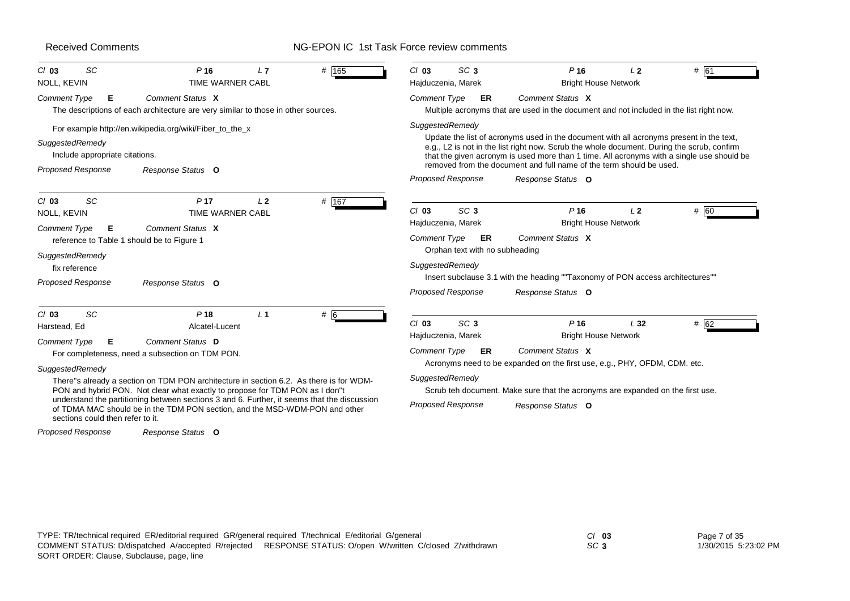# NG-EPON IC 1st Task Force review comments

| SC<br>$Cl$ 03<br>NOLL, KEVIN                                                              | P <sub>16</sub><br>L7<br><b>TIME WARNER CABL</b>                                                                                                                           | # 165 | SC <sub>3</sub><br>$Cl$ 03<br>Hajduczenia, Marek                             | P <sub>16</sub><br><b>Bright House Network</b>                                                                                                                                                                                                                                                                                                            | 12             | # 61 |
|-------------------------------------------------------------------------------------------|----------------------------------------------------------------------------------------------------------------------------------------------------------------------------|-------|------------------------------------------------------------------------------|-----------------------------------------------------------------------------------------------------------------------------------------------------------------------------------------------------------------------------------------------------------------------------------------------------------------------------------------------------------|----------------|------|
| <b>Comment Type</b><br>Е                                                                  | Comment Status X<br>The descriptions of each architecture are very similar to those in other sources.                                                                      |       | Comment Type<br>ER                                                           | Comment Status X<br>Multiple acronyms that are used in the document and not included in the list right now.                                                                                                                                                                                                                                               |                |      |
| SuggestedRemedy<br>Include appropriate citations.<br><b>Proposed Response</b>             | For example http://en.wikipedia.org/wiki/Fiber_to_the_x<br>Response Status O                                                                                               |       | SuggestedRemedy                                                              | Update the list of acronyms used in the document with all acronyms present in the text,<br>e.g., L2 is not in the list right now. Scrub the whole document. During the scrub, confirm<br>that the given acronym is used more than 1 time. All acronyms with a single use should be<br>removed from the document and full name of the term should be used. |                |      |
| SC<br>$Cl$ 03<br>NOLL, KEVIN                                                              | P <sub>17</sub><br>L <sub>2</sub><br><b>TIME WARNER CABL</b><br>Comment Status X                                                                                           | # 167 | <b>Proposed Response</b><br>SC <sub>3</sub><br>$Cl$ 03<br>Hajduczenia, Marek | Response Status O<br>P <sub>16</sub><br><b>Bright House Network</b>                                                                                                                                                                                                                                                                                       | L <sub>2</sub> | # 60 |
| <b>Comment Type</b><br>Е<br>reference to Table 1 should be to Figure 1<br>SuggestedRemedy |                                                                                                                                                                            |       | <b>Comment Type</b><br>ER<br>Orphan text with no subheading                  | Comment Status X                                                                                                                                                                                                                                                                                                                                          |                |      |
| fix reference<br><b>Proposed Response</b>                                                 | Response Status O                                                                                                                                                          |       | SuggestedRemedy<br><b>Proposed Response</b>                                  | Insert subclause 3.1 with the heading ""Taxonomy of PON access architectures""<br>Response Status O                                                                                                                                                                                                                                                       |                |      |
| SC<br>$Cl$ 03<br>Harstead, Ed<br><b>Comment Type</b><br>Е                                 | P <sub>18</sub><br>L <sub>1</sub><br>Alcatel-Lucent<br>Comment Status D                                                                                                    | # 6   | $Cl$ 03<br>SC <sub>3</sub><br>Hajduczenia, Marek                             | P <sub>16</sub><br><b>Bright House Network</b>                                                                                                                                                                                                                                                                                                            | L32            | # 62 |
|                                                                                           | For completeness, need a subsection on TDM PON.                                                                                                                            |       | <b>Comment Type</b><br>ER                                                    | Comment Status X<br>Acronyms need to be expanded on the first use, e.g., PHY, OFDM, CDM. etc.                                                                                                                                                                                                                                                             |                |      |
| SuggestedRemedy                                                                           | There"s already a section on TDM PON architecture in section 6.2. As there is for WDM-<br>PON and hybrid PON. Not clear what exactly to propose for TDM PON as I don't     |       | SuggestedRemedy                                                              | Scrub teh document. Make sure that the acronyms are expanded on the first use.                                                                                                                                                                                                                                                                            |                |      |
| sections could then refer to it.                                                          | understand the partitioning between sections 3 and 6. Further, it seems that the discussion<br>of TDMA MAC should be in the TDM PON section, and the MSD-WDM-PON and other |       | <b>Proposed Response</b>                                                     | Response Status O                                                                                                                                                                                                                                                                                                                                         |                |      |

*Response Status* **O** *Proposed Response*

TYPE: TR/technical required ER/editorial required GR/general required T/technical E/editorial G/general *Cl* **03** SORT ORDER: Clause, Subclause, page, line COMMENT STATUS: D/dispatched A/accepted R/rejected RESPONSE STATUS: O/open W/written C/closed Z/withdrawn

*SC* **3**

Page 7 of 35 1/30/2015 5:23:02 PM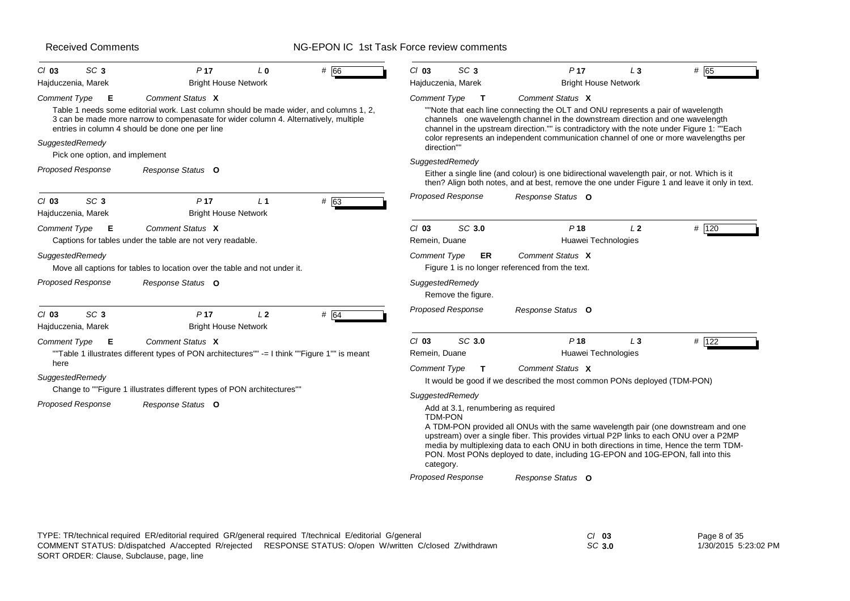| SC <sub>3</sub><br>$Cl$ 03<br>Hajduczenia, Marek                                                          | P <sub>17</sub><br>L <sub>0</sub><br><b>Bright House Network</b>                                                                                                                                                                                                           | # 66 | SC <sub>3</sub><br>$Cl$ 03<br>Hajduczenia, Marek                                                                  | P <sub>17</sub><br><b>Bright House Network</b>                                                                                                                                                                                                                                                                                                                                                                                                                                                                                                                              | $L_3$          | # 65  |
|-----------------------------------------------------------------------------------------------------------|----------------------------------------------------------------------------------------------------------------------------------------------------------------------------------------------------------------------------------------------------------------------------|------|-------------------------------------------------------------------------------------------------------------------|-----------------------------------------------------------------------------------------------------------------------------------------------------------------------------------------------------------------------------------------------------------------------------------------------------------------------------------------------------------------------------------------------------------------------------------------------------------------------------------------------------------------------------------------------------------------------------|----------------|-------|
| <b>Comment Type</b><br>Е<br>SuggestedRemedy<br>Pick one option, and implement<br><b>Proposed Response</b> | Comment Status X<br>Table 1 needs some editorial work. Last column should be made wider, and columns 1, 2,<br>3 can be made more narrow to compenasate for wider column 4. Alternatively, multiple<br>entries in column 4 should be done one per line<br>Response Status O |      | <b>Comment Type</b><br>$\mathbf{T}$<br>direction""<br>SuggestedRemedy                                             | Comment Status X<br>"Note that each line connecting the OLT and ONU represents a pair of wavelength<br>channels one wavelength channel in the downstream direction and one wavelength<br>channel in the upstream direction."" is contradictory with the note under Figure 1: ""Each<br>color represents an independent communication channel of one or more wavelengths per<br>Either a single line (and colour) is one bidirectional wavelength pair, or not. Which is it<br>then? Align both notes, and at best, remove the one under Figure 1 and leave it only in text. |                |       |
| SC <sub>3</sub><br>$Cl$ 03<br>Hajduczenia, Marek                                                          | P <sub>17</sub><br>L <sub>1</sub><br><b>Bright House Network</b>                                                                                                                                                                                                           | # 63 | <b>Proposed Response</b>                                                                                          | Response Status O                                                                                                                                                                                                                                                                                                                                                                                                                                                                                                                                                           |                |       |
| <b>Comment Type</b><br>Е<br>SuggestedRemedy                                                               | Comment Status X<br>Captions for tables under the table are not very readable.<br>Move all captions for tables to location over the table and not under it.                                                                                                                |      | SC 3.0<br>$Cl$ 03<br>Remein, Duane<br><b>Comment Type</b><br>ER.                                                  | P <sub>18</sub><br>Huawei Technologies<br>Comment Status X<br>Figure 1 is no longer referenced from the text.                                                                                                                                                                                                                                                                                                                                                                                                                                                               | L <sub>2</sub> | # 120 |
| <b>Proposed Response</b>                                                                                  | Response Status O                                                                                                                                                                                                                                                          |      | SuggestedRemedy<br>Remove the figure.                                                                             |                                                                                                                                                                                                                                                                                                                                                                                                                                                                                                                                                                             |                |       |
| SC <sub>3</sub><br>$Cl$ 03<br>Hajduczenia, Marek                                                          | P <sub>17</sub><br>L <sub>2</sub><br><b>Bright House Network</b>                                                                                                                                                                                                           | # 64 | <b>Proposed Response</b>                                                                                          | Response Status O                                                                                                                                                                                                                                                                                                                                                                                                                                                                                                                                                           |                |       |
| <b>Comment Type</b><br>E<br>here<br>SuggestedRemedy                                                       | Comment Status X<br>""Table 1 illustrates different types of PON architectures"" -= I think ""Figure 1"" is meant                                                                                                                                                          |      | SC <sub>3.0</sub><br>$Cl$ 03<br>Remein, Duane<br><b>Comment Type</b><br>T                                         | P18<br>Huawei Technologies<br>Comment Status X<br>It would be good if we described the most common PONs deployed (TDM-PON)                                                                                                                                                                                                                                                                                                                                                                                                                                                  | $L_3$          | # 122 |
| <b>Proposed Response</b>                                                                                  | Change to ""Figure 1 illustrates different types of PON architectures""<br>Response Status O                                                                                                                                                                               |      | SuggestedRemedy<br>Add at 3.1, renumbering as required<br><b>TDM-PON</b><br>category.<br><b>Proposed Response</b> | A TDM-PON provided all ONUs with the same wavelength pair (one downstream and one<br>upstream) over a single fiber. This provides virtual P2P links to each ONU over a P2MP<br>media by multiplexing data to each ONU in both directions in time. Hence the term TDM-<br>PON. Most PONs deployed to date, including 1G-EPON and 10G-EPON, fall into this<br>Response Status O                                                                                                                                                                                               |                |       |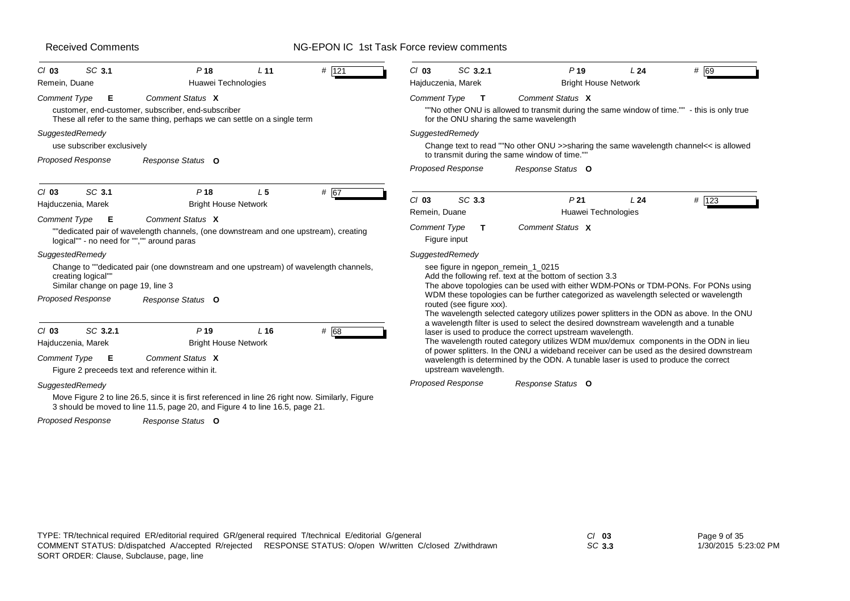# NG-EPON IC 1st Task Force review comments

| SC 3.1<br>$Cl$ 03                                       | P <sub>18</sub><br>L <sub>11</sub>                                                                                                                                               | $#$ 121 | $Cl$ 03                                                                                                                                                                                                                                                                                                                               | SC 3.2.1                 | P <sub>19</sub>                                                                                                                                                                     | L24 | # 69  |  |
|---------------------------------------------------------|----------------------------------------------------------------------------------------------------------------------------------------------------------------------------------|---------|---------------------------------------------------------------------------------------------------------------------------------------------------------------------------------------------------------------------------------------------------------------------------------------------------------------------------------------|--------------------------|-------------------------------------------------------------------------------------------------------------------------------------------------------------------------------------|-----|-------|--|
| Remein, Duane                                           | Huawei Technologies                                                                                                                                                              |         |                                                                                                                                                                                                                                                                                                                                       | Hajduczenia, Marek       | <b>Bright House Network</b>                                                                                                                                                         |     |       |  |
| Comment Type<br>Е                                       | Comment Status X<br>customer, end-customer, subscriber, end-subscriber<br>These all refer to the same thing, perhaps we can settle on a single term                              |         | <b>Comment Type</b>                                                                                                                                                                                                                                                                                                                   | т                        | Comment Status X<br>"No other ONU is allowed to transmit during the same window of time."" - this is only true<br>for the ONU sharing the same wavelength                           |     |       |  |
| SuggestedRemedy                                         |                                                                                                                                                                                  |         | SuggestedRemedy                                                                                                                                                                                                                                                                                                                       |                          |                                                                                                                                                                                     |     |       |  |
| use subscriber exclusively                              |                                                                                                                                                                                  |         |                                                                                                                                                                                                                                                                                                                                       |                          | Change text to read ""No other ONU >>sharing the same wavelength channel<< is allowed<br>to transmit during the same window of time.""                                              |     |       |  |
| <b>Proposed Response</b>                                | Response Status O                                                                                                                                                                |         |                                                                                                                                                                                                                                                                                                                                       | <b>Proposed Response</b> | Response Status O                                                                                                                                                                   |     |       |  |
| SC 3.1<br>$Cl$ 03<br>Hajduczenia, Marek                 | P <sub>18</sub><br>L <sub>5</sub><br><b>Bright House Network</b>                                                                                                                 | # 67    | $Cl$ 03                                                                                                                                                                                                                                                                                                                               | SC 3.3                   | P <sub>21</sub>                                                                                                                                                                     | L24 | # 123 |  |
| Comment Type<br>Е                                       | Comment Status X                                                                                                                                                                 |         | Remein, Duane                                                                                                                                                                                                                                                                                                                         |                          | Huawei Technologies                                                                                                                                                                 |     |       |  |
| logical"" - no need for "","" around paras              | ""dedicated pair of wavelength channels, (one downstream and one upstream), creating                                                                                             |         | <b>Comment Type</b>                                                                                                                                                                                                                                                                                                                   | T<br>Figure input        | Comment Status X                                                                                                                                                                    |     |       |  |
| SuggestedRemedy                                         |                                                                                                                                                                                  |         | SuggestedRemedy                                                                                                                                                                                                                                                                                                                       |                          |                                                                                                                                                                                     |     |       |  |
| creating logical""<br>Similar change on page 19, line 3 | Change to ""dedicated pair (one downstream and one upstream) of wavelength channels,                                                                                             |         |                                                                                                                                                                                                                                                                                                                                       |                          | see figure in ngepon_remein_1_0215<br>Add the following ref. text at the bottom of section 3.3<br>The above topologies can be used with either WDM-PONs or TDM-PONs. For PONs using |     |       |  |
| <b>Proposed Response</b>                                | Response Status O                                                                                                                                                                |         |                                                                                                                                                                                                                                                                                                                                       | routed (see figure xxx). | WDM these topologies can be further categorized as wavelength selected or wavelength<br>The wavelength selected category utilizes power splitters in the ODN as above. In the ONU   |     |       |  |
| SC 3.2.1<br>$Cl$ 03<br>Hajduczenia, Marek               | P <sub>19</sub><br>$L$ 16<br><b>Bright House Network</b>                                                                                                                         | $#$ 68  | a wavelength filter is used to select the desired downstream wavelength and a tunable<br>laser is used to produce the correct upstream wavelength.<br>The wavelength routed category utilizes WDM mux/demux components in the ODN in lieu<br>of power splitters. In the ONU a wideband receiver can be used as the desired downstream |                          |                                                                                                                                                                                     |     |       |  |
| Comment Type<br>E                                       | Comment Status X<br>Figure 2 preceeds text and reference within it.                                                                                                              |         |                                                                                                                                                                                                                                                                                                                                       | upstream wavelength.     | wavelength is determined by the ODN. A tunable laser is used to produce the correct                                                                                                 |     |       |  |
| SuggestedRemedy                                         | Move Figure 2 to line 26.5, since it is first referenced in line 26 right now. Similarly, Figure<br>3 should be moved to line 11.5, page 20, and Figure 4 to line 16.5, page 21. |         |                                                                                                                                                                                                                                                                                                                                       | <b>Proposed Response</b> | Response Status O                                                                                                                                                                   |     |       |  |
| <b>Proposed Response</b>                                | Response Status O                                                                                                                                                                |         |                                                                                                                                                                                                                                                                                                                                       |                          |                                                                                                                                                                                     |     |       |  |

*SC* **3.3**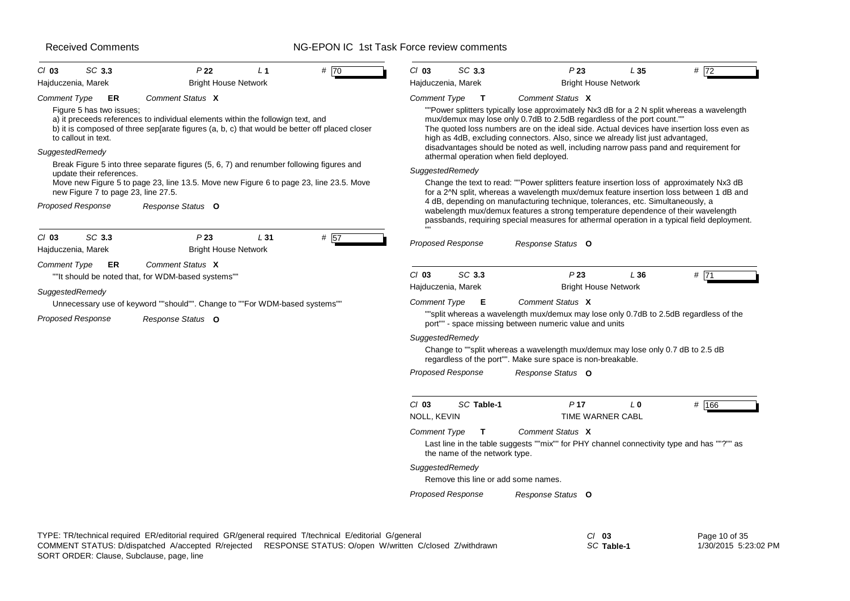# NG-EPON IC 1st Task Force review comments

| $Cl$ 03<br>Hajduczenia, Marek | SC 3.3                                                          | P <sub>22</sub><br><b>Bright House Network</b>                                                                                                                                   | L <sub>1</sub>  | # $70$ | $Cl$ 03                                                                                                                                         | SC 3.3<br>Hajduczenia, Marek        | P23<br><b>Bright House Network</b>                                                                                                                                                                                                                                                                                                                                                                                                            | L35            | # 72  |
|-------------------------------|-----------------------------------------------------------------|----------------------------------------------------------------------------------------------------------------------------------------------------------------------------------|-----------------|--------|-------------------------------------------------------------------------------------------------------------------------------------------------|-------------------------------------|-----------------------------------------------------------------------------------------------------------------------------------------------------------------------------------------------------------------------------------------------------------------------------------------------------------------------------------------------------------------------------------------------------------------------------------------------|----------------|-------|
| <b>Comment Type</b>           | ER                                                              | Comment Status X                                                                                                                                                                 |                 |        | Comment Type                                                                                                                                    | $\mathbf{T}$                        | Comment Status X                                                                                                                                                                                                                                                                                                                                                                                                                              |                |       |
| SuggestedRemedy               | Figure 5 has two issues;<br>to callout in text.                 | a) it preceeds references to individual elements within the followign text, and<br>b) it is composed of three sep[arate figures (a, b, c) that would be better off placed closer |                 |        |                                                                                                                                                 |                                     | ""Power splitters typically lose approximately Nx3 dB for a 2 N split whereas a wavelength<br>mux/demux may lose only 0.7dB to 2.5dB regardless of the port count.""<br>The quoted loss numbers are on the ideal side. Actual devices have insertion loss even as<br>high as 4dB, excluding connectors. Also, since we already list just advantaged,<br>disadvantages should be noted as well, including narrow pass pand and requirement for |                |       |
|                               |                                                                 | Break Figure 5 into three separate figures (5, 6, 7) and renumber following figures and                                                                                          |                 |        |                                                                                                                                                 |                                     | athermal operation when field deployed.                                                                                                                                                                                                                                                                                                                                                                                                       |                |       |
|                               | update their references.<br>new Figure 7 to page 23, line 27.5. | Move new Figure 5 to page 23, line 13.5. Move new Figure 6 to page 23, line 23.5. Move                                                                                           |                 |        | SuggestedRemedy                                                                                                                                 |                                     | Change the text to read: ""Power splitters feature insertion loss of approximately Nx3 dB<br>for a 2^N split, whereas a wavelength mux/demux feature insertion loss between 1 dB and                                                                                                                                                                                                                                                          |                |       |
|                               | <b>Proposed Response</b>                                        | Response Status O                                                                                                                                                                |                 |        |                                                                                                                                                 |                                     | 4 dB, depending on manufacturing technique, tolerances, etc. Simultaneously, a<br>wabelength mux/demux features a strong temperature dependence of their wavelength<br>passbands, requiring special measures for athermal operation in a typical field deployment.                                                                                                                                                                            |                |       |
| $CI$ 03<br>Hajduczenia, Marek | SC 3.3                                                          | P23<br><b>Bright House Network</b>                                                                                                                                               | L <sub>31</sub> | # 57   |                                                                                                                                                 | <b>Proposed Response</b>            | Response Status O                                                                                                                                                                                                                                                                                                                                                                                                                             |                |       |
| Comment Type                  | ER                                                              | Comment Status X<br>""It should be noted that, for WDM-based systems""                                                                                                           |                 |        | $Cl$ 03                                                                                                                                         | SC 3.3                              | P23                                                                                                                                                                                                                                                                                                                                                                                                                                           | L36            | # 71  |
| SuggestedRemedy               |                                                                 |                                                                                                                                                                                  |                 |        |                                                                                                                                                 | Hajduczenia, Marek                  | <b>Bright House Network</b>                                                                                                                                                                                                                                                                                                                                                                                                                   |                |       |
|                               |                                                                 | Unnecessary use of keyword ""should"". Change to ""For WDM-based systems""                                                                                                       |                 |        | Comment Type                                                                                                                                    | - E                                 | Comment Status X                                                                                                                                                                                                                                                                                                                                                                                                                              |                |       |
|                               | <b>Proposed Response</b>                                        | Response Status O                                                                                                                                                                |                 |        | ""split whereas a wavelength mux/demux may lose only 0.7dB to 2.5dB regardless of the<br>port"" - space missing between numeric value and units |                                     |                                                                                                                                                                                                                                                                                                                                                                                                                                               |                |       |
|                               |                                                                 |                                                                                                                                                                                  |                 |        |                                                                                                                                                 | SuggestedRemedy                     |                                                                                                                                                                                                                                                                                                                                                                                                                                               |                |       |
|                               |                                                                 |                                                                                                                                                                                  |                 |        |                                                                                                                                                 |                                     | Change to ""split whereas a wavelength mux/demux may lose only 0.7 dB to 2.5 dB<br>regardless of the port"". Make sure space is non-breakable.                                                                                                                                                                                                                                                                                                |                |       |
|                               |                                                                 |                                                                                                                                                                                  |                 |        |                                                                                                                                                 | <b>Proposed Response</b>            | Response Status O                                                                                                                                                                                                                                                                                                                                                                                                                             |                |       |
|                               |                                                                 |                                                                                                                                                                                  |                 |        | $Cl$ 03<br>NOLL, KEVIN                                                                                                                          | SC Table-1                          | P <sub>17</sub><br>TIME WARNER CABL                                                                                                                                                                                                                                                                                                                                                                                                           | L <sub>0</sub> | # 166 |
|                               |                                                                 |                                                                                                                                                                                  |                 |        | <b>Comment Type</b>                                                                                                                             | T<br>the name of the network type.  | Comment Status X<br>Last line in the table suggests ""mix"" for PHY channel connectivity type and has ""?"" as                                                                                                                                                                                                                                                                                                                                |                |       |
|                               |                                                                 |                                                                                                                                                                                  |                 |        | SuggestedRemedy                                                                                                                                 |                                     |                                                                                                                                                                                                                                                                                                                                                                                                                                               |                |       |
|                               |                                                                 |                                                                                                                                                                                  |                 |        |                                                                                                                                                 | Remove this line or add some names. |                                                                                                                                                                                                                                                                                                                                                                                                                                               |                |       |
|                               |                                                                 |                                                                                                                                                                                  |                 |        |                                                                                                                                                 | <b>Proposed Response</b>            | Response Status O                                                                                                                                                                                                                                                                                                                                                                                                                             |                |       |
|                               |                                                                 |                                                                                                                                                                                  |                 |        |                                                                                                                                                 |                                     |                                                                                                                                                                                                                                                                                                                                                                                                                                               |                |       |

*SC* **Table-1**

Page 10 of 35 1/30/2015 5:23:02 PM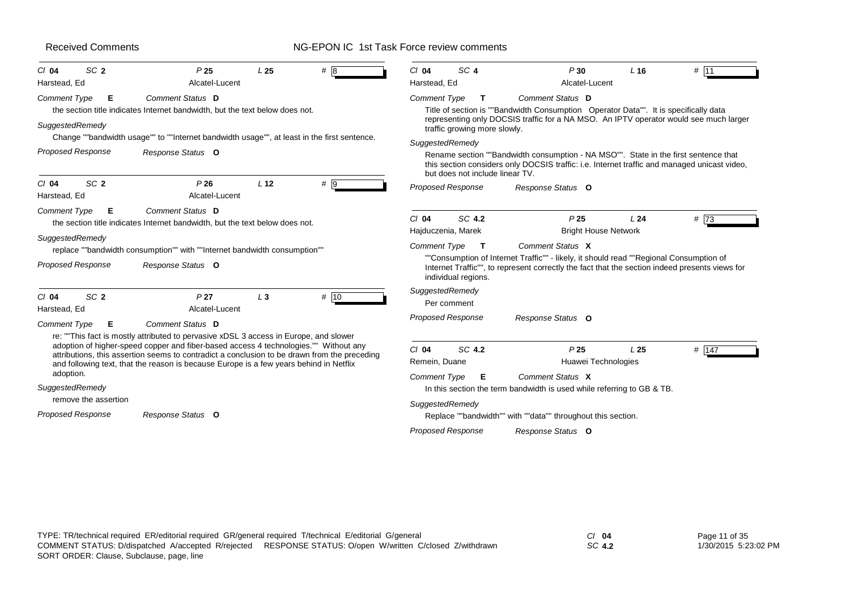# NG-EPON IC 1st Task Force review comments

| SC <sub>2</sub><br>$Cl$ 04<br>Harstead, Ed                          | P <sub>25</sub><br>Alcatel-Lucent                                                                                                                                                                                                                                              | L <sub>25</sub> | # 8  | $Cl$ 04<br>Harstead, Ed                              | SC <sub>4</sub>                    | P30<br>Alcatel-Lucent                                                                                                                                                                                                                                          | $L$ 16          | # 111   |
|---------------------------------------------------------------------|--------------------------------------------------------------------------------------------------------------------------------------------------------------------------------------------------------------------------------------------------------------------------------|-----------------|------|------------------------------------------------------|------------------------------------|----------------------------------------------------------------------------------------------------------------------------------------------------------------------------------------------------------------------------------------------------------------|-----------------|---------|
| <b>Comment Type</b><br>Е<br>SuggestedRemedy                         | Comment Status D<br>the section title indicates Internet bandwidth, but the text below does not.                                                                                                                                                                               |                 |      | <b>Comment Type</b>                                  | T<br>traffic growing more slowly.  | Comment Status D<br>Title of section is ""Bandwidth Consumption Operator Data"". It is specifically data<br>representing only DOCSIS traffic for a NA MSO. An IPTV operator would see much larger                                                              |                 |         |
| <b>Proposed Response</b>                                            | Change ""bandwidth usage"" to ""Internet bandwidth usage"", at least in the first sentence.<br>Response Status O                                                                                                                                                               |                 |      | SuggestedRemedy                                      | but does not include linear TV.    | Rename section ""Bandwidth consumption - NA MSO"". State in the first sentence that<br>this section considers only DOCSIS traffic: i.e. Internet traffic and managed unicast video,                                                                            |                 |         |
| SC <sub>2</sub><br>$Cl$ 04<br>Harstead, Ed                          | P26<br>Alcatel-Lucent                                                                                                                                                                                                                                                          | L <sub>12</sub> | # 9  |                                                      | Proposed Response                  | Response Status O                                                                                                                                                                                                                                              |                 |         |
| Comment Type<br>Е<br>SuggestedRemedy<br><b>Proposed Response</b>    | <b>Comment Status D</b><br>the section title indicates Internet bandwidth, but the text below does not.<br>replace ""bandwidth consumption"" with ""Internet bandwidth consumption""<br>Response Status O                                                                      |                 |      | $Cl$ 04<br>Hajduczenia, Marek<br><b>Comment Type</b> | SC 4.2<br>т<br>individual regions. | P <sub>25</sub><br><b>Bright House Network</b><br>Comment Status X<br>""Consumption of Internet Traffic"" - likely, it should read ""Regional Consumption of<br>Internet Traffic"", to represent correctly the fact that the section indeed presents views for | L24             | $#$ 73  |
| SC <sub>2</sub><br>$Cl$ 04<br>Harstead, Ed<br>Comment Type<br>Е     | P <sub>27</sub><br>Alcatel-Lucent<br>Comment Status D<br>re: "This fact is mostly attributed to pervasive xDSL 3 access in Europe, and slower                                                                                                                                  | $L_3$           | # 10 | SuggestedRemedy<br><b>Proposed Response</b>          | Per comment                        | Response Status O                                                                                                                                                                                                                                              |                 |         |
| adoption.                                                           | adoption of higher-speed copper and fiber-based access 4 technologies."" Without any<br>attributions, this assertion seems to contradict a conclusion to be drawn from the preceding<br>and following text, that the reason is because Europe is a few years behind in Netflix |                 |      | $Cl$ 04<br>Remein, Duane<br><b>Comment Type</b>      | SC 4.2<br>Е                        | P <sub>25</sub><br>Huawei Technologies<br>Comment Status X                                                                                                                                                                                                     | L <sub>25</sub> | # $147$ |
| SuggestedRemedy<br>remove the assertion<br><b>Proposed Response</b> | Response Status O                                                                                                                                                                                                                                                              |                 |      | SuggestedRemedy                                      | <b>Proposed Response</b>           | In this section the term bandwidth is used while referring to GB & TB.<br>Replace ""bandwidth"" with ""data"" throughout this section.<br>Response Status O                                                                                                    |                 |         |

*SC* **4.2**

Page 11 of 35 1/30/2015 5:23:02 PM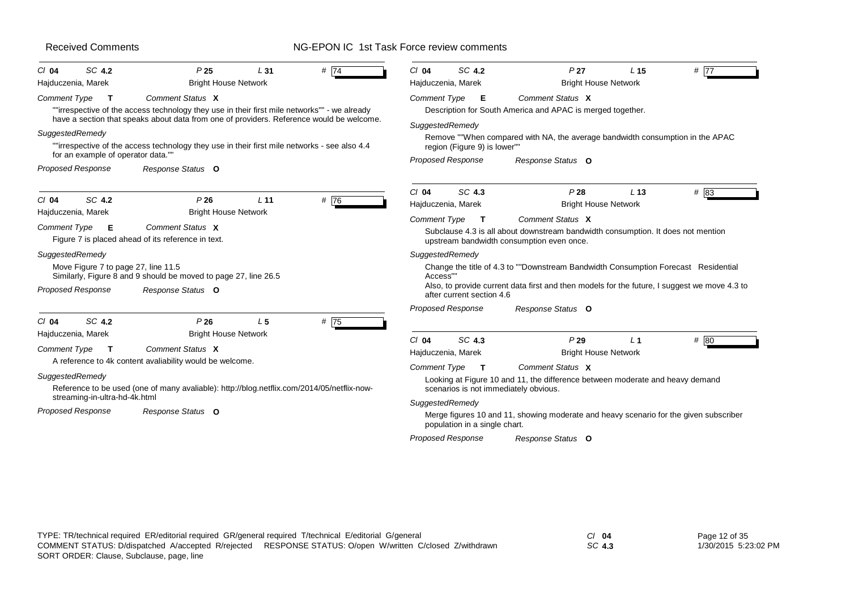| SC 4.2<br>$Cl$ 04<br>Hajduczenia, Marek                                                               | P <sub>25</sub><br><b>Bright House Network</b>                                                                                                                                                                                                                                                                                    | L31             | # $\overline{74}$ | $Cl$ 04                                | SC 4.2<br>Hajduczenia, Marek                                    | P <sub>27</sub><br><b>Bright House Network</b>                                                                                                                                       | L <sub>15</sub> | # 77   |
|-------------------------------------------------------------------------------------------------------|-----------------------------------------------------------------------------------------------------------------------------------------------------------------------------------------------------------------------------------------------------------------------------------------------------------------------------------|-----------------|-------------------|----------------------------------------|-----------------------------------------------------------------|--------------------------------------------------------------------------------------------------------------------------------------------------------------------------------------|-----------------|--------|
| Comment Type<br>T<br>SuggestedRemedy<br>for an example of operator data."<br><b>Proposed Response</b> | Comment Status X<br>""irrespective of the access technology they use in their first mile networks"" - we already<br>have a section that speaks about data from one of providers. Reference would be welcome.<br>""irrespective of the access technology they use in their first mile networks - see also 4.4<br>Response Status O |                 |                   | <b>Comment Type</b><br>SuggestedRemedy | - E<br>region (Figure 9) is lower""<br><b>Proposed Response</b> | Comment Status X<br>Description for South America and APAC is merged together.<br>Remove ""When compared with NA, the average bandwidth consumption in the APAC<br>Response Status O |                 |        |
| SC 4.2<br>$Cl$ 04                                                                                     | P26                                                                                                                                                                                                                                                                                                                               | L <sub>11</sub> | #76               | $Cl$ 04                                | SC 4.3<br>Hajduczenia, Marek                                    | P28<br><b>Bright House Network</b>                                                                                                                                                   | L <sub>13</sub> | $#$ 83 |
| Hajduczenia, Marek<br>Comment Type<br>E<br>Figure 7 is placed ahead of its reference in text.         | <b>Bright House Network</b><br>Comment Status X                                                                                                                                                                                                                                                                                   |                 |                   | <b>Comment Type</b>                    | $\mathbf{T}$                                                    | Comment Status X<br>Subclause 4.3 is all about downstream bandwidth consumption. It does not mention<br>upstream bandwidth consumption even once.                                    |                 |        |
| SuggestedRemedy<br>Move Figure 7 to page 27, line 11.5<br><b>Proposed Response</b>                    | Similarly, Figure 8 and 9 should be moved to page 27, line 26.5<br>Response Status O                                                                                                                                                                                                                                              |                 |                   | SuggestedRemedy<br>Access"             | after current section 4.6                                       | Change the title of 4.3 to ""Downstream Bandwidth Consumption Forecast Residential<br>Also, to provide current data first and then models for the future, I suggest we move 4.3 to   |                 |        |
| SC 4.2<br>$Cl$ 04                                                                                     | P26                                                                                                                                                                                                                                                                                                                               | L <sub>5</sub>  | # 75              |                                        | <b>Proposed Response</b>                                        | Response Status O                                                                                                                                                                    |                 |        |
| Hajduczenia, Marek<br>Comment Type<br>$\mathbf T$                                                     | <b>Bright House Network</b><br>Comment Status X<br>A reference to 4k content avaliability would be welcome.                                                                                                                                                                                                                       |                 |                   | $Cl$ 04<br><b>Comment Type</b>         | SC 4.3<br>Hajduczenia, Marek<br>$\mathbf{T}$                    | P29<br><b>Bright House Network</b><br>Comment Status X                                                                                                                               | L <sub>1</sub>  | # 80   |
| SuggestedRemedy<br>streaming-in-ultra-hd-4k.html                                                      | Reference to be used (one of many avaliable): http://blog.netflix.com/2014/05/netflix-now-                                                                                                                                                                                                                                        |                 |                   |                                        |                                                                 | Looking at Figure 10 and 11, the difference between moderate and heavy demand<br>scenarios is not immediately obvious.                                                               |                 |        |
| <b>Proposed Response</b>                                                                              | Response Status O                                                                                                                                                                                                                                                                                                                 |                 |                   | SuggestedRemedy                        |                                                                 | Merge figures 10 and 11, showing moderate and heavy scenario for the given subscriber                                                                                                |                 |        |
|                                                                                                       |                                                                                                                                                                                                                                                                                                                                   |                 |                   |                                        | population in a single chart.                                   |                                                                                                                                                                                      |                 |        |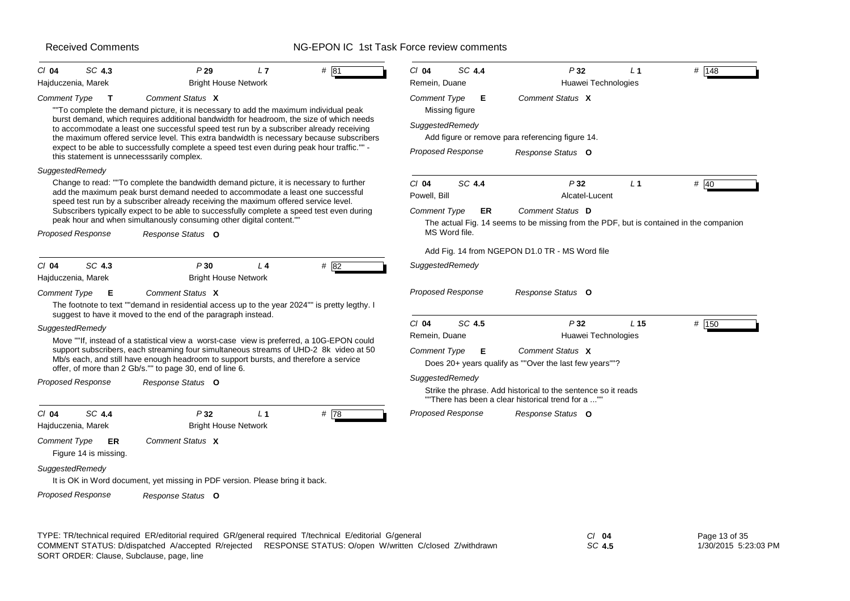#### NG-EPON IC 1st Task Force review comments

| $CI$ 04<br>Hajduczenia, Marek | SC 4.3                      | P29<br><b>Bright House Network</b>                                                                                                                                                                                                                                                                                                     | L7             | # 81 | $Cl$ 04<br>Remein, Duane      | SC 4.4 | P32<br>Huawei Technologies                                                                                          | L <sub>1</sub>  | # 148 |
|-------------------------------|-----------------------------|----------------------------------------------------------------------------------------------------------------------------------------------------------------------------------------------------------------------------------------------------------------------------------------------------------------------------------------|----------------|------|-------------------------------|--------|---------------------------------------------------------------------------------------------------------------------|-----------------|-------|
| Comment Type                  | $\mathbf{T}$                | Comment Status X                                                                                                                                                                                                                                                                                                                       |                |      | Comment Type                  | E      | Comment Status X                                                                                                    |                 |       |
|                               |                             | "To complete the demand picture, it is necessary to add the maximum individual peak                                                                                                                                                                                                                                                    |                |      | Missing figure                |        |                                                                                                                     |                 |       |
|                               |                             | burst demand, which requires additional bandwidth for headroom, the size of which needs<br>to accommodate a least one successful speed test run by a subscriber already receiving<br>the maximum offered service level. This extra bandwidth is necessary because subscribers                                                          |                |      | SuggestedRemedy               |        | Add figure or remove para referencing figure 14.                                                                    |                 |       |
|                               |                             | expect to be able to successfully complete a speed test even during peak hour traffic."" -<br>this statement is unnecesssarily complex.                                                                                                                                                                                                |                |      | <b>Proposed Response</b>      |        | Response Status O                                                                                                   |                 |       |
| SuggestedRemedy               |                             |                                                                                                                                                                                                                                                                                                                                        |                |      |                               |        |                                                                                                                     |                 |       |
|                               |                             | Change to read: ""To complete the bandwidth demand picture, it is necessary to further<br>add the maximum peak burst demand needed to accommodate a least one successful<br>speed test run by a subscriber already receiving the maximum offered service level.                                                                        |                |      | $Cl$ 04<br>Powell, Bill       | SC 4.4 | P32<br>Alcatel-Lucent                                                                                               | L <sub>1</sub>  | # 40  |
|                               |                             | Subscribers typically expect to be able to successfully complete a speed test even during<br>peak hour and when simultanously consuming other digital content."                                                                                                                                                                        |                |      | <b>Comment Type</b>           | ER     | Comment Status D<br>The actual Fig. 14 seems to be missing from the PDF, but is contained in the companion          |                 |       |
| <b>Proposed Response</b>      |                             | Response Status O                                                                                                                                                                                                                                                                                                                      |                |      | MS Word file.                 |        |                                                                                                                     |                 |       |
|                               |                             |                                                                                                                                                                                                                                                                                                                                        |                |      |                               |        | Add Fig. 14 from NGEPON D1.0 TR - MS Word file                                                                      |                 |       |
| $Cl$ 04<br>Hajduczenia, Marek | SC 4.3                      | P30<br><b>Bright House Network</b>                                                                                                                                                                                                                                                                                                     | L <sub>4</sub> | # 82 | SuggestedRemedy               |        |                                                                                                                     |                 |       |
| Comment Type                  | Е                           | Comment Status X<br>The footnote to text ""demand in residential access up to the year 2024"" is pretty legthy. I<br>suggest to have it moved to the end of the paragraph instead.                                                                                                                                                     |                |      | <b>Proposed Response</b>      |        | Response Status O                                                                                                   |                 |       |
| SuggestedRemedy               |                             |                                                                                                                                                                                                                                                                                                                                        |                |      | $CI$ 04                       | SC 4.5 | P32                                                                                                                 | L <sub>15</sub> | # 150 |
|                               |                             | Move ""If, instead of a statistical view a worst-case view is preferred, a 10G-EPON could<br>support subscribers, each streaming four simultaneous streams of UHD-2 8k video at 50<br>Mb/s each, and still have enough headroom to support bursts, and therefore a service<br>offer, of more than 2 Gb/s."" to page 30, end of line 6. |                |      | Remein, Duane<br>Comment Type | Е      | Huawei Technologies<br>Comment Status X<br>Does 20+ years qualify as ""Over the last few years""?                   |                 |       |
| <b>Proposed Response</b>      |                             | Response Status O                                                                                                                                                                                                                                                                                                                      |                |      | SuggestedRemedy               |        | Strike the phrase. Add historical to the sentence so it reads<br>""There has been a clear historical trend for a "" |                 |       |
| $CI$ 04<br>Hajduczenia, Marek | SC 4.4                      | P32<br><b>Bright House Network</b>                                                                                                                                                                                                                                                                                                     | L <sub>1</sub> | #78  | Proposed Response             |        | Response Status O                                                                                                   |                 |       |
| Comment Type                  | ER<br>Figure 14 is missing. | Comment Status X                                                                                                                                                                                                                                                                                                                       |                |      |                               |        |                                                                                                                     |                 |       |
|                               |                             |                                                                                                                                                                                                                                                                                                                                        |                |      |                               |        |                                                                                                                     |                 |       |
| SuggestedRemedy               |                             | It is OK in Word document, yet missing in PDF version. Please bring it back.                                                                                                                                                                                                                                                           |                |      |                               |        |                                                                                                                     |                 |       |

SORT ORDER: Clause, Subclause, page, line COMMENT STATUS: D/dispatched A/accepted R/rejected RESPONSE STATUS: O/open W/written C/closed Z/withdrawn 1/30/2015 5:23:03 PM

*SC* **4.5**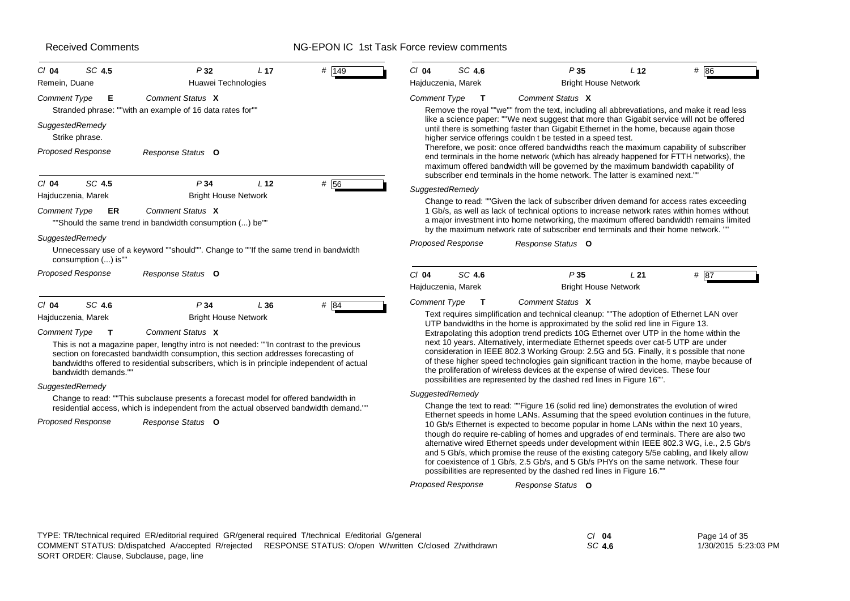| SC 4.5<br>$Cl$ 04<br>Remein, Duane                                                                                                         | P32<br>Huawei Technologies                                                                                                                                                                                                                                                                                                                                                                                                                                                                                                                              | L 17            | # 149 | $Cl$ 04<br>Hajduczenia, Marek   | SC 4.6                        | P35                                                                                                                                                                                     | <b>Bright House Network</b> | # 86<br>L <sub>12</sub>                                                                                                                                                                                                                                                                                                                                                                                                                                                                                                                                                                                                                                                                                                                                                                                                                                                                                                                                                                                                                                                                                                                                                                                                                                                                                    |  |
|--------------------------------------------------------------------------------------------------------------------------------------------|---------------------------------------------------------------------------------------------------------------------------------------------------------------------------------------------------------------------------------------------------------------------------------------------------------------------------------------------------------------------------------------------------------------------------------------------------------------------------------------------------------------------------------------------------------|-----------------|-------|---------------------------------|-------------------------------|-----------------------------------------------------------------------------------------------------------------------------------------------------------------------------------------|-----------------------------|------------------------------------------------------------------------------------------------------------------------------------------------------------------------------------------------------------------------------------------------------------------------------------------------------------------------------------------------------------------------------------------------------------------------------------------------------------------------------------------------------------------------------------------------------------------------------------------------------------------------------------------------------------------------------------------------------------------------------------------------------------------------------------------------------------------------------------------------------------------------------------------------------------------------------------------------------------------------------------------------------------------------------------------------------------------------------------------------------------------------------------------------------------------------------------------------------------------------------------------------------------------------------------------------------------|--|
| <b>Comment Type</b><br>Е<br>SuggestedRemedy<br>Strike phrase.<br><b>Proposed Response</b>                                                  | Comment Status X<br>Stranded phrase: ""with an example of 16 data rates for""<br>Response Status O                                                                                                                                                                                                                                                                                                                                                                                                                                                      |                 |       | <b>Comment Type</b>             | $\mathbf T$                   | Comment Status X<br>higher service offerings couldn t be tested in a speed test.                                                                                                        |                             | Remove the royal ""we"" from the text, including all abbrevatiations, and make it read less<br>like a science paper: ""We next suggest that more than Gigabit service will not be offered<br>until there is something faster than Gigabit Ethernet in the home, because again those<br>Therefore, we posit: once offered bandwidths reach the maximum capability of subscriber<br>end terminals in the home network (which has already happened for FTTH networks), the<br>maximum offered bandwidth will be governed by the maximum bandwidth capability of                                                                                                                                                                                                                                                                                                                                                                                                                                                                                                                                                                                                                                                                                                                                               |  |
| SC 4.5<br>$Cl$ 04<br>Hajduczenia, Marek<br><b>Comment Type</b><br>ER<br>SuggestedRemedy                                                    | P <sub>34</sub><br><b>Bright House Network</b><br>Comment Status X<br>""Should the same trend in bandwidth consumption () be""<br>Unnecessary use of a keyword ""should"". Change to ""If the same trend in bandwidth                                                                                                                                                                                                                                                                                                                                   | L <sub>12</sub> | # 56  | SuggestedRemedy                 | Proposed Response             | subscriber end terminals in the home network. The latter is examined next."<br>Response Status O                                                                                        |                             | Change to read: ""Given the lack of subscriber driven demand for access rates exceeding<br>1 Gb/s, as well as lack of technical options to increase network rates within homes without<br>a major investment into home networking, the maximum offered bandwidth remains limited<br>by the maximum network rate of subscriber end terminals and their home network. ""                                                                                                                                                                                                                                                                                                                                                                                                                                                                                                                                                                                                                                                                                                                                                                                                                                                                                                                                     |  |
| consumption () is""<br>Proposed Response                                                                                                   | Response Status O                                                                                                                                                                                                                                                                                                                                                                                                                                                                                                                                       |                 |       | $Cl$ 04<br>Hajduczenia, Marek   | SC 4.6                        | P35                                                                                                                                                                                     | <b>Bright House Network</b> | # 87<br>L21                                                                                                                                                                                                                                                                                                                                                                                                                                                                                                                                                                                                                                                                                                                                                                                                                                                                                                                                                                                                                                                                                                                                                                                                                                                                                                |  |
| SC 4.6<br>$Cl$ 04<br>Hajduczenia, Marek<br><b>Comment Type</b><br>т<br>bandwidth demands.""<br>SuggestedRemedy<br><b>Proposed Response</b> | P <sub>34</sub><br><b>Bright House Network</b><br>Comment Status X<br>This is not a magazine paper, lengthy intro is not needed: ""In contrast to the previous<br>section on forecasted bandwidth consumption, this section addresses forecasting of<br>bandwidths offered to residential subscribers, which is in principle independent of actual<br>Change to read: ""This subclause presents a forecast model for offered bandwidth in<br>residential access, which is independent from the actual observed bandwidth demand.""<br>Response Status O | L36             | # 84  | Comment Type<br>SuggestedRemedy | T<br><b>Proposed Response</b> | Comment Status X<br>possibilities are represented by the dashed red lines in Figure 16"".<br>possibilities are represented by the dashed red lines in Figure 16.""<br>Response Status O |                             | Text requires simplification and technical cleanup: ""The adoption of Ethernet LAN over<br>UTP bandwidths in the home is approximated by the solid red line in Figure 13.<br>Extrapolating this adoption trend predicts 10G Ethernet over UTP in the home within the<br>next 10 years. Alternatively, intermediate Ethernet speeds over cat-5 UTP are under<br>consideration in IEEE 802.3 Working Group: 2.5G and 5G. Finally, it s possible that none<br>of these higher speed technologies gain significant traction in the home, maybe because of<br>the proliferation of wireless devices at the expense of wired devices. These four<br>Change the text to read: ""Figure 16 (solid red line) demonstrates the evolution of wired<br>Ethernet speeds in home LANs. Assuming that the speed evolution continues in the future,<br>10 Gb/s Ethernet is expected to become popular in home LANs within the next 10 years,<br>though do require re-cabling of homes and upgrades of end terminals. There are also two<br>alternative wired Ethernet speeds under development within IEEE 802.3 WG, i.e., 2.5 Gb/s<br>and 5 Gb/s, which promise the reuse of the existing category 5/5e cabling, and likely allow<br>for coexistence of 1 Gb/s, 2.5 Gb/s, and 5 Gb/s PHYs on the same network. These four |  |

| $Cl$ 04 | Page 14 of 35        |
|---------|----------------------|
| SC 4.6  | 1/30/2015 5:23:03 PM |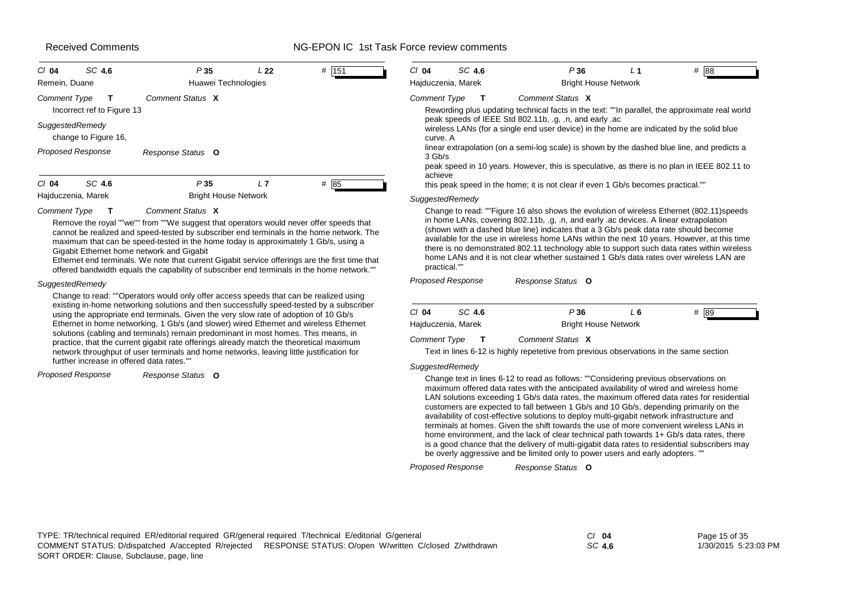#### NG-EPON IC 1st Task Force review comments

| SC 4.6<br>$Cl$ 04                          | P 35<br>L 22                | # 151 | SC 4.6<br>$Cl$ 04                                                                                                                                                                                      | P36                         | # 88 |
|--------------------------------------------|-----------------------------|-------|--------------------------------------------------------------------------------------------------------------------------------------------------------------------------------------------------------|-----------------------------|------|
| Remein, Duane                              | Huawei Technologies         |       | Hajduczenia, Marek                                                                                                                                                                                     | <b>Bright House Network</b> |      |
| Comment Type<br>Incorrect ref to Figure 13 | Comment Status X            |       | <b>Comment Type</b><br>Rewording plus updating technical facts in the text: ""In parallel, the approximate real world                                                                                  | Comment Status X            |      |
| SuggestedRemedy<br>change to Figure 16,    |                             |       | peak speeds of IEEE Std 802.11b, .g, .n, and early .ac<br>wireless LANs (for a single end user device) in the home are indicated by the solid blue<br>curve. A                                         |                             |      |
| <b>Proposed Response</b>                   | Response Status O           |       | linear extrapolation (on a semi-log scale) is shown by the dashed blue line, and predicts a<br>$3$ Gb/s<br>peak speed in 10 years. However, this is speculative, as there is no plan in IEEE 802.11 to |                             |      |
| SC 4.6<br>$Cl$ 04                          | P35<br>L7                   | # 85  | achieve<br>this peak speed in the home; it is not clear if even 1 Gb/s becomes practical.""                                                                                                            |                             |      |
| Hajduczenia, Marek                         | <b>Bright House Network</b> |       | SuggestedRemedy                                                                                                                                                                                        |                             |      |

#### *Comment Type* **T** *Comment Status* **X**

Remove the royal ""we"" from ""We suggest that operators would never offer speeds that cannot be realized and speed-tested by subscriber end terminals in the home network. The maximum that can be speed-tested in the home today is approximately 1 Gb/s, using a Gigabit Ethernet home network and Gigabit

Ethernet end terminals. We note that current Gigabit service offerings are the first time that offered bandwidth equals the capability of subscriber end terminals in the home network.""

#### *SuggestedRemedy*

Change to read: ""Operators would only offer access speeds that can be realized using existing in-home networking solutions and then successfully speed-tested by a subscriber using the appropriate end terminals. Given the very slow rate of adoption of 10 Gb/s Ethernet in home networking, 1 Gb/s (and slower) wired Ethernet and wireless Ethernet solutions (cabling and terminals) remain predominant in most homes. This means, in practice, that the current gigabit rate offerings already match the theoretical maximum network throughput of user terminals and home networks, leaving little justification for further increase in offered data rates.""

*Proposed Response*

*Response Status* **O**

|              | Hajduczenia, Marek |                                                                                                                                                                                                                                                                                                                                                                                                                                                                                                                                                                    | <b>Bright House Network</b> |      |
|--------------|--------------------|--------------------------------------------------------------------------------------------------------------------------------------------------------------------------------------------------------------------------------------------------------------------------------------------------------------------------------------------------------------------------------------------------------------------------------------------------------------------------------------------------------------------------------------------------------------------|-----------------------------|------|
| $CI$ 04      | SC 4.6             | P36                                                                                                                                                                                                                                                                                                                                                                                                                                                                                                                                                                | L 6                         | # 89 |
|              | Proposed Response  | Response Status O                                                                                                                                                                                                                                                                                                                                                                                                                                                                                                                                                  |                             |      |
| practical."" | SuggestedRemedy    | Change to read: ""Figure 16 also shows the evolution of wireless Ethernet (802.11) speeds<br>in home LANs, covering 802.11b, .g, .n, and early .ac devices. A linear extrapolation<br>(shown with a dashed blue line) indicates that a 3 Gb/s peak data rate should become<br>available for the use in wireless home LANs within the next 10 years. However, at this time<br>there is no demonstrated 802.11 technology able to support such data rates within wireless<br>home LANs and it is not clear whether sustained 1 Gb/s data rates over wireless LAN are |                             |      |
|              |                    | this peak speed in the home; it is not clear if even 1 Gb/s becomes practical.""                                                                                                                                                                                                                                                                                                                                                                                                                                                                                   |                             |      |
| achieve      |                    | peak speed in 10 years. However, this is speculative, as there is no plan in IEEE 802.11 to                                                                                                                                                                                                                                                                                                                                                                                                                                                                        |                             |      |
| 3 Gb/s       |                    | linear extrapolation (on a semi-log scale) is shown by the dashed blue line, and predicts a                                                                                                                                                                                                                                                                                                                                                                                                                                                                        |                             |      |
| curve. A     |                    | peak speeds of IEEE Std 802.11b, .g, .n, and early .ac<br>wireless LANs (for a single end user device) in the home are indicated by the solid blue                                                                                                                                                                                                                                                                                                                                                                                                                 |                             |      |

*Comment Type* **T** *Comment Status* **X**

Text in lines 6-12 is highly repetetive from previous observations in the same section

#### *SuggestedRemedy*

Change text in lines 6-12 to read as follows: ""Considering previous observations on maximum offered data rates with the anticipated availability of wired and wireless home LAN solutions exceeding 1 Gb/s data rates, the maximum offered data rates for residential customers are expected to fall between 1 Gb/s and 10 Gb/s, depending primarily on the availability of cost-effective solutions to deploy multi-gigabit network infrastructure and terminals at homes. Given the shift towards the use of more convenient wireless LANs in home environment, and the lack of clear technical path towards 1+ Gb/s data rates, there is a good chance that the delivery of multi-gigabit data rates to residential subscribers may be overly aggressive and be limited only to power users and early adopters. ""

*SC* **4.6**

*Response Status* **O** *Proposed Response*

Page 15 of 35 1/30/2015 5:23:03 PM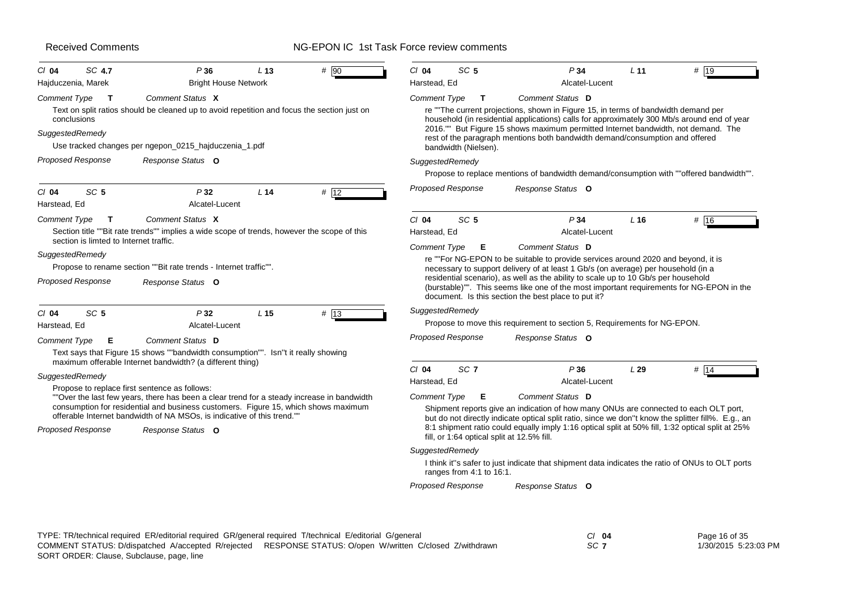| SC 4.7<br># 90<br>P36<br>L <sub>13</sub><br>$Cl$ 04<br><b>Bright House Network</b><br>Hajduczenia, Marek                                                      | SC <sub>5</sub><br>P34<br># 19<br>$Cl$ 04<br>L <sub>11</sub><br>Harstead, Ed<br>Alcatel-Lucent                                                                                                                                                                                                                             |
|---------------------------------------------------------------------------------------------------------------------------------------------------------------|----------------------------------------------------------------------------------------------------------------------------------------------------------------------------------------------------------------------------------------------------------------------------------------------------------------------------|
| Comment Status X<br><b>Comment Type</b><br>$\mathbf{T}$                                                                                                       | <b>Comment Type</b><br>Comment Status D<br>T                                                                                                                                                                                                                                                                               |
| Text on split ratios should be cleaned up to avoid repetition and focus the section just on<br>conclusions                                                    | re ""The current projections, shown in Figure 15, in terms of bandwidth demand per<br>household (in residential applications) calls for approximately 300 Mb/s around end of year                                                                                                                                          |
| SuggestedRemedy<br>Use tracked changes per ngepon_0215_hajduczenia_1.pdf                                                                                      | 2016."" But Figure 15 shows maximum permitted Internet bandwidth, not demand. The<br>rest of the paragraph mentions both bandwidth demand/consumption and offered<br>bandwidth (Nielsen).                                                                                                                                  |
| <b>Proposed Response</b><br>Response Status O                                                                                                                 | SuggestedRemedy                                                                                                                                                                                                                                                                                                            |
|                                                                                                                                                               | Propose to replace mentions of bandwidth demand/consumption with ""offered bandwidth"".                                                                                                                                                                                                                                    |
| SC <sub>5</sub><br>P32<br>L <sub>14</sub><br>$Cl$ 04<br># 12<br>Alcatel-Lucent<br>Harstead, Ed                                                                | Proposed Response<br>Response Status O                                                                                                                                                                                                                                                                                     |
| Comment Status X<br><b>Comment Type</b><br>T                                                                                                                  | SC <sub>5</sub><br>P <sub>34</sub><br># 16<br>$Cl$ 04<br>$L$ 16                                                                                                                                                                                                                                                            |
| Section title ""Bit rate trends"" implies a wide scope of trends, however the scope of this                                                                   | Harstead, Ed<br>Alcatel-Lucent                                                                                                                                                                                                                                                                                             |
| section is limted to Internet traffic.                                                                                                                        | <b>Comment Type</b><br>Comment Status D<br>Е                                                                                                                                                                                                                                                                               |
| SuggestedRemedy                                                                                                                                               | re ""For NG-EPON to be suitable to provide services around 2020 and beyond, it is                                                                                                                                                                                                                                          |
| Propose to rename section ""Bit rate trends - Internet traffic"".<br><b>Proposed Response</b><br>Response Status O                                            | necessary to support delivery of at least 1 Gb/s (on average) per household (in a<br>residential scenario), as well as the ability to scale up to 10 Gb/s per household<br>(burstable)"". This seems like one of the most important requirements for NG-EPON in the<br>document. Is this section the best place to put it? |
| # 13<br>SC <sub>5</sub><br>$Cl$ 04<br>P32<br>L <sub>15</sub>                                                                                                  | SuggestedRemedy                                                                                                                                                                                                                                                                                                            |
| Alcatel-Lucent<br>Harstead, Ed                                                                                                                                | Propose to move this requirement to section 5, Requirements for NG-EPON.                                                                                                                                                                                                                                                   |
| Comment Status D<br><b>Comment Type</b><br>Е                                                                                                                  | <b>Proposed Response</b><br>Response Status O                                                                                                                                                                                                                                                                              |
| Text says that Figure 15 shows ""bandwidth consumption"". Isn't it really showing<br>maximum offerable Internet bandwidth? (a different thing)                |                                                                                                                                                                                                                                                                                                                            |
| SuggestedRemedy                                                                                                                                               | SC <sub>7</sub><br>$Cl$ 04<br>P36<br>L29<br># $14$                                                                                                                                                                                                                                                                         |
| Propose to replace first sentence as follows:                                                                                                                 | Alcatel-Lucent<br>Harstead, Ed                                                                                                                                                                                                                                                                                             |
| ""Over the last few years, there has been a clear trend for a steady increase in bandwidth                                                                    | Comment Type<br>Comment Status D<br>Е                                                                                                                                                                                                                                                                                      |
| consumption for residential and business customers. Figure 15, which shows maximum<br>offerable Internet bandwidth of NA MSOs, is indicative of this trend."" | Shipment reports give an indication of how many ONUs are connected to each OLT port,<br>but do not directly indicate optical split ratio, since we don"t know the splitter fill%. E.g., an                                                                                                                                 |
| <b>Proposed Response</b><br>Response Status O                                                                                                                 | 8:1 shipment ratio could equally imply 1:16 optical split at 50% fill, 1:32 optical split at 25%<br>fill, or 1:64 optical split at 12.5% fill.                                                                                                                                                                             |
|                                                                                                                                                               | SuggestedRemedy                                                                                                                                                                                                                                                                                                            |
|                                                                                                                                                               | I think it"s safer to just indicate that shipment data indicates the ratio of ONUs to OLT ports<br>ranges from 4:1 to 16:1.                                                                                                                                                                                                |
|                                                                                                                                                               | <b>Proposed Response</b><br>Response Status O                                                                                                                                                                                                                                                                              |

| TYPE: TR/technical required ER/editorial required GR/general required T/technical E/editorial G/general   | CI 04 | Page 16 of 35        |
|-----------------------------------------------------------------------------------------------------------|-------|----------------------|
| COMMENT STATUS: D/dispatched A/accepted R/reiected RESPONSE STATUS: O/open W/written C/closed Z/withdrawn | -SC T | 1/30/2015 5:23:03 PM |
| SORT ORDER: Clause, Subclause, page, line                                                                 |       |                      |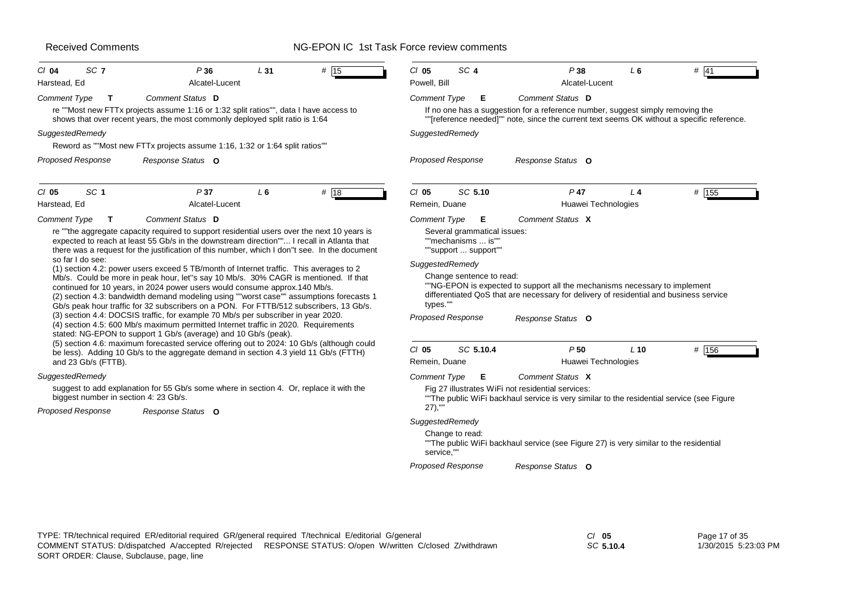# NG-EPON IC 1st Task Force review comments

| SC <sub>7</sub><br>P36<br>L31<br>$#$ 15<br>$Cl$ 04                                                                                                                                                                                                                                                                                                                                                                              |                                                                                                                                                                                                                              |
|---------------------------------------------------------------------------------------------------------------------------------------------------------------------------------------------------------------------------------------------------------------------------------------------------------------------------------------------------------------------------------------------------------------------------------|------------------------------------------------------------------------------------------------------------------------------------------------------------------------------------------------------------------------------|
| Alcatel-Lucent<br>Harstead, Ed                                                                                                                                                                                                                                                                                                                                                                                                  | SC <sub>4</sub><br>$CI$ 05<br>P38<br>L6<br>$#$ 41<br>Powell, Bill<br>Alcatel-Lucent                                                                                                                                          |
| Comment Status D<br><b>Comment Type</b><br>$\mathbf{T}$<br>re ""Most new FTTx projects assume 1:16 or 1:32 split ratios"", data I have access to<br>shows that over recent years, the most commonly deployed split ratio is 1:64                                                                                                                                                                                                | Comment Status D<br><b>Comment Type</b><br>Е<br>If no one has a suggestion for a reference number, suggest simply removing the<br>""[reference needed]"" note, since the current text seems OK without a specific reference. |
| SuggestedRemedy                                                                                                                                                                                                                                                                                                                                                                                                                 | SuggestedRemedy                                                                                                                                                                                                              |
| Reword as ""Most new FTTx projects assume 1:16, 1:32 or 1:64 split ratios""                                                                                                                                                                                                                                                                                                                                                     |                                                                                                                                                                                                                              |
| <b>Proposed Response</b><br>Response Status O                                                                                                                                                                                                                                                                                                                                                                                   | <b>Proposed Response</b><br>Response Status O                                                                                                                                                                                |
| SC <sub>1</sub><br>P37<br>$L_6$<br># 18<br>$Cl$ 05                                                                                                                                                                                                                                                                                                                                                                              | $Cl$ 05<br>SC 5.10<br>$P$ 47<br># 155<br>$L_4$                                                                                                                                                                               |
| Alcatel-Lucent<br>Harstead, Ed<br>Comment Status D<br><b>Comment Type</b><br>т                                                                                                                                                                                                                                                                                                                                                  | Remein, Duane<br>Huawei Technologies<br>Comment Status X<br><b>Comment Type</b><br>Е                                                                                                                                         |
| there was a request for the justification of this number, which I don"t see. In the document<br>so far I do see:<br>(1) section 4.2: power users exceed 5 TB/month of Internet traffic. This averages to 2<br>Mb/s. Could be more in peak hour, let"s say 10 Mb/s. 30% CAGR is mentioned. If that<br>continued for 10 years, in 2024 power users would consume approx.140 Mb/s.                                                 | ""support  support""<br>SuggestedRemedy<br>Change sentence to read:<br>"NG-EPON is expected to support all the mechanisms necessary to implement                                                                             |
| (2) section 4.3: bandwidth demand modeling using ""worst case"" assumptions forecasts 1<br>Gb/s peak hour traffic for 32 subscribers on a PON. For FTTB/512 subscribers, 13 Gb/s.<br>(3) section 4.4: DOCSIS traffic, for example 70 Mb/s per subscriber in year 2020.<br>(4) section 4.5: 600 Mb/s maximum permitted Internet traffic in 2020. Requirements<br>stated: NG-EPON to support 1 Gb/s (average) and 10 Gb/s (peak). | differentiated QoS that are necessary for delivery of residential and business service<br>types.""<br><b>Proposed Response</b><br>Response Status O                                                                          |
| (5) section 4.6: maximum forecasted service offering out to 2024: 10 Gb/s (although could                                                                                                                                                                                                                                                                                                                                       | $CI$ 05<br>SC 5.10.4<br>P50<br>$L$ 10<br># 156                                                                                                                                                                               |
| be less). Adding 10 Gb/s to the aggregate demand in section 4.3 yield 11 Gb/s (FTTH)<br>and 23 Gb/s (FTTB).                                                                                                                                                                                                                                                                                                                     | Huawei Technologies<br>Remein, Duane                                                                                                                                                                                         |
|                                                                                                                                                                                                                                                                                                                                                                                                                                 | Comment Status X<br><b>Comment Type</b><br>Е                                                                                                                                                                                 |
| suggest to add explanation for 55 Gb/s some where in section 4. Or, replace it with the<br>biggest number in section 4: 23 Gb/s.                                                                                                                                                                                                                                                                                                | Fig 27 illustrates WiFi not residential services:<br>"The public WiFi backhaul service is very similar to the residential service (see Figure                                                                                |
| Response Status O                                                                                                                                                                                                                                                                                                                                                                                                               | $27)$ ,""                                                                                                                                                                                                                    |
| SuggestedRemedy<br>Proposed Response                                                                                                                                                                                                                                                                                                                                                                                            | SuggestedRemedy<br>Change to read:<br>"The public WiFi backhaul service (see Figure 27) is very similar to the residential<br>service,""                                                                                     |

*SC* **5.10.4**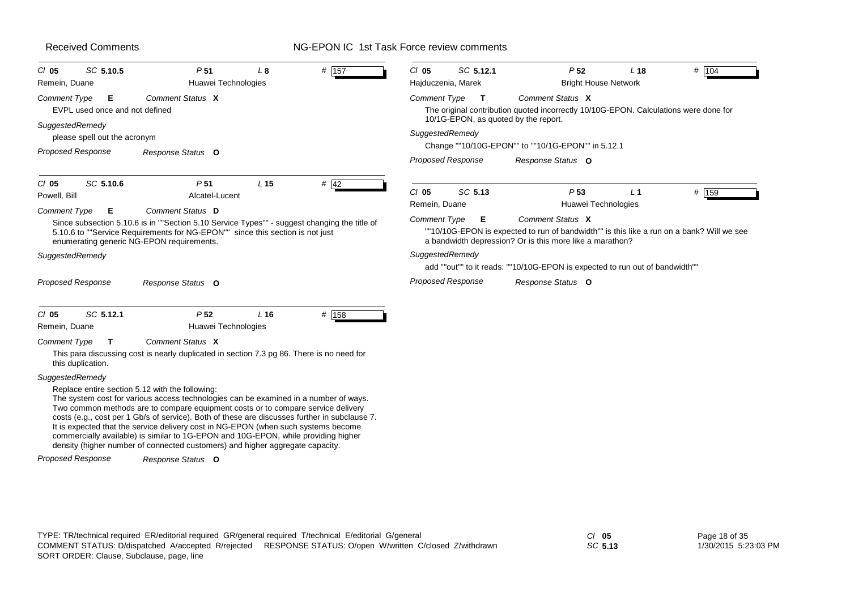# NG-EPON IC 1st Task Force review comments

| $CI$ 05<br>Remein, Duane | SC 5.10.5                                                | P <sub>51</sub><br>Huawei Technologies                                                                                                                                                                                                                                                                                                                                                                                                                                                                                                                                                                         | L8              | # 157  | $Cl$ 05                  | SC 5.12.1<br>Hajduczenia, Marek | P <sub>52</sub><br><b>Bright House Network</b>                                                                                                                            | $L$ 18         | # 104 |
|--------------------------|----------------------------------------------------------|----------------------------------------------------------------------------------------------------------------------------------------------------------------------------------------------------------------------------------------------------------------------------------------------------------------------------------------------------------------------------------------------------------------------------------------------------------------------------------------------------------------------------------------------------------------------------------------------------------------|-----------------|--------|--------------------------|---------------------------------|---------------------------------------------------------------------------------------------------------------------------------------------------------------------------|----------------|-------|
| <b>Comment Type</b>      | Е<br>EVPL used once and not defined                      | Comment Status X                                                                                                                                                                                                                                                                                                                                                                                                                                                                                                                                                                                               |                 |        | Comment Type             | $\mathbf{T}$                    | Comment Status X<br>The original contribution quoted incorrectly 10/10G-EPON. Calculations were done for                                                                  |                |       |
| SuggestedRemedy          | please spell out the acronym<br><b>Proposed Response</b> | Response Status O                                                                                                                                                                                                                                                                                                                                                                                                                                                                                                                                                                                              |                 |        | SuggestedRemedy          |                                 | 10/1G-EPON, as quoted by the report.<br>Change ""10/10G-EPON"" to ""10/1G-EPON"" in 5.12.1                                                                                |                |       |
|                          |                                                          |                                                                                                                                                                                                                                                                                                                                                                                                                                                                                                                                                                                                                |                 |        |                          | <b>Proposed Response</b>        | Response Status O                                                                                                                                                         |                |       |
| $Cl$ 05<br>Powell, Bill  | SC 5.10.6                                                | P <sub>51</sub><br>Alcatel-Lucent                                                                                                                                                                                                                                                                                                                                                                                                                                                                                                                                                                              | L <sub>15</sub> | $#$ 42 | $CI$ 05<br>Remein, Duane | SC 5.13                         | P <sub>53</sub><br>Huawei Technologies                                                                                                                                    | L <sub>1</sub> | # 159 |
| <b>Comment Type</b>      | E                                                        | Comment Status D<br>Since subsection 5.10.6 is in ""Section 5.10 Service Types"" - suggest changing the title of<br>5.10.6 to ""Service Requirements for NG-EPON"" since this section is not just<br>enumerating generic NG-EPON requirements.                                                                                                                                                                                                                                                                                                                                                                 |                 |        | <b>Comment Type</b>      | Е                               | Comment Status X<br>""10/10G-EPON is expected to run of bandwidth"" is this like a run on a bank? Will we see<br>a bandwidth depression? Or is this more like a marathon? |                |       |
| SuggestedRemedy          |                                                          |                                                                                                                                                                                                                                                                                                                                                                                                                                                                                                                                                                                                                |                 |        | SuggestedRemedy          |                                 | add ""out"" to it reads: ""10/10G-EPON is expected to run out of bandwidth""                                                                                              |                |       |
|                          | <b>Proposed Response</b>                                 | Response Status O                                                                                                                                                                                                                                                                                                                                                                                                                                                                                                                                                                                              |                 |        |                          | <b>Proposed Response</b>        | Response Status O                                                                                                                                                         |                |       |
| $CI$ 05<br>Remein, Duane | SC 5.12.1                                                | P <sub>52</sub><br>Huawei Technologies                                                                                                                                                                                                                                                                                                                                                                                                                                                                                                                                                                         | L <sub>16</sub> | # 158  |                          |                                 |                                                                                                                                                                           |                |       |
| <b>Comment Type</b>      | T.<br>this duplication.                                  | Comment Status X<br>This para discussing cost is nearly duplicated in section 7.3 pg 86. There is no need for                                                                                                                                                                                                                                                                                                                                                                                                                                                                                                  |                 |        |                          |                                 |                                                                                                                                                                           |                |       |
| SuggestedRemedy          | <b>Proposed Response</b>                                 | Replace entire section 5.12 with the following:<br>The system cost for various access technologies can be examined in a number of ways.<br>Two common methods are to compare equipment costs or to compare service delivery<br>costs (e.g., cost per 1 Gb/s of service). Both of these are discusses further in subclause 7.<br>It is expected that the service delivery cost in NG-EPON (when such systems become<br>commercially available) is similar to 1G-EPON and 10G-EPON, while providing higher<br>density (higher number of connected customers) and higher aggregate capacity.<br>Response Status O |                 |        |                          |                                 |                                                                                                                                                                           |                |       |

*SC* **5.13**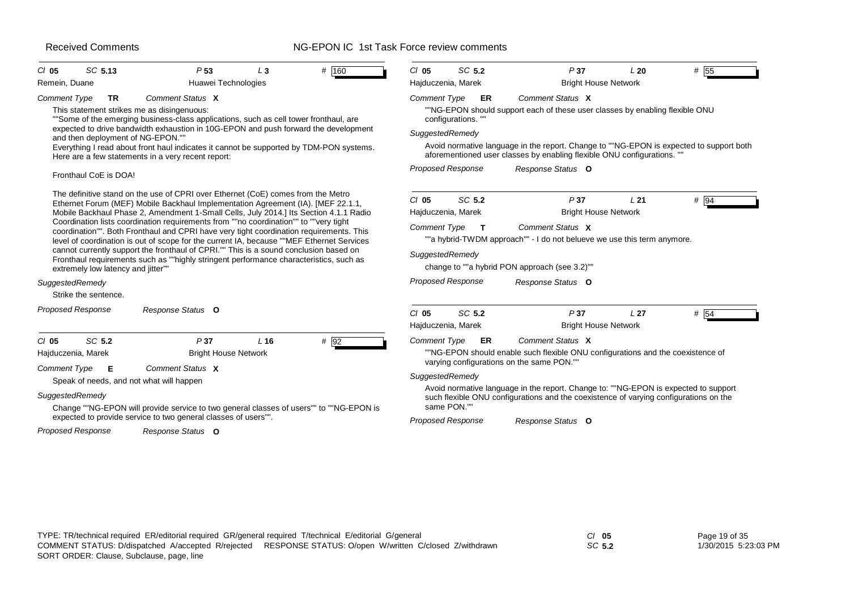# NG-EPON IC 1st Task Force review comments

| $CI$ 05<br>Remein, Duane                                                              | SC 5.13                                                                                                                            | P <sub>53</sub><br>Huawei Technologies                                                                                                                                                                                                                                                                                                                                                                                                                                                                                                                                                                                                                                                                                                                                                                                                                                                                                                                                                     | L3     | # 160                                                                                                        | $CI$ 05<br>Hajduczenia, Marek                                                                       | SC 5.2                                                                | P37<br><b>Bright House Network</b>                                                                                                                                                                                                                                                                                                                                                   | L20             | # 55                                                                                            |
|---------------------------------------------------------------------------------------|------------------------------------------------------------------------------------------------------------------------------------|--------------------------------------------------------------------------------------------------------------------------------------------------------------------------------------------------------------------------------------------------------------------------------------------------------------------------------------------------------------------------------------------------------------------------------------------------------------------------------------------------------------------------------------------------------------------------------------------------------------------------------------------------------------------------------------------------------------------------------------------------------------------------------------------------------------------------------------------------------------------------------------------------------------------------------------------------------------------------------------------|--------|--------------------------------------------------------------------------------------------------------------|-----------------------------------------------------------------------------------------------------|-----------------------------------------------------------------------|--------------------------------------------------------------------------------------------------------------------------------------------------------------------------------------------------------------------------------------------------------------------------------------------------------------------------------------------------------------------------------------|-----------------|-------------------------------------------------------------------------------------------------|
| <b>Comment Type</b><br>Fronthaul CoE is DOA!                                          | <b>TR</b><br>This statement strikes me as disingenuous:<br>and then deployment of NG-EPON.""<br>extremely low latency and jitter"" | Comment Status X<br>"Some of the emerging business-class applications, such as cell tower fronthaul, are<br>expected to drive bandwidth exhaustion in 10G-EPON and push forward the development<br>Here are a few statements in a very recent report:<br>The definitive stand on the use of CPRI over Ethernet (CoE) comes from the Metro<br>Ethernet Forum (MEF) Mobile Backhaul Implementation Agreement (IA). [MEF 22.1.1,<br>Mobile Backhaul Phase 2, Amendment 1-Small Cells, July 2014.] Its Section 4.1.1 Radio<br>Coordination lists coordination requirements from ""no coordination"" to ""very tight<br>coordination"". Both Fronthaul and CPRI have very tight coordination requirements. This<br>level of coordination is out of scope for the current IA, because ""MEF Ethernet Services<br>cannot currently support the fronthaul of CPRI."" This is a sound conclusion based on<br>Fronthaul requirements such as ""highly stringent performance characteristics, such as |        | Everything I read about front haul indicates it cannot be supported by TDM-PON systems.                      | Comment Type<br>SuggestedRemedy<br>$CI$ 05<br>Hajduczenia, Marek<br>Comment Type<br>SuggestedRemedy | ER<br>configurations."<br>Proposed Response<br>SC 5.2<br>$\mathbf{T}$ | Comment Status X<br>"NG-EPON should support each of these user classes by enabling flexible ONU<br>aforementioned user classes by enabling flexible ONU configurations. "<br>Response Status O<br>P37<br><b>Bright House Network</b><br>Comment Status X<br>""a hybrid-TWDM approach"" - I do not belueve we use this term anymore.<br>change to ""a hybrid PON approach (see 3.2)"" | L21             | Avoid normative language in the report. Change to ""NG-EPON is expected to support both<br># 94 |
| SuggestedRemedy<br>Strike the sentence.<br><b>Proposed Response</b>                   |                                                                                                                                    | Response Status O                                                                                                                                                                                                                                                                                                                                                                                                                                                                                                                                                                                                                                                                                                                                                                                                                                                                                                                                                                          |        |                                                                                                              | $CI$ 05<br>Hajduczenia, Marek                                                                       | Proposed Response<br>SC 5.2                                           | Response Status O<br>P37<br><b>Bright House Network</b>                                                                                                                                                                                                                                                                                                                              | L <sub>27</sub> | # 54                                                                                            |
| $Cl$ 05<br>Hajduczenia, Marek<br>Comment Type<br>SuggestedRemedy<br>Proposed Response | SC 5.2<br>Е<br>Speak of needs, and not what will happen                                                                            | P37<br><b>Bright House Network</b><br>Comment Status X<br>expected to provide service to two general classes of users"".<br>Response Status O                                                                                                                                                                                                                                                                                                                                                                                                                                                                                                                                                                                                                                                                                                                                                                                                                                              | $L$ 16 | $# \overline{92}$<br>Change ""NG-EPON will provide service to two general classes of users"" to ""NG-EPON is | <b>Comment Type</b><br>SuggestedRemedy<br><b>Proposed Response</b>                                  | ER<br>same PON."                                                      | Comment Status X<br>""NG-EPON should enable such flexible ONU configurations and the coexistence of<br>varying configurations on the same PON.""<br>Avoid normative language in the report. Change to: ""NG-EPON is expected to support<br>such flexible ONU configurations and the coexistence of varying configurations on the<br>Response Status O                                |                 |                                                                                                 |

*SC* **5.2**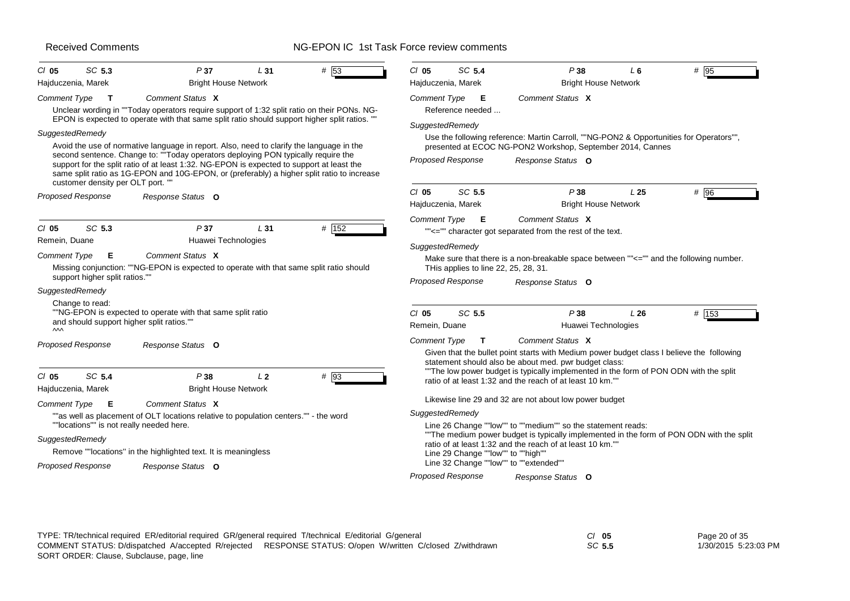| SC 5.3<br>$CI$ 05                                                                                                               | P37                                                                                                                                                                                                                                                                                                                                                                      | L31            | # 53  | $Cl$ 05                         | SC 5.4                                                                                       | P38                                                                                                                                                                                                                                                                                                                                           | L <sub>6</sub>  | # 95   |
|---------------------------------------------------------------------------------------------------------------------------------|--------------------------------------------------------------------------------------------------------------------------------------------------------------------------------------------------------------------------------------------------------------------------------------------------------------------------------------------------------------------------|----------------|-------|---------------------------------|----------------------------------------------------------------------------------------------|-----------------------------------------------------------------------------------------------------------------------------------------------------------------------------------------------------------------------------------------------------------------------------------------------------------------------------------------------|-----------------|--------|
| Hajduczenia, Marek                                                                                                              | <b>Bright House Network</b>                                                                                                                                                                                                                                                                                                                                              |                |       | Hajduczenia, Marek              |                                                                                              | <b>Bright House Network</b>                                                                                                                                                                                                                                                                                                                   |                 |        |
| Comment Type<br>$\mathbf{T}$                                                                                                    | Comment Status X<br>Unclear wording in "Today operators require support of 1:32 split ratio on their PONs. NG-<br>EPON is expected to operate with that same split ratio should support higher split ratios. ""                                                                                                                                                          |                |       | Comment Type<br>SuggestedRemedy | Е<br>Reference needed                                                                        | Comment Status X                                                                                                                                                                                                                                                                                                                              |                 |        |
| SuggestedRemedy<br>customer density per OLT port. ""                                                                            | Avoid the use of normative language in report. Also, need to clarify the language in the<br>second sentence. Change to: ""Today operators deploying PON typically require the<br>support for the split ratio of at least 1:32. NG-EPON is expected to support at least the<br>same split ratio as 1G-EPON and 10G-EPON, or (preferably) a higher split ratio to increase |                |       |                                 | Proposed Response                                                                            | Use the following reference: Martin Carroll, ""NG-PON2 & Opportunities for Operators"",<br>presented at ECOC NG-PON2 Workshop, September 2014, Cannes<br>Response Status O                                                                                                                                                                    |                 |        |
| <b>Proposed Response</b>                                                                                                        | Response Status O                                                                                                                                                                                                                                                                                                                                                        |                |       | $CI$ 05<br>Hajduczenia, Marek   | SC 5.5                                                                                       | P38<br><b>Bright House Network</b>                                                                                                                                                                                                                                                                                                            | L <sub>25</sub> | $#$ 96 |
| SC 5.3<br>$CI$ 05<br>Remein, Duane<br>Comment Type<br>Е<br>support higher split ratios.""<br>SuggestedRemedy<br>Change to read: | P37<br>Huawei Technologies<br>Comment Status X<br>Missing conjunction: ""NG-EPON is expected to operate with that same split ratio should<br>"NG-EPON is expected to operate with that same split ratio                                                                                                                                                                  | L31            | # 152 | SuggestedRemedy<br>$CI$ 05      | Comment Type E<br>THis applies to line 22, 25, 28, 31.<br><b>Proposed Response</b><br>SC 5.5 | Comment Status X<br>""<="" character got separated from the rest of the text.<br>Make sure that there is a non-breakable space between ""<="" and the following number.<br>Response Status O<br>P38                                                                                                                                           | L26             | # 153  |
| and should support higher split ratios.""<br>$\sim$<br><b>Proposed Response</b>                                                 | Response Status O                                                                                                                                                                                                                                                                                                                                                        |                |       | Remein, Duane<br>Comment Type   | T                                                                                            | Huawei Technologies<br>Comment Status X<br>Given that the bullet point starts with Medium power budget class I believe the following<br>statement should also be about med. pwr budget class:                                                                                                                                                 |                 |        |
| SC 5.4<br>CI 05<br>Hajduczenia, Marek                                                                                           | P38<br><b>Bright House Network</b>                                                                                                                                                                                                                                                                                                                                       | L <sub>2</sub> | # 93  |                                 |                                                                                              | "The low power budget is typically implemented in the form of PON ODN with the split<br>ratio of at least 1:32 and the reach of at least 10 km.""                                                                                                                                                                                             |                 |        |
| <b>Comment Type</b><br>Е<br>""locations"" is not really needed here.<br>SuggestedRemedy<br><b>Proposed Response</b>             | Comment Status X<br>""as well as placement of OLT locations relative to population centers."" - the word<br>Remove ""locations" in the highlighted text. It is meaningless<br>Response Status O                                                                                                                                                                          |                |       | SuggestedRemedy                 | Line 29 Change ""low"" to ""high""<br>Proposed Response                                      | Likewise line 29 and 32 are not about low power budget<br>Line 26 Change ""low"" to ""medium"" so the statement reads:<br>"The medium power budget is typically implemented in the form of PON ODN with the split<br>ratio of at least 1:32 and the reach of at least 10 km.""<br>Line 32 Change ""low"" to ""extended""<br>Response Status O |                 |        |

| TYPE: TR/technical required ER/editorial required GR/general required T/technical E/editorial G/general | $CI$ 05                                                                                                   | Page 20 of 35 |                      |
|---------------------------------------------------------------------------------------------------------|-----------------------------------------------------------------------------------------------------------|---------------|----------------------|
|                                                                                                         | COMMENT STATUS: D/dispatched A/accepted R/rejected RESPONSE STATUS: O/open W/written C/closed Z/withdrawn | SC 5.5        | 1/30/2015 5:23:03 PM |
| SORT ORDER: Clause, Subclause, page, line                                                               |                                                                                                           |               |                      |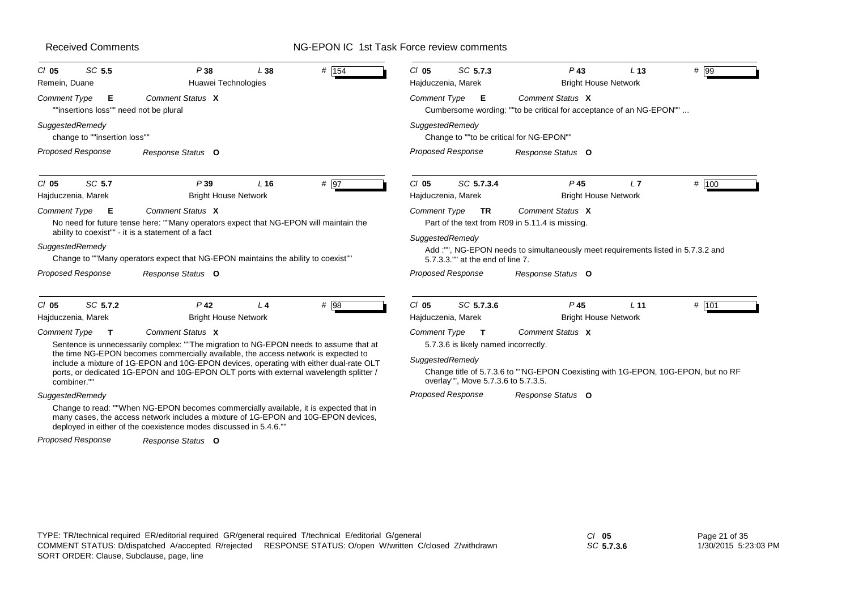# NG-EPON IC 1st Task Force review comments

| SC 5.5<br>$CI$ 05<br>Remein, Duane                                 | P38<br>Huawei Technologies                                                                                                                                                                                                                                                                                                                                                          | L38    | $#$ 154 | SC 5.7.3<br>$CI$ 05<br>Hajduczenia, Marek                                                                                      | $P$ 43<br><b>Bright House Network</b>                                                                                                                   | L <sub>13</sub> | # 99    |
|--------------------------------------------------------------------|-------------------------------------------------------------------------------------------------------------------------------------------------------------------------------------------------------------------------------------------------------------------------------------------------------------------------------------------------------------------------------------|--------|---------|--------------------------------------------------------------------------------------------------------------------------------|---------------------------------------------------------------------------------------------------------------------------------------------------------|-----------------|---------|
| <b>Comment Type</b><br>Е<br>""insertions loss"" need not be plural | Comment Status X                                                                                                                                                                                                                                                                                                                                                                    |        |         | Comment Type<br>Е                                                                                                              | Comment Status X<br>Cumbersome wording: ""to be critical for acceptance of an NG-EPON""                                                                 |                 |         |
| SuggestedRemedy<br>change to ""insertion loss""                    |                                                                                                                                                                                                                                                                                                                                                                                     |        |         | SuggestedRemedy<br>Change to ""to be critical for NG-EPON""                                                                    |                                                                                                                                                         |                 |         |
| Proposed Response                                                  | Response Status O                                                                                                                                                                                                                                                                                                                                                                   |        |         | Proposed Response                                                                                                              | Response Status O                                                                                                                                       |                 |         |
| SC 5.7<br>$CI$ 05<br>Hajduczenia, Marek                            | P39<br><b>Bright House Network</b>                                                                                                                                                                                                                                                                                                                                                  | $L$ 16 | # 97    | SC 5.7.3.4<br>$CI$ 05<br>Hajduczenia, Marek                                                                                    | P <sub>45</sub><br><b>Bright House Network</b>                                                                                                          | L7              | # 100   |
| Comment Type<br>- E<br>SuggestedRemedy                             | Comment Status X<br>No need for future tense here: ""Many operators expect that NG-EPON will maintain the<br>ability to coexist"" - it is a statement of a fact<br>Change to ""Many operators expect that NG-EPON maintains the ability to coexist""                                                                                                                                |        |         | Comment Type<br><b>TR</b><br>SuggestedRemedy<br>5.7.3.3."" at the end of line 7.                                               | Comment Status X<br>Part of the text from R09 in 5.11.4 is missing.<br>Add :"", NG-EPON needs to simultaneously meet requirements listed in 5.7.3.2 and |                 |         |
| Proposed Response                                                  | Response Status O                                                                                                                                                                                                                                                                                                                                                                   |        |         | Proposed Response                                                                                                              | Response Status O                                                                                                                                       |                 |         |
| SC 5.7.2<br>$Cl$ 05<br>Hajduczenia, Marek                          | $P$ 42<br><b>Bright House Network</b>                                                                                                                                                                                                                                                                                                                                               | $L$ 4  | # 98    | $Cl$ 05<br>SC 5.7.3.6<br>Hajduczenia, Marek                                                                                    | P <sub>45</sub><br><b>Bright House Network</b>                                                                                                          | L <sub>11</sub> | # $101$ |
| Comment Type<br>$\mathbf{T}$<br>combiner.""                        | Comment Status X<br>Sentence is unnecessarily complex: ""The migration to NG-EPON needs to assume that at<br>the time NG-EPON becomes commercially available, the access network is expected to<br>include a mixture of 1G-EPON and 10G-EPON devices, operating with either dual-rate OLT<br>ports, or dedicated 1G-EPON and 10G-EPON OLT ports with external wavelength splitter / |        |         | Comment Type<br>$\mathbf{T}$<br>5.7.3.6 is likely named incorrectly.<br>SuggestedRemedy<br>overlay"", Move 5.7.3.6 to 5.7.3.5. | Comment Status X<br>Change title of 5.7.3.6 to ""NG-EPON Coexisting with 1G-EPON, 10G-EPON, but no RF                                                   |                 |         |
| SuggestedRemedy<br>Proposed Response                               | Change to read: ""When NG-EPON becomes commercially available, it is expected that in<br>many cases, the access network includes a mixture of 1G-EPON and 10G-EPON devices,<br>deployed in either of the coexistence modes discussed in 5.4.6."<br>Response Status O                                                                                                                |        |         | <b>Proposed Response</b>                                                                                                       | Response Status O                                                                                                                                       |                 |         |

*SC* **5.7.3.6**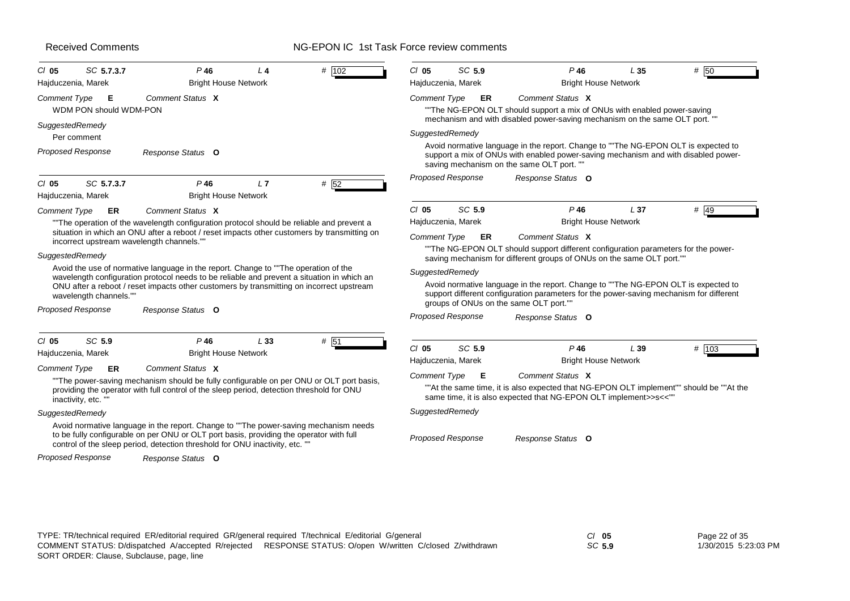# NG-EPON IC 1st Task Force review comments

| Hajduczenia, Marek                                 | $P$ 46<br>14<br><b>Bright House Network</b>                                                                                                                                            | # 102 | $CI$ 05<br>SC 5.9<br>Hajduczenia, Marek                   | $P$ 46<br><b>Bright House Network</b>                                                                                                                                         | L35             | # 50  |
|----------------------------------------------------|----------------------------------------------------------------------------------------------------------------------------------------------------------------------------------------|-------|-----------------------------------------------------------|-------------------------------------------------------------------------------------------------------------------------------------------------------------------------------|-----------------|-------|
| <b>Comment Type</b><br>E<br>WDM PON should WDM-PON | Comment Status X                                                                                                                                                                       |       | <b>Comment Type</b><br>ER                                 | Comment Status X<br>"The NG-EPON OLT should support a mix of ONUs with enabled power-saving                                                                                   |                 |       |
| SuggestedRemedy                                    |                                                                                                                                                                                        |       | SuggestedRemedy                                           | mechanism and with disabled power-saving mechanism on the same OLT port. "                                                                                                    |                 |       |
| Per comment                                        |                                                                                                                                                                                        |       |                                                           | Avoid normative language in the report. Change to ""The NG-EPON OLT is expected to                                                                                            |                 |       |
| <b>Proposed Response</b>                           | Response Status O                                                                                                                                                                      |       |                                                           | support a mix of ONUs with enabled power-saving mechanism and with disabled power-<br>saving mechanism on the same OLT port. ""                                               |                 |       |
| SC 5.7.3.7<br>CI 05<br>Hajduczenia, Marek          | $P$ 46<br>L7<br><b>Bright House Network</b>                                                                                                                                            | # 52  | <b>Proposed Response</b>                                  | Response Status O                                                                                                                                                             |                 |       |
| Comment Type<br>ER.                                | Comment Status X                                                                                                                                                                       |       | SC 5.9<br>$CI$ 05                                         | $P$ 46                                                                                                                                                                        | L <sub>37</sub> | # 49  |
|                                                    | "The operation of the wavelength configuration protocol should be reliable and prevent a                                                                                               |       | Hajduczenia, Marek                                        | <b>Bright House Network</b>                                                                                                                                                   |                 |       |
| incorrect upstream wavelength channels.""          | situation in which an ONU after a reboot / reset impacts other customers by transmitting on                                                                                            |       | Comment Type<br>ER                                        | Comment Status X                                                                                                                                                              |                 |       |
| SuggestedRemedy                                    |                                                                                                                                                                                        |       |                                                           | ""The NG-EPON OLT should support different configuration parameters for the power-                                                                                            |                 |       |
|                                                    | Avoid the use of normative language in the report. Change to "The operation of the                                                                                                     |       |                                                           | saving mechanism for different groups of ONUs on the same OLT port.""                                                                                                         |                 |       |
| wavelength channels.""                             | wavelength configuration protocol needs to be reliable and prevent a situation in which an<br>ONU after a reboot / reset impacts other customers by transmitting on incorrect upstream |       | SuggestedRemedy<br>groups of ONUs on the same OLT port."" | Avoid normative language in the report. Change to ""The NG-EPON OLT is expected to<br>support different configuration parameters for the power-saving mechanism for different |                 |       |
| <b>Proposed Response</b>                           | Response Status O                                                                                                                                                                      |       | <b>Proposed Response</b>                                  | Response Status O                                                                                                                                                             |                 |       |
| SC 5.9<br>$CI$ 05                                  | $P$ 46<br>L33                                                                                                                                                                          | # 51  | $Cl$ 05<br>SC 5.9                                         | $P$ 46                                                                                                                                                                        | L39             | # 103 |
| Hajduczenia, Marek                                 | <b>Bright House Network</b>                                                                                                                                                            |       | Hajduczenia, Marek                                        | <b>Bright House Network</b>                                                                                                                                                   |                 |       |
| <b>Comment Type</b><br><b>ER</b>                   | Comment Status X                                                                                                                                                                       |       | <b>Comment Type</b><br>E                                  | Comment Status X                                                                                                                                                              |                 |       |
| inactivity, etc."                                  | "The power-saving mechanism should be fully configurable on per ONU or OLT port basis,<br>providing the operator with full control of the sleep period, detection threshold for ONU    |       |                                                           | ""At the same time, it is also expected that NG-EPON OLT implement"" should be ""At the<br>same time, it is also expected that NG-EPON OLT implement>>s<<""                   |                 |       |
| SuggestedRemedy                                    |                                                                                                                                                                                        |       | SuggestedRemedy                                           |                                                                                                                                                                               |                 |       |
|                                                    | Avoid normative language in the report. Change to ""The power-saving mechanism needs<br>to be fully configurable on per ONU or OLT port basis, providing the operator with full        |       | <b>Proposed Response</b>                                  | Response Status O                                                                                                                                                             |                 |       |
|                                                    | control of the sleep period, detection threshold for ONU inactivity, etc. "                                                                                                            |       |                                                           |                                                                                                                                                                               |                 |       |

| TYPE: TR/technical required ER/editorial required GR/general required T/technical E/editorial G/general   | $CI$ 05 |
|-----------------------------------------------------------------------------------------------------------|---------|
| COMMENT STATUS: D/dispatched A/accepted R/rejected RESPONSE STATUS: O/open W/written C/closed Z/withdrawn | SC 5.   |
| SORT ORDER: Clause, Subclause, page, line                                                                 |         |

Page 22 of 35 1/30/2015 5:23:03 PM

*SC* **5.9**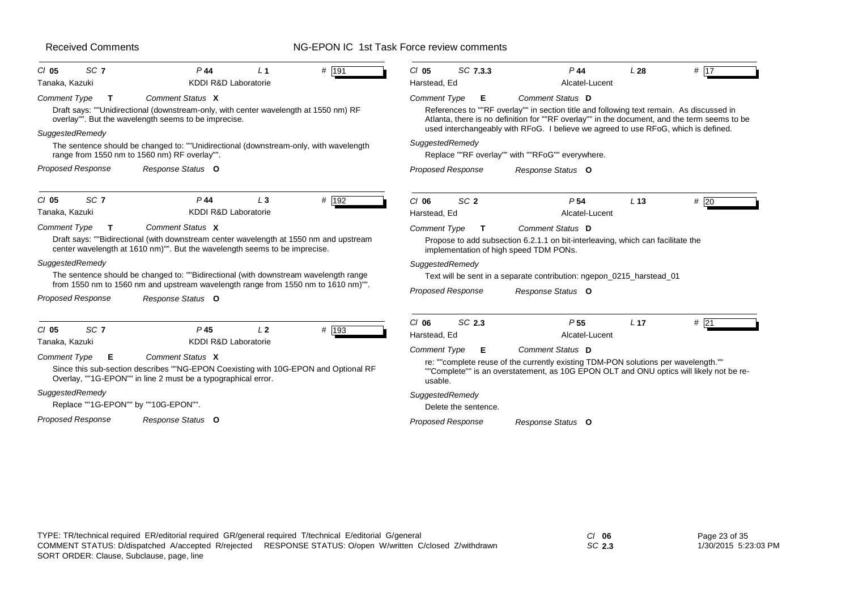# NG-EPON IC 1st Task Force review comments

| SC <sub>7</sub><br>$CI$ 05                                                                                                          | $P$ 44                                                                                                                                                                                                                                                                                                                                                                                     | $\perp$ 1      | # 191 | $CI$ 05                                                                      | SC 7.3.3                            | $P$ 44                                                                                                                                                                                                                                                                                                                                                                   | L <sub>28</sub> | # 17   |
|-------------------------------------------------------------------------------------------------------------------------------------|--------------------------------------------------------------------------------------------------------------------------------------------------------------------------------------------------------------------------------------------------------------------------------------------------------------------------------------------------------------------------------------------|----------------|-------|------------------------------------------------------------------------------|-------------------------------------|--------------------------------------------------------------------------------------------------------------------------------------------------------------------------------------------------------------------------------------------------------------------------------------------------------------------------------------------------------------------------|-----------------|--------|
| Tanaka, Kazuki<br>Comment Type<br>T.<br>SuggestedRemedy                                                                             | <b>KDDI R&amp;D Laboratorie</b><br>Comment Status X<br>Draft says: ""Unidirectional (downstream-only, with center wavelength at 1550 nm) RF<br>overlay"". But the wavelength seems to be imprecise.<br>The sentence should be changed to: ""Unidirectional (downstream-only, with wavelength<br>range from 1550 nm to 1560 nm) RF overlay"".                                               |                |       | Harstead, Ed<br>Comment Type<br>SuggestedRemedy                              | Е                                   | Alcatel-Lucent<br>Comment Status D<br>References to ""RF overlay"" in section title and following text remain. As discussed in<br>Atlanta, there is no definition for ""RF overlay"" in the document, and the term seems to be<br>used interchangeably with RFoG. I believe we agreed to use RFoG, which is defined.<br>Replace ""RF overlay"" with ""RFoG"" everywhere. |                 |        |
| <b>Proposed Response</b>                                                                                                            | Response Status O                                                                                                                                                                                                                                                                                                                                                                          |                |       | <b>Proposed Response</b>                                                     |                                     | Response Status O                                                                                                                                                                                                                                                                                                                                                        |                 |        |
| SC <sub>7</sub><br>$CI$ 05<br>Tanaka, Kazuki                                                                                        | $P$ 44<br><b>KDDI R&amp;D Laboratorie</b>                                                                                                                                                                                                                                                                                                                                                  | $L_3$          | # 192 | $CI$ 06<br>Harstead, Ed                                                      | SC <sub>2</sub>                     | P <sub>54</sub><br>Alcatel-Lucent                                                                                                                                                                                                                                                                                                                                        | L <sub>13</sub> | $#$ 20 |
| Comment Type<br>$\mathbf{T}$<br>SuggestedRemedy<br><b>Proposed Response</b>                                                         | Comment Status X<br>Draft says: ""Bidirectional (with downstream center wavelength at 1550 nm and upstream<br>center wavelength at 1610 nm)"". But the wavelength seems to be imprecise.<br>The sentence should be changed to: ""Bidirectional (with downstream wavelength range<br>from 1550 nm to 1560 nm and upstream wavelength range from 1550 nm to 1610 nm)"".<br>Response Status O |                |       | <b>Comment Type</b><br>SuggestedRemedy<br>Proposed Response                  | T                                   | Comment Status D<br>Propose to add subsection 6.2.1.1 on bit-interleaving, which can facilitate the<br>implementation of high speed TDM PONs.<br>Text will be sent in a separate contribution: ngepon 0215 harstead 01<br>Response Status O                                                                                                                              |                 |        |
| SC <sub>7</sub><br>$CI$ 05<br>Tanaka, Kazuki<br><b>Comment Type</b><br>Е<br>SuggestedRemedy<br>Replace ""1G-EPON"" by ""10G-EPON"". | P <sub>45</sub><br><b>KDDI R&amp;D Laboratorie</b><br>Comment Status X<br>Since this sub-section describes ""NG-EPON Coexisting with 10G-EPON and Optional RF<br>Overlay, ""1G-EPON"" in line 2 must be a typographical error.                                                                                                                                                             | L <sub>2</sub> | # 193 | $Cl$ 06<br>Harstead, Ed<br><b>Comment Type</b><br>usable.<br>SuggestedRemedy | SC 2.3<br>Е<br>Delete the sentence. | P <sub>55</sub><br>Alcatel-Lucent<br>Comment Status D<br>re: ""complete reuse of the currently existing TDM-PON solutions per wavelength.""<br>""Complete"" is an overstatement, as 10G EPON OLT and ONU optics will likely not be re-                                                                                                                                   | L <sub>17</sub> | # 21   |
| <b>Proposed Response</b>                                                                                                            | Response Status O                                                                                                                                                                                                                                                                                                                                                                          |                |       | Proposed Response                                                            |                                     | Response Status O                                                                                                                                                                                                                                                                                                                                                        |                 |        |

*SC* **2.3**

Page 23 of 35 1/30/2015 5:23:03 PM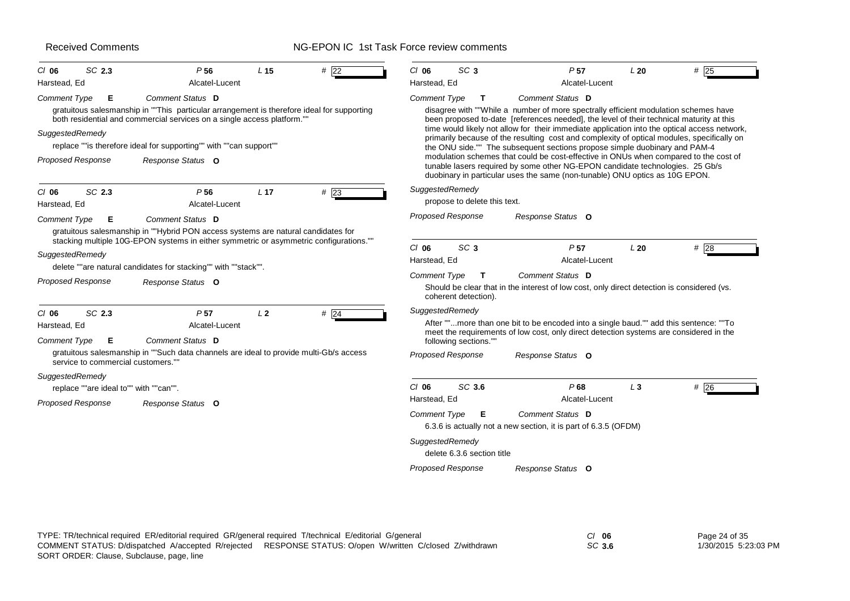| SC 2.3<br>$CI$ 06<br>Harstead, Ed                                                            | P <sub>56</sub><br>Alcatel-Lucent                                                                                                                                                                                                                                                    | L <sub>15</sub> | # 22          | $CI$ 06<br>Harstead, Ed                                           | SC <sub>3</sub>                                                           | P <sub>57</sub><br>Alcatel-Lucent                                                                                                                                                                                                                                                                                                                                                                                                                                                                                                                                                                                                                                                                                                       | L20   | # 25 |
|----------------------------------------------------------------------------------------------|--------------------------------------------------------------------------------------------------------------------------------------------------------------------------------------------------------------------------------------------------------------------------------------|-----------------|---------------|-------------------------------------------------------------------|---------------------------------------------------------------------------|-----------------------------------------------------------------------------------------------------------------------------------------------------------------------------------------------------------------------------------------------------------------------------------------------------------------------------------------------------------------------------------------------------------------------------------------------------------------------------------------------------------------------------------------------------------------------------------------------------------------------------------------------------------------------------------------------------------------------------------------|-------|------|
| <b>Comment Type</b><br>Е<br>SuggestedRemedy<br><b>Proposed Response</b>                      | Comment Status D<br>gratuitous salesmanship in ""This particular arrangement is therefore ideal for supporting<br>both residential and commercial services on a single access platform.""<br>replace ""is therefore ideal for supporting"" with ""can support""<br>Response Status O |                 |               | <b>Comment Type</b>                                               | T                                                                         | Comment Status D<br>disagree with ""While a number of more spectrally efficient modulation schemes have<br>been proposed to-date [references needed], the level of their technical maturity at this<br>time would likely not allow for their immediate application into the optical access network,<br>primarily because of the resulting cost and complexity of optical modules, specifically on<br>the ONU side."" The subsequent sections propose simple duobinary and PAM-4<br>modulation schemes that could be cost-effective in ONUs when compared to the cost of<br>tunable lasers required by some other NG-EPON candidate technologies. 25 Gb/s<br>duobinary in particular uses the same (non-tunable) ONU optics as 10G EPON. |       |      |
| SC 2.3<br>$CI$ 06<br>Harstead, Ed<br><b>Comment Type</b><br>Е                                | P <sub>56</sub><br>Alcatel-Lucent<br>Comment Status D<br>gratuitous salesmanship in ""Hybrid PON access systems are natural candidates for                                                                                                                                           | L <sub>17</sub> | #23           | SuggestedRemedy                                                   | propose to delete this text.<br><b>Proposed Response</b>                  | Response Status O                                                                                                                                                                                                                                                                                                                                                                                                                                                                                                                                                                                                                                                                                                                       |       |      |
| SuggestedRemedy<br><b>Proposed Response</b>                                                  | stacking multiple 10G-EPON systems in either symmetric or asymmetric configurations.""<br>delete ""are natural candidates for stacking"" with ""stack"".<br>Response Status O                                                                                                        |                 |               | $CI$ 06<br>Harstead, Ed<br><b>Comment Type</b>                    | SC <sub>3</sub><br>T                                                      | P <sub>57</sub><br>Alcatel-Lucent<br>Comment Status D<br>Should be clear that in the interest of low cost, only direct detection is considered (vs.                                                                                                                                                                                                                                                                                                                                                                                                                                                                                                                                                                                     | L20   | #28  |
| SC 2.3<br>$Cl$ 06<br>Harstead, Ed<br>Comment Type<br>Е<br>service to commercial customers."" | P <sub>57</sub><br>Alcatel-Lucent<br>Comment Status D<br>gratuitous salesmanship in ""Such data channels are ideal to provide multi-Gb/s access                                                                                                                                      | L <sub>2</sub>  | # $\sqrt{24}$ | SuggestedRemedy                                                   | coherent detection).<br>following sections.""<br><b>Proposed Response</b> | After ""more than one bit to be encoded into a single baud."" add this sentence: ""To<br>meet the requirements of low cost, only direct detection systems are considered in the<br>Response Status O                                                                                                                                                                                                                                                                                                                                                                                                                                                                                                                                    |       |      |
| SuggestedRemedy<br>replace ""are ideal to"" with ""can"".<br><b>Proposed Response</b>        | Response Status O                                                                                                                                                                                                                                                                    |                 |               | $CI$ 06<br>Harstead, Ed<br><b>Comment Type</b><br>SuggestedRemedy | SC 3.6<br>Е<br>delete 6.3.6 section title<br><b>Proposed Response</b>     | P68<br>Alcatel-Lucent<br><b>Comment Status D</b><br>6.3.6 is actually not a new section, it is part of 6.3.5 (OFDM)<br>Response Status O                                                                                                                                                                                                                                                                                                                                                                                                                                                                                                                                                                                                | $L_3$ | # 26 |

| TYPE: TR/technical required ER/editorial required GR/general required T/technical E/editorial G/general   | $Cl$ 06 | Page 24 of 35        |
|-----------------------------------------------------------------------------------------------------------|---------|----------------------|
| COMMENT STATUS: D/dispatched A/accepted R/rejected RESPONSE STATUS: O/open W/written C/closed Z/withdrawn | SC 3.6  | 1/30/2015 5:23:03 PM |
| SORT ORDER: Clause, Subclause, page, line                                                                 |         |                      |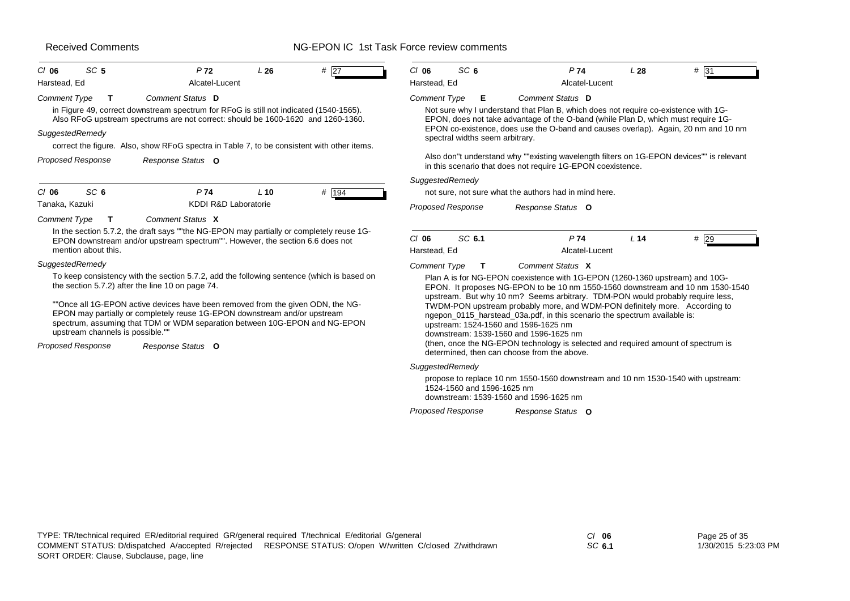# NG-EPON IC 1st Task Force review comments

| SC <sub>5</sub><br>$CI$ 06                    | P <sub>72</sub>                                                                                                                                                                                                                                                                                                                                                                             | L26    | #27   | $CI$ 06                 | SC <sub>6</sub>                 |                                                                                                                                                             | P <sub>74</sub>       | L <sub>28</sub> | # 31                                                                                                                                                                                                                                                                                                                           |
|-----------------------------------------------|---------------------------------------------------------------------------------------------------------------------------------------------------------------------------------------------------------------------------------------------------------------------------------------------------------------------------------------------------------------------------------------------|--------|-------|-------------------------|---------------------------------|-------------------------------------------------------------------------------------------------------------------------------------------------------------|-----------------------|-----------------|--------------------------------------------------------------------------------------------------------------------------------------------------------------------------------------------------------------------------------------------------------------------------------------------------------------------------------|
| Harstead, Ed                                  | Alcatel-Lucent                                                                                                                                                                                                                                                                                                                                                                              |        |       | Harstead, Ed            |                                 |                                                                                                                                                             | Alcatel-Lucent        |                 |                                                                                                                                                                                                                                                                                                                                |
| <b>Comment Type</b><br>т<br>SuggestedRemedy   | Comment Status D<br>in Figure 49, correct downstream spectrum for RFoG is still not indicated (1540-1565).<br>Also RFoG upstream spectrums are not correct: should be 1600-1620 and 1260-1360.                                                                                                                                                                                              |        |       | <b>Comment Type</b>     | E.                              | Comment Status D                                                                                                                                            |                       |                 | Not sure why I understand that Plan B, which does not require co-existence with 1G-<br>EPON, does not take advantage of the O-band (while Plan D, which must require 1G-<br>EPON co-existence, does use the O-band and causes overlap). Again, 20 nm and 10 nm                                                                 |
|                                               | correct the figure. Also, show RFoG spectra in Table 7, to be consistent with other items.                                                                                                                                                                                                                                                                                                  |        |       |                         | spectral widths seem arbitrary. |                                                                                                                                                             |                       |                 |                                                                                                                                                                                                                                                                                                                                |
| <b>Proposed Response</b>                      | Response Status O                                                                                                                                                                                                                                                                                                                                                                           |        |       |                         |                                 | in this scenario that does not require 1G-EPON coexistence.                                                                                                 |                       |                 | Also don"t understand why ""existing wavelength filters on 1G-EPON devices"" is relevant                                                                                                                                                                                                                                       |
|                                               |                                                                                                                                                                                                                                                                                                                                                                                             |        |       | SuggestedRemedy         |                                 |                                                                                                                                                             |                       |                 |                                                                                                                                                                                                                                                                                                                                |
| SC <sub>6</sub><br>$CI$ 06                    | P74                                                                                                                                                                                                                                                                                                                                                                                         | $L$ 10 | # 194 |                         |                                 | not sure, not sure what the authors had in mind here.                                                                                                       |                       |                 |                                                                                                                                                                                                                                                                                                                                |
| Tanaka, Kazuki                                | <b>KDDI R&amp;D Laboratorie</b>                                                                                                                                                                                                                                                                                                                                                             |        |       |                         | Proposed Response               | Response Status O                                                                                                                                           |                       |                 |                                                                                                                                                                                                                                                                                                                                |
| <b>Comment Type</b><br>$\mathbf T$            | Comment Status X                                                                                                                                                                                                                                                                                                                                                                            |        |       |                         |                                 |                                                                                                                                                             |                       |                 |                                                                                                                                                                                                                                                                                                                                |
| mention about this.                           | In the section 5.7.2, the draft says ""the NG-EPON may partially or completely reuse 1G-<br>EPON downstream and/or upstream spectrum"". However, the section 6.6 does not                                                                                                                                                                                                                   |        |       | $Cl$ 06<br>Harstead, Ed | SC 6.1                          |                                                                                                                                                             | P74<br>Alcatel-Lucent | L <sub>14</sub> | #29                                                                                                                                                                                                                                                                                                                            |
| SuggestedRemedy                               |                                                                                                                                                                                                                                                                                                                                                                                             |        |       | <b>Comment Type</b>     | Т                               | Comment Status X                                                                                                                                            |                       |                 |                                                                                                                                                                                                                                                                                                                                |
| upstream channels is possible.""              | To keep consistency with the section 5.7.2, add the following sentence (which is based on<br>the section 5.7.2) after the line 10 on page 74.<br>""Once all 1G-EPON active devices have been removed from the given ODN, the NG-<br>EPON may partially or completely reuse 1G-EPON downstream and/or upstream<br>spectrum, assuming that TDM or WDM separation between 10G-EPON and NG-EPON |        |       |                         |                                 | ngepon_0115_harstead_03a.pdf, in this scenario the spectrum available is:<br>upstream: 1524-1560 and 1596-1625 nm<br>downstream: 1539-1560 and 1596-1625 nm |                       |                 | Plan A is for NG-EPON coexistence with 1G-EPON (1260-1360 upstream) and 10G-<br>EPON. It proposes NG-EPON to be 10 nm 1550-1560 downstream and 10 nm 1530-1540<br>upstream. But why 10 nm? Seems arbitrary. TDM-PON would probably require less,<br>TWDM-PON upstream probably more, and WDM-PON definitely more. According to |
| <b>Proposed Response</b><br>Response Status O |                                                                                                                                                                                                                                                                                                                                                                                             |        |       |                         |                                 | determined, then can choose from the above.                                                                                                                 |                       |                 | (then, once the NG-EPON technology is selected and required amount of spectrum is                                                                                                                                                                                                                                              |

#### *SuggestedRemedy*

propose to replace 10 nm 1550-1560 downstream and 10 nm 1530-1540 with upstream: 1524-1560 and 1596-1625 nmdownstream: 1539-1560 and 1596-1625 nm

*Response Status* **O** *Proposed Response*

*SC* **6.1**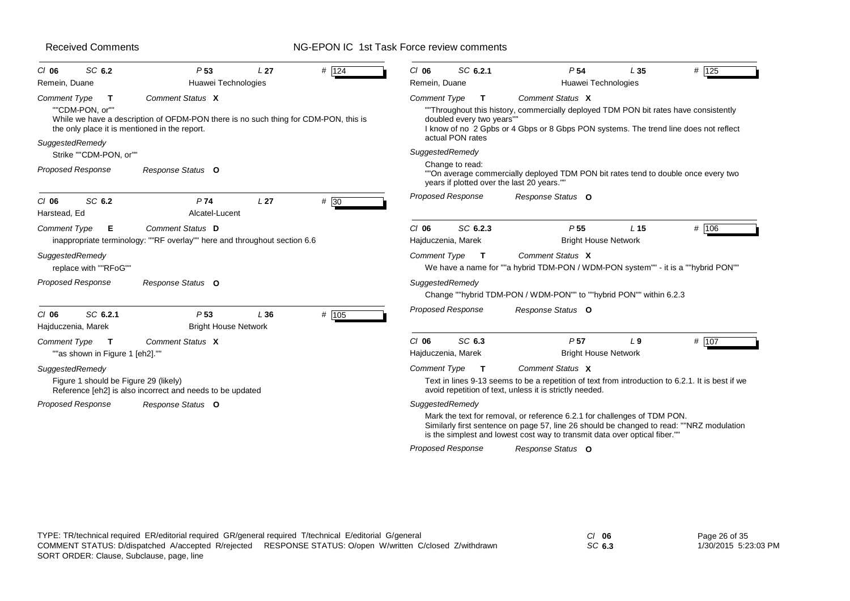| SC 6.2<br>$CI$ 06                                                                                                   | P <sub>53</sub>                                                                                         | L <sub>27</sub> | # 124 | $CI$ 06                       | SC 6.2.1                                                      | P <sub>54</sub>                                                                                                                                                                                                                                    | L <sub>35</sub> | # 125 |
|---------------------------------------------------------------------------------------------------------------------|---------------------------------------------------------------------------------------------------------|-----------------|-------|-------------------------------|---------------------------------------------------------------|----------------------------------------------------------------------------------------------------------------------------------------------------------------------------------------------------------------------------------------------------|-----------------|-------|
| Remein, Duane                                                                                                       | Huawei Technologies                                                                                     |                 |       | Remein, Duane                 |                                                               | Huawei Technologies                                                                                                                                                                                                                                |                 |       |
| Comment Type<br>$\mathbf{T}$<br>""CDM-PON. or""<br>the only place it is mentioned in the report.<br>SuggestedRemedy | Comment Status X<br>While we have a description of OFDM-PON there is no such thing for CDM-PON, this is |                 |       | <b>Comment Type</b>           | $\mathbf{T}$<br>doubled every two years""<br>actual PON rates | Comment Status X<br>"Throughout this history, commercially deployed TDM PON bit rates have consistently<br>I know of no 2 Gpbs or 4 Gbps or 8 Gbps PON systems. The trend line does not reflect                                                    |                 |       |
| Strike ""CDM-PON, or""                                                                                              |                                                                                                         |                 |       | SuggestedRemedy               |                                                               |                                                                                                                                                                                                                                                    |                 |       |
| <b>Proposed Response</b>                                                                                            | Response Status O                                                                                       |                 |       |                               | Change to read:                                               | ""On average commercially deployed TDM PON bit rates tend to double once every two<br>years if plotted over the last 20 years.""                                                                                                                   |                 |       |
| SC 6.2<br>$CI$ 06<br>Harstead, Ed                                                                                   | P74<br>Alcatel-Lucent                                                                                   | L <sub>27</sub> | #30   |                               | Proposed Response                                             | Response Status O                                                                                                                                                                                                                                  |                 |       |
| <b>Comment Type</b><br>Е                                                                                            | Comment Status D<br>inappropriate terminology: ""RF overlay"" here and throughout section 6.6           |                 |       | $Cl$ 06<br>Hajduczenia, Marek | SC 6.2.3                                                      | P <sub>55</sub><br><b>Bright House Network</b>                                                                                                                                                                                                     | L <sub>15</sub> | # 106 |
| SuggestedRemedy<br>replace with ""RFoG""                                                                            |                                                                                                         |                 |       | <b>Comment Type</b>           | $\mathbf{T}$                                                  | Comment Status X<br>We have a name for ""a hybrid TDM-PON / WDM-PON system"" - it is a ""hybrid PON""                                                                                                                                              |                 |       |
| <b>Proposed Response</b>                                                                                            | Response Status O                                                                                       |                 |       | SuggestedRemedy               |                                                               | Change ""hybrid TDM-PON / WDM-PON"" to ""hybrid PON"" within 6.2.3                                                                                                                                                                                 |                 |       |
| SC 6.2.1<br>$CI$ 06<br>Hajduczenia, Marek                                                                           | P <sub>53</sub><br><b>Bright House Network</b>                                                          | L36             | # 105 | <b>Proposed Response</b>      |                                                               | Response Status O                                                                                                                                                                                                                                  |                 |       |
| <b>Comment Type</b><br>$\mathbf{T}$                                                                                 | Comment Status X                                                                                        |                 |       | $CI$ 06                       | SC 6.3                                                        | P <sub>57</sub>                                                                                                                                                                                                                                    | L <sub>9</sub>  | # 107 |
| ""as shown in Figure 1 [eh2].""                                                                                     |                                                                                                         |                 |       | Hajduczenia, Marek            |                                                               | <b>Bright House Network</b>                                                                                                                                                                                                                        |                 |       |
| SuggestedRemedy                                                                                                     |                                                                                                         |                 |       | Comment Type                  | $\mathbf{T}$                                                  | Comment Status X                                                                                                                                                                                                                                   |                 |       |
| Figure 1 should be Figure 29 (likely)                                                                               | Reference [eh2] is also incorrect and needs to be updated                                               |                 |       |                               |                                                               | Text in lines 9-13 seems to be a repetition of text from introduction to 6.2.1. It is best if we<br>avoid repetition of text, unless it is strictly needed.                                                                                        |                 |       |
| <b>Proposed Response</b>                                                                                            | Response Status O                                                                                       |                 |       | SuggestedRemedy               |                                                               |                                                                                                                                                                                                                                                    |                 |       |
|                                                                                                                     |                                                                                                         |                 |       |                               |                                                               | Mark the text for removal, or reference 6.2.1 for challenges of TDM PON.<br>Similarly first sentence on page 57, line 26 should be changed to read: ""NRZ modulation<br>is the simplest and lowest cost way to transmit data over optical fiber."" |                 |       |
|                                                                                                                     |                                                                                                         |                 |       |                               | <b>Proposed Response</b>                                      | Response Status O                                                                                                                                                                                                                                  |                 |       |

| TYPE: TR/technical required ER/editorial required GR/general required T/technical E/editorial G/general | $Cl$ 06                                                                                                   | Page 26 of 35 |                      |
|---------------------------------------------------------------------------------------------------------|-----------------------------------------------------------------------------------------------------------|---------------|----------------------|
|                                                                                                         | COMMENT STATUS: D/dispatched A/accepted R/rejected RESPONSE STATUS: O/open W/written C/closed Z/withdrawn | SC 6.3        | 1/30/2015 5:23:03 PM |
| SORT ORDER: Clause, Subclause, page, line                                                               |                                                                                                           |               |                      |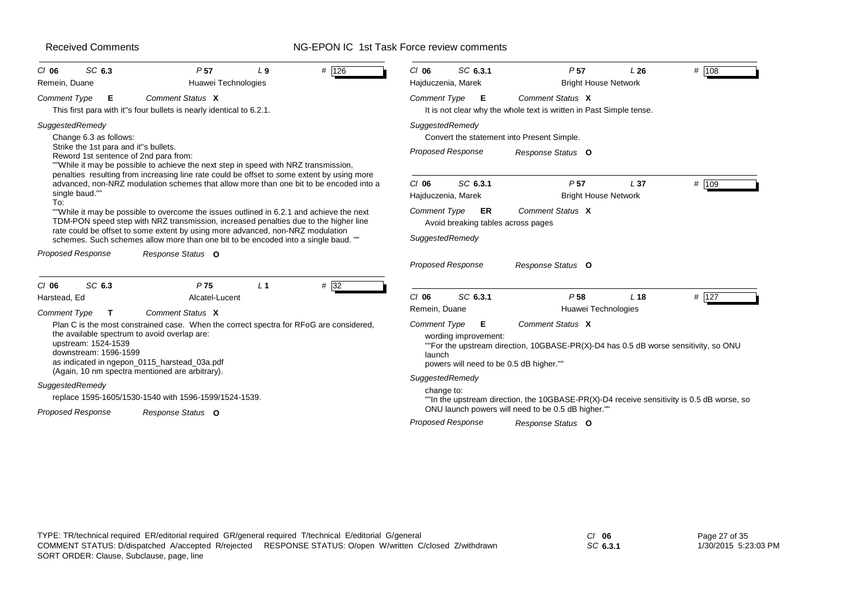# NG-EPON IC 1st Task Force review comments

| SC 6.3<br>$CI$ 06<br>Remein, Duane                                                                                          | P <sub>57</sub><br>Huawei Technologies                                                                                                                                                                                                                                                                                                                  | L <sub>9</sub> | # 126 | $CI$ 06                                        | SC 6.3.1<br>Hajduczenia, Marek | P <sub>57</sub><br><b>Bright House Network</b>                                                                                                     | L26             | # 108 |
|-----------------------------------------------------------------------------------------------------------------------------|---------------------------------------------------------------------------------------------------------------------------------------------------------------------------------------------------------------------------------------------------------------------------------------------------------------------------------------------------------|----------------|-------|------------------------------------------------|--------------------------------|----------------------------------------------------------------------------------------------------------------------------------------------------|-----------------|-------|
| <b>Comment Type</b><br>E                                                                                                    | Comment Status X<br>This first para with it"s four bullets is nearly identical to 6.2.1.                                                                                                                                                                                                                                                                |                |       | <b>Comment Type</b>                            | - E                            | Comment Status X<br>It is not clear why the whole text is written in Past Simple tense.                                                            |                 |       |
| SuggestedRemedy<br>Change 6.3 as follows:<br>Strike the 1st para and it"s bullets.<br>Reword 1st sentence of 2nd para from: | ""While it may be possible to achieve the next step in speed with NRZ transmission,<br>penalties resulting from increasing line rate could be offset to some extent by using more                                                                                                                                                                       |                |       | SuggestedRemedy                                | <b>Proposed Response</b>       | Convert the statement into Present Simple.<br>Response Status O                                                                                    |                 |       |
| single baud.""<br>To:                                                                                                       | advanced, non-NRZ modulation schemes that allow more than one bit to be encoded into a                                                                                                                                                                                                                                                                  |                |       | $Cl$ 06                                        | SC 6.3.1<br>Hajduczenia, Marek | P <sub>57</sub><br><b>Bright House Network</b>                                                                                                     | L <sub>37</sub> | # 109 |
|                                                                                                                             | "While it may be possible to overcome the issues outlined in 6.2.1 and achieve the next<br>TDM-PON speed step with NRZ transmission, increased penalties due to the higher line<br>rate could be offset to some extent by using more advanced, non-NRZ modulation<br>schemes. Such schemes allow more than one bit to be encoded into a single baud. "" |                |       | <b>Comment Type</b><br>SuggestedRemedy         | <b>ER</b>                      | Comment Status X<br>Avoid breaking tables across pages                                                                                             |                 |       |
| Proposed Response                                                                                                           | Response Status O                                                                                                                                                                                                                                                                                                                                       |                |       |                                                | <b>Proposed Response</b>       | Response Status O                                                                                                                                  |                 |       |
| SC <sub>6.3</sub><br>$Cl$ 06<br>Harstead, Ed                                                                                | P <sub>75</sub><br>Alcatel-Lucent                                                                                                                                                                                                                                                                                                                       | L <sub>1</sub> | #32   | $Cl$ 06                                        | SC 6.3.1                       | P <sub>58</sub><br>Huawei Technologies                                                                                                             | L <sub>18</sub> | # 127 |
| Comment Type<br>$\mathbf{T}$<br>upstream: 1524-1539<br>downstream: 1596-1599                                                | Comment Status X<br>Plan C is the most constrained case. When the correct spectra for RFoG are considered,<br>the available spectrum to avoid overlap are:<br>as indicated in ngepon_0115_harstead_03a.pdf                                                                                                                                              |                |       | Remein, Duane<br><b>Comment Type</b><br>launch | Е<br>wording improvement:      | Comment Status X<br>""For the upstream direction, 10GBASE-PR(X)-D4 has 0.5 dB worse sensitivity, so ONU<br>powers will need to be 0.5 dB higher."" |                 |       |
| SuggestedRemedy<br>Proposed Response                                                                                        | (Again, 10 nm spectra mentioned are arbitrary).<br>replace 1595-1605/1530-1540 with 1596-1599/1524-1539.<br>Response Status O                                                                                                                                                                                                                           |                |       | SuggestedRemedy<br>change to:                  |                                | "In the upstream direction, the 10GBASE-PR(X)-D4 receive sensitivity is 0.5 dB worse, so<br>ONU launch powers will need to be 0.5 dB higher.""     |                 |       |
|                                                                                                                             |                                                                                                                                                                                                                                                                                                                                                         |                |       |                                                | <b>Proposed Response</b>       | Response Status O                                                                                                                                  |                 |       |

*SC* **6.3.1**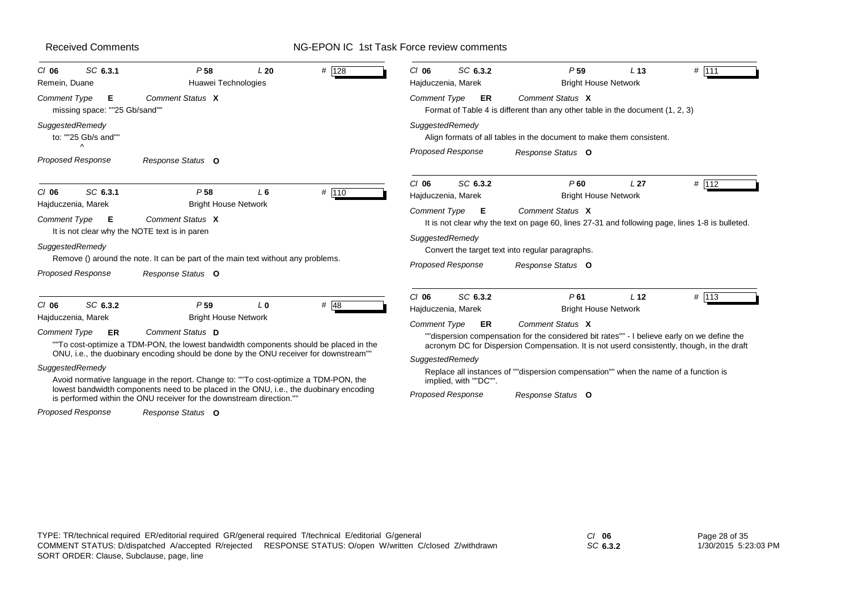# NG-EPON IC 1st Task Force review comments

| SC 6.3.1<br>$CI$ 06<br>Remein, Duane              | P <sub>58</sub><br>Huawei Technologies                                                                                                                                                                                                                                  | L20            | # 128  | SC 6.3.2<br>$CI$ 06<br>Hajduczenia, Marek   | P <sub>59</sub><br><b>Bright House Network</b>                                                                                                                                                                | L <sub>13</sub> | # 111 |
|---------------------------------------------------|-------------------------------------------------------------------------------------------------------------------------------------------------------------------------------------------------------------------------------------------------------------------------|----------------|--------|---------------------------------------------|---------------------------------------------------------------------------------------------------------------------------------------------------------------------------------------------------------------|-----------------|-------|
| Comment Type<br>Е<br>missing space: ""25 Gb/sand" | Comment Status X                                                                                                                                                                                                                                                        |                |        | Comment Type<br>ER                          | Comment Status X<br>Format of Table 4 is different than any other table in the document (1, 2, 3)                                                                                                             |                 |       |
| SuggestedRemedy<br>to: ""25 Gb/s and""            |                                                                                                                                                                                                                                                                         |                |        | SuggestedRemedy                             | Align formats of all tables in the document to make them consistent.                                                                                                                                          |                 |       |
| $\wedge$<br><b>Proposed Response</b>              | Response Status O                                                                                                                                                                                                                                                       |                |        | <b>Proposed Response</b>                    | Response Status O                                                                                                                                                                                             |                 |       |
| SC 6.3.1<br>$Cl$ 06                               | P <sub>58</sub>                                                                                                                                                                                                                                                         | $L_6$          | # 110  | SC 6.3.2<br>$CI$ 06<br>Hajduczenia, Marek   | P60<br><b>Bright House Network</b>                                                                                                                                                                            | L <sub>27</sub> | # 112 |
| Hajduczenia, Marek<br>Comment Type<br>Е           | <b>Bright House Network</b><br>Comment Status X<br>It is not clear why the NOTE text is in paren                                                                                                                                                                        |                |        | Comment Type<br>Е                           | Comment Status X<br>It is not clear why the text on page 60, lines 27-31 and following page, lines 1-8 is bulleted.                                                                                           |                 |       |
| SuggestedRemedy                                   | Remove () around the note. It can be part of the main text without any problems.                                                                                                                                                                                        |                |        | SuggestedRemedy<br><b>Proposed Response</b> | Convert the target text into regular paragraphs.<br>Response Status O                                                                                                                                         |                 |       |
| <b>Proposed Response</b>                          | Response Status O                                                                                                                                                                                                                                                       |                |        |                                             |                                                                                                                                                                                                               |                 |       |
| SC 6.3.2<br>$CI$ 06<br>Hajduczenia, Marek         | P <sub>59</sub><br><b>Bright House Network</b>                                                                                                                                                                                                                          | L <sub>0</sub> | # $48$ | SC 6.3.2<br>$CI$ 06<br>Hajduczenia, Marek   | P61<br><b>Bright House Network</b>                                                                                                                                                                            | L <sub>12</sub> | # 113 |
| Comment Type<br><b>ER</b>                         | Comment Status D<br>"To cost-optimize a TDM-PON, the lowest bandwidth components should be placed in the                                                                                                                                                                |                |        | <b>Comment Type</b><br><b>ER</b>            | Comment Status X<br>""dispersion compensation for the considered bit rates"" - I believe early on we define the<br>acronym DC for Dispersion Compensation. It is not userd consistently, though, in the draft |                 |       |
| SuggestedRemedy                                   | ONU, i.e., the duobinary encoding should be done by the ONU receiver for downstream""<br>Avoid normative language in the report. Change to: ""To cost-optimize a TDM-PON, the<br>lowest bandwidth components need to be placed in the ONU, i.e., the duobinary encoding |                |        | SuggestedRemedy<br>implied, with ""DC"".    | Replace all instances of ""dispersion compensation"" when the name of a function is                                                                                                                           |                 |       |
| <b>Proposed Response</b>                          | is performed within the ONU receiver for the downstream direction."<br>Response Status O                                                                                                                                                                                |                |        | <b>Proposed Response</b>                    | Response Status O                                                                                                                                                                                             |                 |       |

*SC* **6.3.2**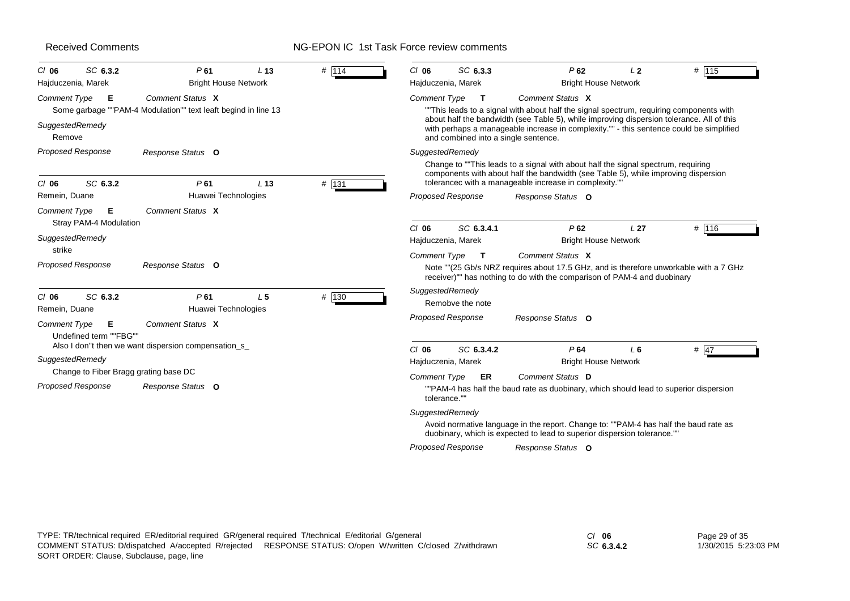# NG-EPON IC 1st Task Force review comments

| SC 6.3.2<br>$CI$ 06<br>Hajduczenia, Marek                                                                   | P61<br><b>Bright House Network</b>                                                 | L <sub>13</sub> | $#$ 114 | SC 6.3.3<br>$CI$ 06<br>Hajduczenia, Marek                                          | P62<br><b>Bright House Network</b>                                                                                                                                                                                                                                                                  | L <sub>2</sub>  | # 115  |
|-------------------------------------------------------------------------------------------------------------|------------------------------------------------------------------------------------|-----------------|---------|------------------------------------------------------------------------------------|-----------------------------------------------------------------------------------------------------------------------------------------------------------------------------------------------------------------------------------------------------------------------------------------------------|-----------------|--------|
| Comment Type<br>Е<br>SuggestedRemedy<br>Remove                                                              | Comment Status X<br>Some garbage ""PAM-4 Modulation"" text leaft begind in line 13 |                 |         | <b>Comment Type</b><br>$\mathbf{T}$<br>and combined into a single sentence.        | Comment Status X<br>""This leads to a signal with about half the signal spectrum, requiring components with<br>about half the bandwidth (see Table 5), while improving dispersion tolerance. All of this<br>with perhaps a manageable increase in complexity."" - this sentence could be simplified |                 |        |
| <b>Proposed Response</b><br>SC 6.3.2<br>$CI$ 06                                                             | Response Status O<br>P61                                                           | L <sub>13</sub> | # 131   | SuggestedRemedy                                                                    | Change to ""This leads to a signal with about half the signal spectrum, requiring<br>components with about half the bandwidth (see Table 5), while improving dispersion<br>tolerancec with a manageable increase in complexity.""                                                                   |                 |        |
| Remein, Duane                                                                                               | Huawei Technologies                                                                |                 |         | <b>Proposed Response</b>                                                           | Response Status O                                                                                                                                                                                                                                                                                   |                 |        |
| <b>Comment Type</b><br>Е<br>Stray PAM-4 Modulation<br>SuggestedRemedy<br>strike<br><b>Proposed Response</b> | Comment Status X<br>Response Status O                                              |                 |         | SC 6.3.4.1<br>$CI$ 06<br>Hajduczenia, Marek<br><b>Comment Type</b><br>$\mathbf{T}$ | P62<br><b>Bright House Network</b><br>Comment Status X<br>Note ""(25 Gb/s NRZ requires about 17.5 GHz, and is therefore unworkable with a 7 GHz<br>receiver)"" has nothing to do with the comparison of PAM-4 and duobinary                                                                         | L <sub>27</sub> | # 116  |
| SC 6.3.2<br>$CI$ 06<br>Remein, Duane<br><b>Comment Type</b><br>Е<br>Undefined term ""FBG""                  | P61<br>Huawei Technologies<br>Comment Status X                                     | L <sub>5</sub>  | # 130   | SuggestedRemedy<br>Remobve the note<br><b>Proposed Response</b>                    | Response Status O                                                                                                                                                                                                                                                                                   |                 |        |
| SuggestedRemedy                                                                                             | Also I don"t then we want dispersion compensation_s_                               |                 |         | SC 6.3.4.2<br>$Cl$ 06<br>Hajduczenia, Marek                                        | P64<br><b>Bright House Network</b>                                                                                                                                                                                                                                                                  | L6              | # $47$ |
| Change to Fiber Bragg grating base DC<br><b>Proposed Response</b>                                           | Response Status O                                                                  |                 |         | Comment Type<br>ER<br>tolerance.""                                                 | Comment Status D<br>""PAM-4 has half the baud rate as duobinary, which should lead to superior dispersion                                                                                                                                                                                           |                 |        |
|                                                                                                             |                                                                                    |                 |         | SuggestedRemedy                                                                    | Avoid normative language in the report. Change to: ""PAM-4 has half the baud rate as<br>duobinary, which is expected to lead to superior dispersion tolerance.""                                                                                                                                    |                 |        |
|                                                                                                             |                                                                                    |                 |         | <b>Proposed Response</b>                                                           | Response Status O                                                                                                                                                                                                                                                                                   |                 |        |

*SC* **6.3.4.2**

Page 29 of 35 1/30/2015 5:23:03 PM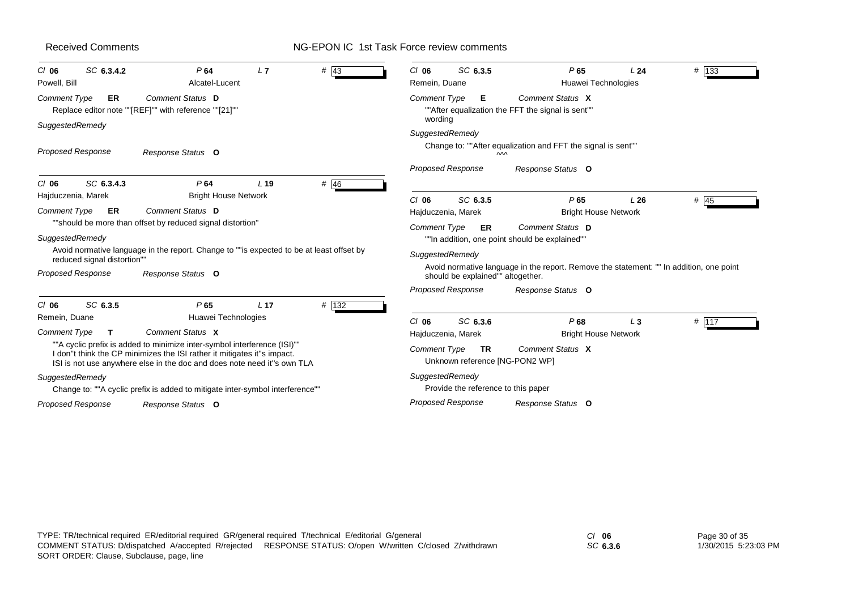#### NG-EPON IC 1st Task Force review comments

| SC 6.3.4.2<br>$CI$ 06<br>Powell, Bill | P64<br>Alcatel-Lucent                                                                                                                                                                                                          | L7              | # $43$ | SC 6.3.5<br>$CI$ 06<br>Remein, Duane                               | P65<br>Huawei Technologies                                                              | L24   | $#$ 133 |
|---------------------------------------|--------------------------------------------------------------------------------------------------------------------------------------------------------------------------------------------------------------------------------|-----------------|--------|--------------------------------------------------------------------|-----------------------------------------------------------------------------------------|-------|---------|
| <b>Comment Type</b><br>ER             | Comment Status D<br>Replace editor note ""[REF]"" with reference ""[21]""                                                                                                                                                      |                 |        | <b>Comment Type</b><br>E.<br>wording                               | Comment Status X<br>""After equalization the FFT the signal is sent""                   |       |         |
| SuggestedRemedy                       |                                                                                                                                                                                                                                |                 |        | SuggestedRemedy                                                    |                                                                                         |       |         |
| <b>Proposed Response</b>              | Response Status O                                                                                                                                                                                                              |                 |        |                                                                    | Change to: ""After equalization and FFT the signal is sent""<br>$\mathsf{M}$            |       |         |
|                                       |                                                                                                                                                                                                                                |                 |        | <b>Proposed Response</b>                                           | Response Status O                                                                       |       |         |
| SC 6.3.4.3<br>$CI$ 06                 | P64                                                                                                                                                                                                                            | L <sub>19</sub> | $#$ 46 |                                                                    |                                                                                         |       |         |
| Hajduczenia, Marek                    | <b>Bright House Network</b>                                                                                                                                                                                                    |                 |        | SC 6.3.5<br>$Cl$ 06                                                | P65                                                                                     | L26   | # 45    |
| <b>Comment Type</b><br>ER             | Comment Status D                                                                                                                                                                                                               |                 |        | Hajduczenia, Marek                                                 | <b>Bright House Network</b>                                                             |       |         |
|                                       | "should be more than offset by reduced signal distortion"                                                                                                                                                                      |                 |        | <b>Comment Type</b><br>ER                                          | Comment Status D                                                                        |       |         |
| SuggestedRemedy                       |                                                                                                                                                                                                                                |                 |        |                                                                    | ""In addition, one point should be explained""                                          |       |         |
| reduced signal distortion""           | Avoid normative language in the report. Change to ""is expected to be at least offset by                                                                                                                                       |                 |        | SuggestedRemedy                                                    |                                                                                         |       |         |
| <b>Proposed Response</b>              | Response Status O                                                                                                                                                                                                              |                 |        | should be explained"" altogether.                                  | Avoid normative language in the report. Remove the statement: "" In addition, one point |       |         |
|                                       |                                                                                                                                                                                                                                |                 |        | <b>Proposed Response</b>                                           | Response Status O                                                                       |       |         |
| SC 6.3.5<br>$CI$ 06                   | P65                                                                                                                                                                                                                            | L <sub>17</sub> | # 132  |                                                                    |                                                                                         |       |         |
| Remein, Duane                         | Huawei Technologies                                                                                                                                                                                                            |                 |        | SC 6.3.6<br>$Cl$ 06                                                | P68                                                                                     | $L_3$ | # 117   |
| Comment Type<br>т                     | Comment Status X                                                                                                                                                                                                               |                 |        | Hajduczenia, Marek                                                 | <b>Bright House Network</b>                                                             |       |         |
|                                       | ""A cyclic prefix is added to minimize inter-symbol interference (ISI)""<br>I don"t think the CP minimizes the ISI rather it mitigates it"s impact.<br>ISI is not use anywhere else in the doc and does note need it"s own TLA |                 |        | <b>Comment Type</b><br><b>TR</b><br>Unknown reference [NG-PON2 WP] | Comment Status X                                                                        |       |         |
| SuggestedRemedy                       | Change to: ""A cyclic prefix is added to mitigate inter-symbol interference""                                                                                                                                                  |                 |        | SuggestedRemedy<br>Provide the reference to this paper             |                                                                                         |       |         |
| <b>Proposed Response</b>              | Response Status O                                                                                                                                                                                                              |                 |        | <b>Proposed Response</b>                                           | Response Status O                                                                       |       |         |
|                                       |                                                                                                                                                                                                                                |                 |        |                                                                    |                                                                                         |       |         |

*SC* **6.3.6**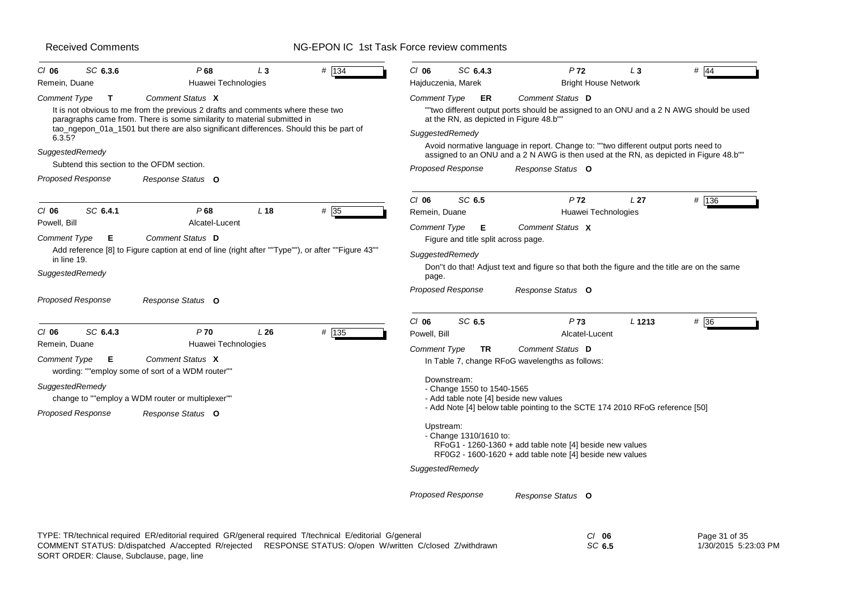| SC 6.3.6<br>$CI$ 06<br>Remein, Duane                                         | P68<br>$L_3$<br>Huawei Technologies                                                                                                                        | # 134   | $CI$ 06<br>SC 6.4.3<br>Hajduczenia, Marek | P <sub>72</sub><br><b>Bright House Network</b>                                                                                                                               | $L_3$           | $#$ 44        |
|------------------------------------------------------------------------------|------------------------------------------------------------------------------------------------------------------------------------------------------------|---------|-------------------------------------------|------------------------------------------------------------------------------------------------------------------------------------------------------------------------------|-----------------|---------------|
|                                                                              | Comment Status X                                                                                                                                           |         |                                           | Comment Status D                                                                                                                                                             |                 |               |
| Comment Type<br>$\mathbf{T}$                                                 | It is not obvious to me from the previous 2 drafts and comments where these two<br>paragraphs came from. There is some similarity to material submitted in |         | Comment Type<br>ER                        | ""two different output ports should be assigned to an ONU and a 2 N AWG should be used<br>at the RN, as depicted in Figure 48.b""                                            |                 |               |
| 6.3.5?                                                                       | tao_ngepon_01a_1501 but there are also significant differences. Should this be part of                                                                     |         | SuggestedRemedy                           |                                                                                                                                                                              |                 |               |
| SuggestedRemedy                                                              |                                                                                                                                                            |         |                                           | Avoid normative language in report. Change to: ""two different output ports need to<br>assigned to an ONU and a 2 N AWG is then used at the RN, as depicted in Figure 48.b"" |                 |               |
| Subtend this section to the OFDM section.                                    |                                                                                                                                                            |         | <b>Proposed Response</b>                  | Response Status O                                                                                                                                                            |                 |               |
| <b>Proposed Response</b>                                                     | Response Status O                                                                                                                                          |         |                                           |                                                                                                                                                                              |                 |               |
|                                                                              |                                                                                                                                                            |         | SC 6.5<br>$CI$ 06                         | P <sub>72</sub>                                                                                                                                                              | L <sub>27</sub> | # 136         |
| SC 6.4.1<br>$CI$ 06                                                          | P68<br>L <sub>18</sub>                                                                                                                                     | # 35    | Remein, Duane                             | Huawei Technologies                                                                                                                                                          |                 |               |
| Powell, Bill                                                                 | Alcatel-Lucent                                                                                                                                             |         | <b>Comment Type</b><br>Е                  | Comment Status X                                                                                                                                                             |                 |               |
| <b>Comment Type</b><br>Е                                                     | Comment Status D                                                                                                                                           |         | Figure and title split across page.       |                                                                                                                                                                              |                 |               |
| in line 19.                                                                  | ""Add reference [8] to Figure caption at end of line (right after ""Type""), or after ""Figure 43"                                                         |         | SuggestedRemedy                           |                                                                                                                                                                              |                 |               |
| SuggestedRemedy                                                              |                                                                                                                                                            |         | page.                                     | Don"t do that! Adjust text and figure so that both the figure and the title are on the same                                                                                  |                 |               |
| Proposed Response                                                            | Response Status O                                                                                                                                          |         | <b>Proposed Response</b>                  | Response Status O                                                                                                                                                            |                 |               |
|                                                                              |                                                                                                                                                            |         | SC 6.5<br>$CI$ 06                         | P73                                                                                                                                                                          | L 1213          | # 36          |
| $CI$ 06<br>SC 6.4.3                                                          | P <sub>70</sub><br>L26                                                                                                                                     | $#$ 135 | Powell, Bill                              | Alcatel-Lucent                                                                                                                                                               |                 |               |
| Remein, Duane                                                                | Huawei Technologies                                                                                                                                        |         | Comment Type<br>TR                        | Comment Status D                                                                                                                                                             |                 |               |
| <b>Comment Type</b><br>Е<br>wording: ""employ some of sort of a WDM router"" | Comment Status X                                                                                                                                           |         |                                           | In Table 7, change RFoG wavelengths as follows:                                                                                                                              |                 |               |
| SuggestedRemedy                                                              |                                                                                                                                                            |         | Downstream:                               |                                                                                                                                                                              |                 |               |
| change to ""employ a WDM router or multiplexer""                             |                                                                                                                                                            |         | - Change 1550 to 1540-1565                | - Add table note [4] beside new values                                                                                                                                       |                 |               |
| <b>Proposed Response</b>                                                     | Response Status O                                                                                                                                          |         |                                           | - Add Note [4] below table pointing to the SCTE 174 2010 RFoG reference [50]                                                                                                 |                 |               |
|                                                                              |                                                                                                                                                            |         | Upstream:<br>- Change 1310/1610 to:       | RFoG1 - 1260-1360 + add table note [4] beside new values<br>RF0G2 - 1600-1620 + add table note [4] beside new values                                                         |                 |               |
|                                                                              |                                                                                                                                                            |         | SuggestedRemedy                           |                                                                                                                                                                              |                 |               |
|                                                                              |                                                                                                                                                            |         | <b>Proposed Response</b>                  | Response Status O                                                                                                                                                            |                 |               |
|                                                                              | TYPE: TR/technical required ER/editorial required GR/general required T/technical E/editorial G/general                                                    |         |                                           | $Cl$ 06                                                                                                                                                                      |                 | Page 31 of 35 |

|                                           |                                                                                                           | ິ      | . uyvv.v.vv          |
|-------------------------------------------|-----------------------------------------------------------------------------------------------------------|--------|----------------------|
|                                           | COMMENT STATUS: D/dispatched A/accepted R/rejected RESPONSE STATUS: O/open W/written C/closed Z/withdrawn | SC 6.5 | 1/30/2015 5:23:03 PM |
| SORT ORDER: Clause, Subclause, page, line |                                                                                                           |        |                      |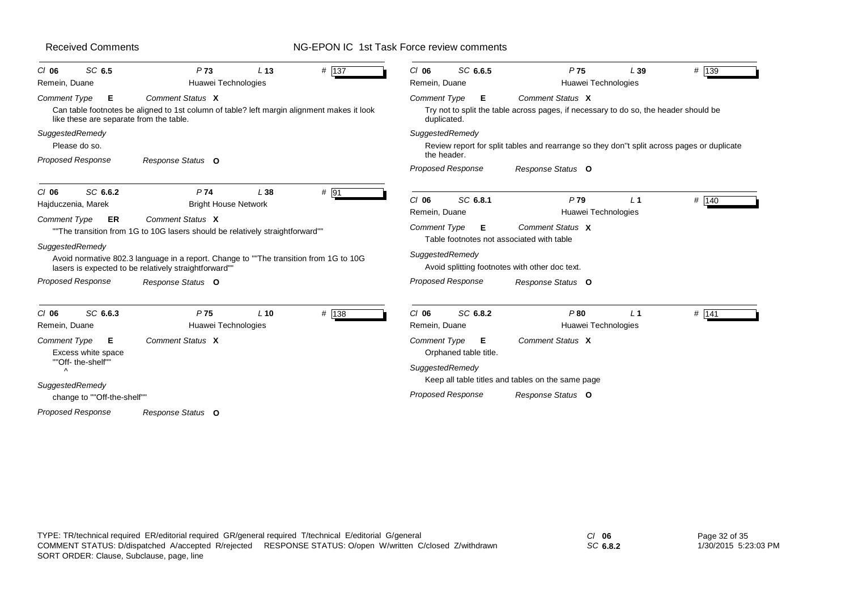# NG-EPON IC 1st Task Force review comments

| SC 6.5<br>$CI$ 06                                                          | P <sub>73</sub><br>L <sub>13</sub>                                                                                                                                                                                                                 | # $137$  | SC 6.6.5<br>$CI$ 06                                                               | P <sub>75</sub>                                                                                          | L39            | # 139   |
|----------------------------------------------------------------------------|----------------------------------------------------------------------------------------------------------------------------------------------------------------------------------------------------------------------------------------------------|----------|-----------------------------------------------------------------------------------|----------------------------------------------------------------------------------------------------------|----------------|---------|
| Remein, Duane                                                              | Huawei Technologies                                                                                                                                                                                                                                |          | Remein, Duane                                                                     | Huawei Technologies                                                                                      |                |         |
| Comment Type<br>Е<br>like these are separate from the table.               | Comment Status X<br>Can table footnotes be aligned to 1st column of table? left margin alignment makes it look                                                                                                                                     |          | <b>Comment Type</b><br>Е<br>duplicated.                                           | Comment Status X<br>Try not to split the table across pages, if necessary to do so, the header should be |                |         |
| SuggestedRemedy<br>Please do so.                                           |                                                                                                                                                                                                                                                    |          | SuggestedRemedy<br>the header.                                                    | Review report for split tables and rearrange so they don"t split across pages or duplicate               |                |         |
| <b>Proposed Response</b>                                                   | Response Status O                                                                                                                                                                                                                                  |          | <b>Proposed Response</b>                                                          | Response Status O                                                                                        |                |         |
| SC 6.6.2<br>$CI$ 06<br>Hajduczenia, Marek                                  | P74<br>L38<br><b>Bright House Network</b>                                                                                                                                                                                                          | $#$ 91   | SC 6.8.1<br>$Cl$ 06<br>Remein, Duane                                              | P79<br>Huawei Technologies                                                                               | L <sub>1</sub> | # 140   |
| Comment Type<br><b>ER</b><br>SuggestedRemedy                               | Comment Status X<br>"The transition from 1G to 10G lasers should be relatively straightforward""<br>Avoid normative 802.3 language in a report. Change to ""The transition from 1G to 10G<br>lasers is expected to be relatively straightforward"" |          | Comment Type<br>Е<br>Table footnotes not associated with table<br>SuggestedRemedy | Comment Status X<br>Avoid splitting footnotes with other doc text.                                       |                |         |
| <b>Proposed Response</b>                                                   | Response Status O                                                                                                                                                                                                                                  |          | <b>Proposed Response</b>                                                          | Response Status O                                                                                        |                |         |
| SC 6.6.3<br>$CI$ 06<br>Remein, Duane                                       | P <sub>75</sub><br>$L$ 10<br>Huawei Technologies                                                                                                                                                                                                   | # $ 138$ | $CI$ 06<br>SC 6.8.2<br>Remein, Duane                                              | P80<br>Huawei Technologies                                                                               | L <sub>1</sub> | $#$ 141 |
| Comment Type<br>Е<br>Excess white space<br>""Off- the-shelf""<br>$\Lambda$ | Comment Status X                                                                                                                                                                                                                                   |          | Comment Type<br>Е<br>Orphaned table title.<br>SuggestedRemedy                     | Comment Status X<br>Keep all table titles and tables on the same page                                    |                |         |
| SuggestedRemedy<br>change to ""Off-the-shelf""                             |                                                                                                                                                                                                                                                    |          | <b>Proposed Response</b>                                                          | Response Status O                                                                                        |                |         |
| <b>Proposed Response</b>                                                   | Response Status O                                                                                                                                                                                                                                  |          |                                                                                   |                                                                                                          |                |         |

*SC* **6.8.2**

Page 32 of 35 1/30/2015 5:23:03 PM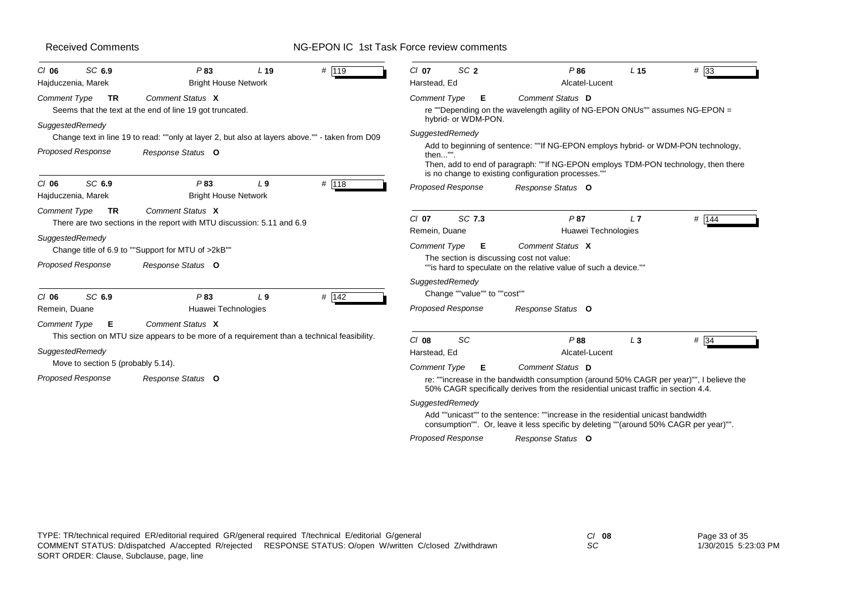# NG-EPON IC 1st Task Force review comments

| SC 6.9<br>$CI$ 06<br>Hajduczenia, Marek               | P83<br><b>Bright House Network</b>                                                                             | L <sub>19</sub> | # 119 | $CI$ 07<br>Harstead, Ed  | SC <sub>2</sub>              | P86<br>Alcatel-Lucent                                                                                                                                                                                                         | L <sub>15</sub> | $#$ 33 |
|-------------------------------------------------------|----------------------------------------------------------------------------------------------------------------|-----------------|-------|--------------------------|------------------------------|-------------------------------------------------------------------------------------------------------------------------------------------------------------------------------------------------------------------------------|-----------------|--------|
| Comment Type<br>TR                                    | Comment Status X<br>Seems that the text at the end of line 19 got truncated.                                   |                 |       | <b>Comment Type</b>      | Е<br>hybrid- or WDM-PON.     | <b>Comment Status D</b><br>re ""Depending on the wavelength agility of NG-EPON ONUs"" assumes NG-EPON =                                                                                                                       |                 |        |
| SuggestedRemedy                                       | Change text in line 19 to read: ""only at layer 2, but also at layers above."" - taken from D09                |                 |       | SuggestedRemedy          |                              |                                                                                                                                                                                                                               |                 |        |
| <b>Proposed Response</b>                              | Response Status O                                                                                              |                 |       | then"".                  |                              | Add to beginning of sentence: ""If NG-EPON employs hybrid- or WDM-PON technology,<br>Then, add to end of paragraph: ""If NG-EPON employs TDM-PON technology, then there<br>is no change to existing configuration processes." |                 |        |
| SC 6.9<br>$Cl$ 06<br>Hajduczenia, Marek               | P83<br><b>Bright House Network</b>                                                                             | L <sub>9</sub>  | # 118 |                          | Proposed Response            | Response Status O                                                                                                                                                                                                             |                 |        |
| <b>Comment Type</b><br><b>TR</b>                      | Comment Status X<br>There are two sections in the report with MTU discussion: 5.11 and 6.9                     |                 |       | $CI$ 07<br>Remein, Duane | SC 7.3                       | P87<br>Huawei Technologies                                                                                                                                                                                                    | L7              | # 144  |
| SuggestedRemedy                                       | Change title of 6.9 to ""Support for MTU of >2kB""                                                             |                 |       | Comment Type             | Е                            | Comment Status X                                                                                                                                                                                                              |                 |        |
| Proposed Response                                     | Response Status O                                                                                              |                 |       |                          |                              | The section is discussing cost not value:<br>""is hard to speculate on the relative value of such a device.""                                                                                                                 |                 |        |
| SC 6.9                                                | P83                                                                                                            | L <sub>9</sub>  | # 142 | SuggestedRemedy          | Change ""value"" to ""cost"" |                                                                                                                                                                                                                               |                 |        |
| $CI$ 06<br>Remein, Duane                              | Huawei Technologies                                                                                            |                 |       | <b>Proposed Response</b> |                              | Response Status O                                                                                                                                                                                                             |                 |        |
| <b>Comment Type</b><br>Е                              | Comment Status X<br>This section on MTU size appears to be more of a requirement than a technical feasibility. |                 |       |                          |                              |                                                                                                                                                                                                                               |                 |        |
| SuggestedRemedy<br>Move to section 5 (probably 5.14). |                                                                                                                |                 |       | $Cl$ 08<br>Harstead, Ed  | <b>SC</b>                    | P88<br>Alcatel-Lucent                                                                                                                                                                                                         | $L_3$           | # 34   |
| <b>Proposed Response</b>                              | Response Status O                                                                                              |                 |       | <b>Comment Type</b>      | Е                            | Comment Status D<br>re: ""increase in the bandwidth consumption (around 50% CAGR per year)"", I believe the<br>50% CAGR specifically derives from the residential unicast traffic in section 4.4.                             |                 |        |
|                                                       |                                                                                                                |                 |       | SuggestedRemedy          |                              | Add ""unicast"" to the sentence: ""increase in the residential unicast bandwidth<br>consumption"". Or, leave it less specific by deleting ""(around 50% CAGR per year)"".                                                     |                 |        |
|                                                       |                                                                                                                |                 |       |                          | Proposed Response            | Response Status O                                                                                                                                                                                                             |                 |        |

*SC*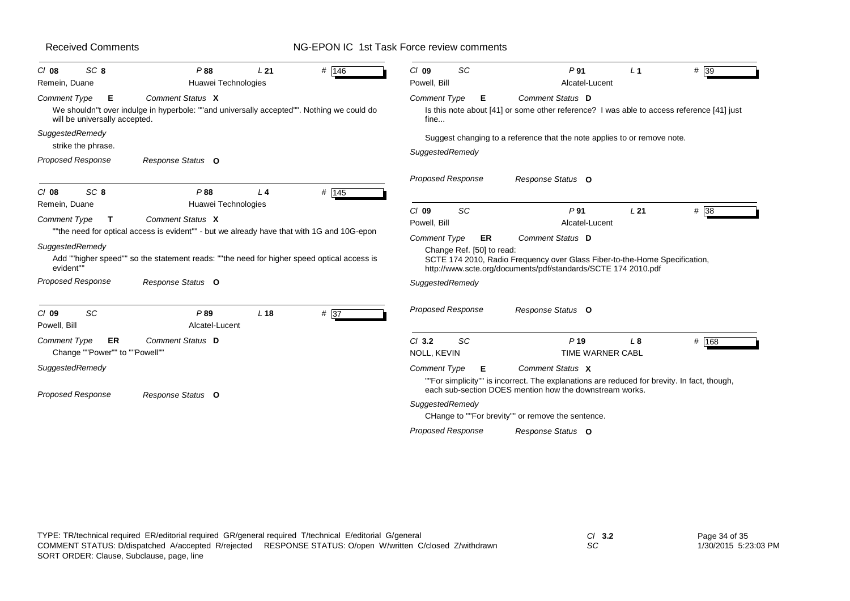| SC <sub>8</sub><br>$Cl$ 08<br>Remein, Duane                 | P88<br>L21<br>Huawei Technologies                                                                              | # 146              | <b>SC</b><br>$Cl$ 09<br>Powell, Bill | P <sub>91</sub><br>Alcatel-Lucent                                                                                                                                          | $\perp$ 1 | $#$ 39 |
|-------------------------------------------------------------|----------------------------------------------------------------------------------------------------------------|--------------------|--------------------------------------|----------------------------------------------------------------------------------------------------------------------------------------------------------------------------|-----------|--------|
| <b>Comment Type</b><br>Е<br>will be universally accepted.   | Comment Status X<br>We shouldn"t over indulge in hyperbole: ""and universally accepted"". Nothing we could do  |                    | <b>Comment Type</b><br>Е<br>fine     | Comment Status D<br>Is this note about [41] or some other reference? I was able to access reference [41] just                                                              |           |        |
| SuggestedRemedy<br>strike the phrase.                       |                                                                                                                |                    | SuggestedRemedy                      | Suggest changing to a reference that the note applies to or remove note.                                                                                                   |           |        |
| <b>Proposed Response</b>                                    | Response Status O                                                                                              |                    |                                      |                                                                                                                                                                            |           |        |
| SC <sub>8</sub><br>$Cl$ 08                                  | P88<br>$\perp$ 4                                                                                               | # $\overline{145}$ | <b>Proposed Response</b>             | Response Status O                                                                                                                                                          |           |        |
| Remein, Duane                                               | Huawei Technologies                                                                                            |                    | SC<br>$Cl$ 09                        | P <sub>91</sub>                                                                                                                                                            | L21       | $#$ 38 |
| <b>Comment Type</b><br>T                                    | Comment Status X<br>""the need for optical access is evident"" - but we already have that with 1G and 10G-epon |                    | Powell, Bill                         | Alcatel-Lucent                                                                                                                                                             |           |        |
| SuggestedRemedy<br>evident""                                | Add ""higher speed"" so the statement reads: ""the need for higher speed optical access is                     |                    | Change Ref. [50] to read:            | SCTE 174 2010, Radio Frequency over Glass Fiber-to-the-Home Specification,<br>http://www.scte.org/documents/pdf/standards/SCTE 174 2010.pdf                                |           |        |
| <b>Proposed Response</b>                                    | Response Status O                                                                                              |                    | SuggestedRemedy                      |                                                                                                                                                                            |           |        |
| SC<br>$Cl$ 09<br>Powell, Bill                               | P89<br>L <sub>18</sub><br>Alcatel-Lucent                                                                       | # 37               | <b>Proposed Response</b>             | Response Status O                                                                                                                                                          |           |        |
| <b>Comment Type</b><br>ER<br>Change ""Power"" to ""Powell"" | Comment Status D                                                                                               |                    | SC<br>$CI$ 3.2<br>NOLL, KEVIN        | P <sub>19</sub><br><b>TIME WARNER CABL</b>                                                                                                                                 | L8        | # 168  |
| SuggestedRemedy                                             |                                                                                                                |                    | <b>Comment Type</b><br>Е             | Comment Status X<br>""For simplicity"" is incorrect. The explanations are reduced for brevity. In fact, though,<br>each sub-section DOES mention how the downstream works. |           |        |
|                                                             | Response Status O                                                                                              |                    |                                      |                                                                                                                                                                            |           |        |
| <b>Proposed Response</b>                                    |                                                                                                                |                    | SuggestedRemedy                      | CHange to ""For brevity"" or remove the sentence.                                                                                                                          |           |        |